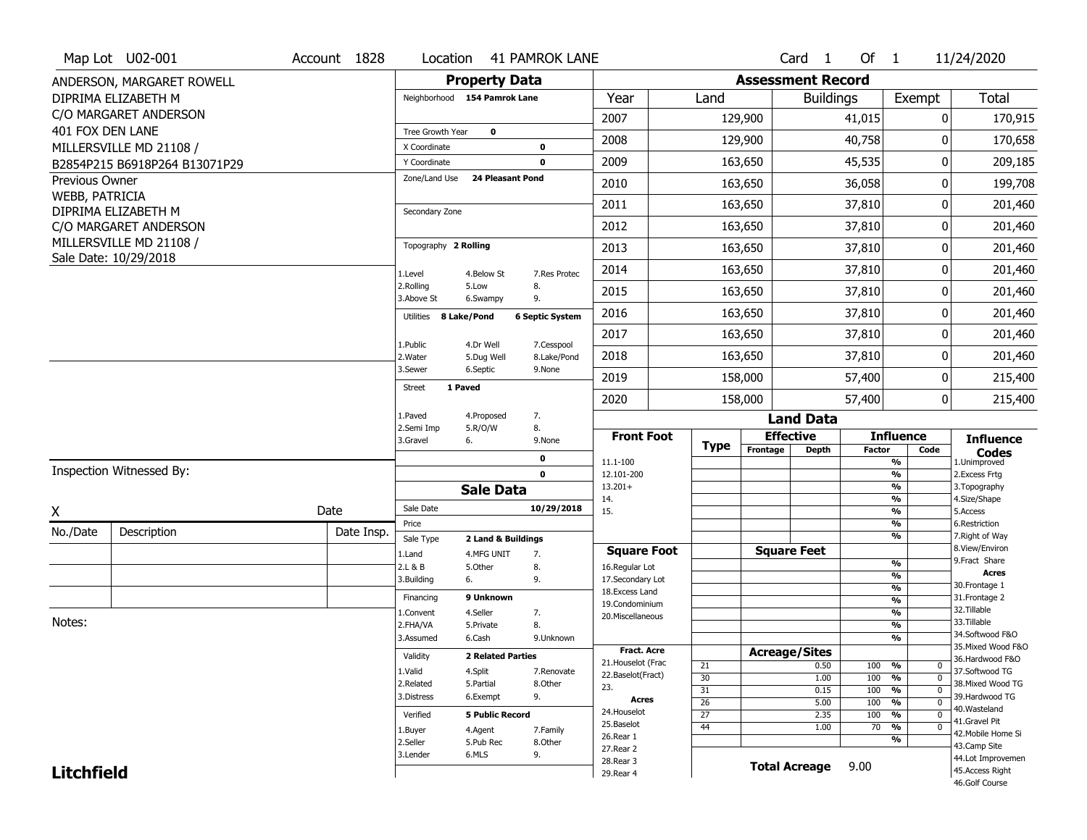|                   | Map Lot U02-001               | Account 1828 | Location                     |                                  | <b>41 PAMROK LANE</b>  |                                         |                       |                          | $Card \t1$           | Of $1$        |                                                     | 11/24/2020                            |
|-------------------|-------------------------------|--------------|------------------------------|----------------------------------|------------------------|-----------------------------------------|-----------------------|--------------------------|----------------------|---------------|-----------------------------------------------------|---------------------------------------|
|                   | ANDERSON, MARGARET ROWELL     |              |                              | <b>Property Data</b>             |                        |                                         |                       | <b>Assessment Record</b> |                      |               |                                                     |                                       |
|                   | DIPRIMA ELIZABETH M           |              | Neighborhood 154 Pamrok Lane |                                  |                        | Year                                    | Land                  |                          | <b>Buildings</b>     |               | Exempt                                              | <b>Total</b>                          |
|                   | C/O MARGARET ANDERSON         |              |                              |                                  |                        | 2007                                    |                       | 129,900                  |                      | 41,015        | 0                                                   | 170,915                               |
| 401 FOX DEN LANE  |                               |              | Tree Growth Year             | $\mathbf 0$                      |                        | 2008                                    |                       | 129,900                  |                      | 40,758        | 0                                                   |                                       |
|                   | MILLERSVILLE MD 21108 /       |              | X Coordinate                 |                                  | 0                      |                                         |                       |                          |                      |               |                                                     | 170,658                               |
|                   | B2854P215 B6918P264 B13071P29 |              | Y Coordinate                 |                                  | 0                      | 2009                                    |                       | 163,650                  |                      | 45,535        | 0                                                   | 209,185                               |
| Previous Owner    |                               |              | Zone/Land Use                | <b>24 Pleasant Pond</b>          |                        | 2010                                    |                       | 163,650                  |                      | 36,058        | 0                                                   | 199,708                               |
| WEBB, PATRICIA    | DIPRIMA ELIZABETH M           |              | Secondary Zone               |                                  |                        | 2011                                    |                       | 163,650                  |                      | 37,810        | 0                                                   | 201,460                               |
|                   | C/O MARGARET ANDERSON         |              |                              |                                  |                        | 2012                                    |                       | 163,650                  |                      | 37,810        | 0                                                   | 201,460                               |
|                   | MILLERSVILLE MD 21108 /       |              | Topography 2 Rolling         |                                  |                        | 2013                                    |                       | 163,650                  |                      | 37,810        | 0                                                   | 201,460                               |
|                   | Sale Date: 10/29/2018         |              | 1.Level                      | 4.Below St                       | 7.Res Protec           | 2014                                    |                       | 163,650                  |                      | 37,810        | 0                                                   | 201,460                               |
|                   |                               |              | 2.Rolling<br>3.Above St      | 5.Low<br>6.Swampy                | 8.<br>9.               | 2015                                    |                       | 163,650                  |                      | 37,810        | 0                                                   | 201,460                               |
|                   |                               |              | 8 Lake/Pond<br>Utilities     |                                  | <b>6 Septic System</b> | 2016                                    |                       | 163,650                  |                      | 37,810        | 0                                                   | 201,460                               |
|                   |                               |              |                              |                                  | 7.Cesspool             | 2017                                    |                       | 163,650                  |                      | 37,810        | 0                                                   | 201,460                               |
|                   |                               |              | 1.Public<br>2. Water         | 4.Dr Well<br>5.Dug Well          | 8.Lake/Pond            | 2018                                    |                       | 163,650                  |                      | 37,810        | 0                                                   | 201,460                               |
|                   |                               |              | 3.Sewer                      | 6.Septic                         | 9.None                 | 2019                                    |                       | 158,000                  |                      | 57,400        | 0                                                   | 215,400                               |
|                   |                               |              | 1 Paved<br><b>Street</b>     |                                  |                        | 2020                                    |                       | 158,000                  |                      | 57,400        | 0                                                   | 215,400                               |
|                   |                               |              | 1.Paved                      | 4.Proposed                       | 7.                     |                                         |                       |                          | <b>Land Data</b>     |               |                                                     |                                       |
|                   |                               |              | 2.Semi Imp<br>3.Gravel       | 5.R/O/W<br>6.                    | 8.<br>9.None           | <b>Front Foot</b>                       | <b>Type</b>           | <b>Effective</b>         |                      |               | <b>Influence</b>                                    | <b>Influence</b>                      |
|                   |                               |              |                              |                                  | 0                      | 11.1-100                                |                       | Frontage                 | <b>Depth</b>         | <b>Factor</b> | Code<br>%                                           | <b>Codes</b><br>1.Unimproved          |
|                   | Inspection Witnessed By:      |              |                              |                                  | $\mathbf 0$            | 12.101-200                              |                       |                          |                      |               | $\frac{9}{6}$                                       | 2.Excess Frtg                         |
|                   |                               |              |                              | <b>Sale Data</b>                 |                        | $13.201+$<br>14.                        |                       |                          |                      |               | $\frac{9}{6}$<br>$\frac{9}{6}$                      | 3. Topography<br>4.Size/Shape         |
| X                 |                               | Date         | Sale Date                    |                                  | 10/29/2018             | 15.                                     |                       |                          |                      |               | $\frac{9}{6}$                                       | 5.Access                              |
| No./Date          | Description                   | Date Insp.   | Price                        |                                  |                        |                                         |                       |                          |                      |               | %<br>%                                              | 6.Restriction<br>7. Right of Way      |
|                   |                               |              | Sale Type<br>1.Land          | 2 Land & Buildings<br>4.MFG UNIT | 7.                     | <b>Square Foot</b>                      |                       | <b>Square Feet</b>       |                      |               |                                                     | 8.View/Environ                        |
|                   |                               |              | 2.L & B                      | 5.Other                          | 8.                     | 16.Regular Lot                          |                       |                          |                      |               | $\frac{9}{6}$                                       | 9. Fract Share                        |
|                   |                               |              | 3.Building                   | 6.                               | 9.                     | 17.Secondary Lot                        |                       |                          |                      |               | $\frac{9}{6}$<br>$\overline{\frac{9}{6}}$           | <b>Acres</b><br>30. Frontage 1        |
|                   |                               |              | Financing                    | 9 Unknown                        |                        | 18. Excess Land<br>19.Condominium       |                       |                          |                      |               | $\frac{9}{6}$                                       | 31. Frontage 2                        |
|                   |                               |              | 1.Convent                    | 4.Seller                         | 7.                     | 20.Miscellaneous                        |                       |                          |                      |               | $\frac{9}{6}$                                       | 32. Tillable                          |
| Notes:            |                               |              | 2.FHA/VA                     | 5.Private                        | 8.                     |                                         |                       |                          |                      |               | $\frac{9}{6}$                                       | 33.Tillable                           |
|                   |                               |              | 3.Assumed                    | 6.Cash                           | 9.Unknown              |                                         |                       |                          |                      |               | $\overline{\frac{9}{6}}$                            | 34.Softwood F&O<br>35. Mixed Wood F&O |
|                   |                               |              | Validity                     | <b>2 Related Parties</b>         |                        | <b>Fract. Acre</b>                      |                       | <b>Acreage/Sites</b>     |                      |               |                                                     | 36.Hardwood F&O                       |
|                   |                               |              | 1.Valid                      | 4.Split                          | 7.Renovate             | 21. Houselot (Frac<br>22.Baselot(Fract) | 21                    |                          | 0.50                 | 100           | %<br>0                                              | 37.Softwood TG                        |
|                   |                               |              | 2.Related                    | 5.Partial                        | 8.Other                | 23.                                     | 30<br>$\overline{31}$ |                          | 1.00<br>0.15         | 100<br>100    | %<br>$\mathbf 0$<br>$\frac{9}{6}$<br>$\overline{0}$ | 38. Mixed Wood TG                     |
|                   |                               |              | 3.Distress                   | 6.Exempt                         | 9.                     | <b>Acres</b>                            | $\overline{26}$       |                          | 5.00                 | 100           | $\frac{9}{6}$<br>$\Omega$                           | 39.Hardwood TG                        |
|                   |                               |              | Verified                     | <b>5 Public Record</b>           |                        | 24. Houselot                            | $\overline{27}$       |                          | 2.35                 | 100           | $\frac{9}{6}$<br>$\mathbf 0$                        | 40.Wasteland                          |
|                   |                               |              | 1.Buyer                      | 4.Agent                          | 7.Family               | 25.Baselot                              | 44                    |                          | 1.00                 | 70            | $\frac{9}{6}$<br>$\overline{0}$                     | 41.Gravel Pit                         |
|                   |                               |              | 2.Seller                     | 5.Pub Rec                        | 8.0ther                | 26.Rear 1                               |                       |                          |                      |               | $\frac{9}{6}$                                       | 42. Mobile Home Si<br>43.Camp Site    |
|                   |                               |              |                              |                                  |                        | 27.Rear 2                               |                       |                          |                      |               |                                                     |                                       |
|                   |                               |              | 3.Lender                     | 6.MLS                            | 9.                     |                                         |                       |                          |                      |               |                                                     |                                       |
| <b>Litchfield</b> |                               |              |                              |                                  |                        | 28.Rear 3<br>29. Rear 4                 |                       |                          | <b>Total Acreage</b> | 9.00          |                                                     | 44.Lot Improvemen<br>45.Access Right  |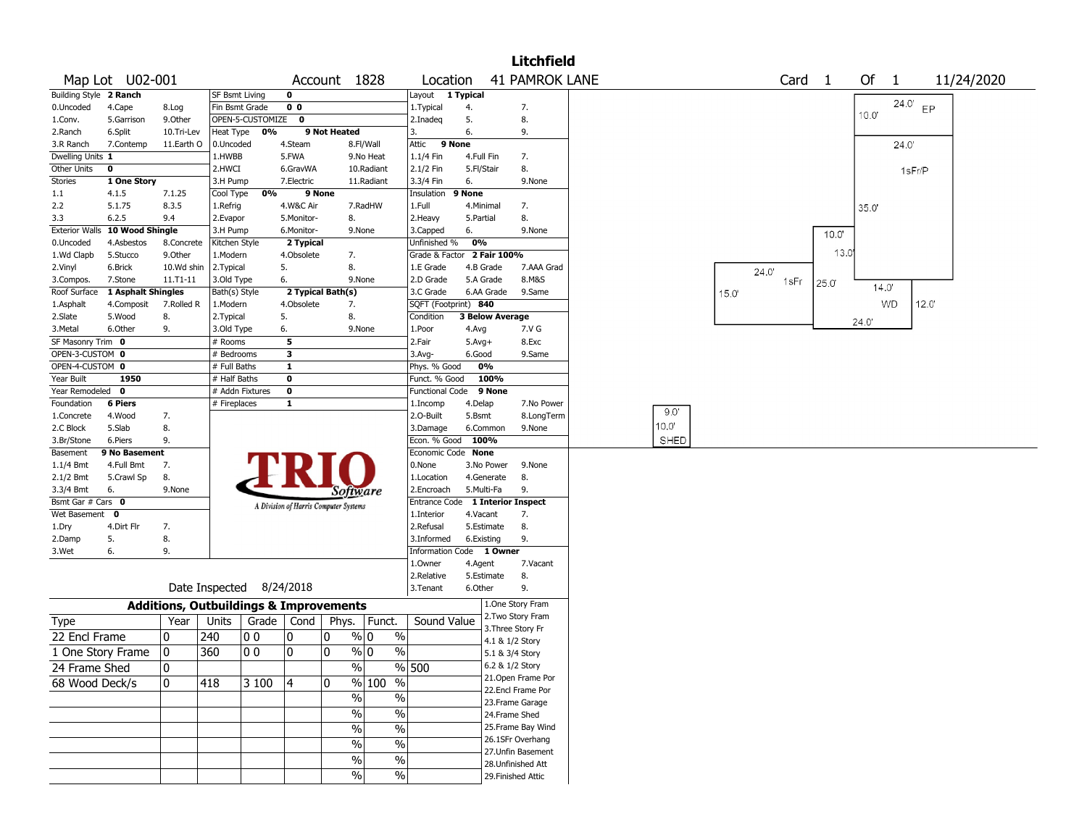|                                |                     |                                                   |                        |                  |                                       |              |                        |                                            |                          |                                        | <b>Litchfield</b>     |       |       |       |                   |       |       |                |       |            |
|--------------------------------|---------------------|---------------------------------------------------|------------------------|------------------|---------------------------------------|--------------|------------------------|--------------------------------------------|--------------------------|----------------------------------------|-----------------------|-------|-------|-------|-------------------|-------|-------|----------------|-------|------------|
| Map Lot U02-001                |                     |                                                   |                        |                  |                                       |              | Account 1828           | Location                                   |                          |                                        | <b>41 PAMROK LANE</b> |       |       |       | Card <sub>1</sub> |       | Of    | $\overline{1}$ |       | 11/24/2020 |
| Building Style 2 Ranch         |                     |                                                   | SF Bsmt Living         |                  | $\mathbf 0$                           |              |                        | Layout                                     | 1 Typical                |                                        |                       |       |       |       |                   |       |       |                |       |            |
| 0.Uncoded                      | 4.Cape              | 8.Log                                             | Fin Bsmt Grade         |                  | 0 <sub>0</sub>                        |              |                        | 1.Typical                                  | 4.                       | 7.                                     |                       |       |       |       |                   |       |       | 24.0' $EP$     |       |            |
| 1.Conv.                        | 5.Garrison          | 9.Other                                           |                        | OPEN-5-CUSTOMIZE | $\mathbf{o}$                          |              |                        | 2.Inadeg                                   | 5.                       | 8.                                     |                       |       |       |       |                   |       | 10.0" |                |       |            |
| 2.Ranch                        | 6.Split             | 10.Tri-Lev                                        | Heat Type              | 0%               |                                       | 9 Not Heated |                        | 3.                                         | 6.                       | 9.                                     |                       |       |       |       |                   |       |       |                |       |            |
| 3.R Ranch                      | 7.Contemp           | 11.Earth O                                        | 0.Uncoded              |                  | 4.Steam                               |              | 8.Fl/Wall              | Attic<br>9 None                            |                          |                                        |                       |       |       |       |                   |       |       | 24.0'          |       |            |
| Dwelling Units 1               |                     |                                                   | 1.HWBB                 |                  | 5.FWA                                 |              | 9.No Heat              | 1.1/4 Fin                                  | 4.Full Fin               | 7.                                     |                       |       |       |       |                   |       |       |                |       |            |
| Other Units<br>$\mathbf 0$     |                     |                                                   | 2.HWCI                 |                  | 6.GravWA                              |              | 10.Radiant             | 2.1/2 Fin                                  | 5.Fl/Stair               | 8.                                     |                       |       |       |       |                   |       |       | 1sFr/P         |       |            |
| Stories                        | 1 One Story         |                                                   | 3.H Pump               |                  | 7.Electric                            |              | 11.Radiant             | 3.3/4 Fin                                  | 6.                       |                                        | 9.None                |       |       |       |                   |       |       |                |       |            |
| 1.1<br>4.1.5                   |                     | 7.1.25                                            | Cool Type              | 0%               |                                       | 9 None       |                        | Insulation                                 | 9 None                   |                                        |                       |       |       |       |                   |       |       |                |       |            |
| 2.2                            | 5.1.75              | 8.3.5                                             | 1.Refrig               |                  | 4.W&C Air                             |              | 7.RadHW                | 1.Full                                     | 4.Minimal                | 7.                                     |                       |       |       |       |                   |       | 35.0  |                |       |            |
| 3.3<br>6.2.5                   |                     | 9.4                                               | 2.Evapor               |                  | 5.Monitor-                            | 8.           |                        | 2. Heavy                                   | 5.Partial                | 8.                                     |                       |       |       |       |                   |       |       |                |       |            |
| <b>Exterior Walls</b>          | 10 Wood Shingle     |                                                   | 3.H Pump               |                  | 6.Monitor-                            |              | 9.None                 | 3.Capped                                   | 6.                       |                                        | 9.None                |       |       |       |                   | 10.0" |       |                |       |            |
| 0.Uncoded                      | 4.Asbestos          | 8.Concrete                                        | Kitchen Style          |                  | 2 Typical                             |              |                        | Unfinished %<br>Grade & Factor 2 Fair 100% | 0%                       |                                        |                       |       |       |       |                   | 13.0  |       |                |       |            |
| 1.Wd Clapb<br>2.Vinyl          | 5.Stucco<br>6.Brick | 9.Other<br>10.Wd shin                             | 1.Modern<br>2. Typical |                  | 4.Obsolete<br>5.                      | 8.           | 7.                     | 1.E Grade                                  | 4.B Grade                |                                        | 7.AAA Grad            |       |       |       |                   |       |       |                |       |            |
| 3.Compos.                      | 7.Stone             | 11.T1-11                                          | 3.Old Type             |                  | 6.                                    |              | 9.None                 | 2.D Grade                                  | 5.A Grade                |                                        | 8.M&S                 |       |       | 24.0' | 1sFr              |       |       |                |       |            |
| Roof Surface                   | 1 Asphalt Shingles  |                                                   | Bath(s) Style          |                  | 2 Typical Bath(s)                     |              |                        | 3.C Grade                                  | 6.AA Grade               |                                        | 9.Same                |       | 15.0' |       |                   | 25.0  | 14.0' |                |       |            |
| 1.Asphalt                      | 4.Composit          | 7.Rolled R                                        | 1.Modern               |                  | 4.Obsolete                            | 7.           |                        | SQFT (Footprint) 840                       |                          |                                        |                       |       |       |       |                   |       |       | <b>WD</b>      | 12.0' |            |
| 2.Slate                        | 5.Wood              | 8.                                                | 2. Typical             |                  | 5.                                    | 8.           |                        | Condition                                  | <b>3 Below Average</b>   |                                        |                       |       |       |       |                   |       |       |                |       |            |
| 3.Metal                        | 6.Other             | 9.                                                | 3.Old Type             |                  | 6.                                    |              | 9.None                 | 1.Poor                                     | 4.Avg                    |                                        | 7.V G                 |       |       |       |                   |       | 24.0' |                |       |            |
| SF Masonry Trim 0              |                     |                                                   | # Rooms                |                  | 5                                     |              |                        | 2.Fair                                     | $5.Avg+$                 |                                        | 8.Exc                 |       |       |       |                   |       |       |                |       |            |
| OPEN-3-CUSTOM 0                |                     |                                                   | # Bedrooms             |                  | 3                                     |              |                        | $3.$ Avg-                                  | 6.Good                   |                                        | 9.Same                |       |       |       |                   |       |       |                |       |            |
| OPEN-4-CUSTOM 0                |                     |                                                   | # Full Baths           |                  | 1                                     |              |                        | Phys. % Good                               | 0%                       |                                        |                       |       |       |       |                   |       |       |                |       |            |
| Year Built                     | 1950                |                                                   | # Half Baths           |                  | $\mathbf 0$                           |              |                        | Funct. % Good                              | 100%                     |                                        |                       |       |       |       |                   |       |       |                |       |            |
| Year Remodeled 0               |                     |                                                   | # Addn Fixtures        |                  | $\mathbf 0$                           |              |                        | <b>Functional Code</b>                     | 9 None                   |                                        |                       |       |       |       |                   |       |       |                |       |            |
| Foundation                     | <b>6 Piers</b>      |                                                   | # Fireplaces           |                  | $\mathbf{1}$                          |              |                        | 1.Incomp                                   | 4.Delap                  |                                        | 7.No Power            | 9.0"  |       |       |                   |       |       |                |       |            |
| 1.Concrete                     | 4.Wood              | 7.                                                |                        |                  |                                       |              |                        | 2.O-Built                                  | 5.Bsmt                   |                                        | 8.LongTerm            |       |       |       |                   |       |       |                |       |            |
| 2.C Block                      | 5.Slab              | 8.                                                |                        |                  |                                       |              |                        | 3.Damage                                   | 6.Common                 |                                        | 9.None                | 10.0" |       |       |                   |       |       |                |       |            |
| 3.Br/Stone                     | 6.Piers             | 9.                                                |                        |                  |                                       |              |                        | Econ. % Good 100%                          |                          |                                        |                       | SHED  |       |       |                   |       |       |                |       |            |
| Basement                       | 9 No Basement       |                                                   |                        |                  |                                       |              |                        | Economic Code None                         |                          |                                        |                       |       |       |       |                   |       |       |                |       |            |
| $1.1/4$ Bmt                    | 4.Full Bmt          | 7.                                                |                        |                  |                                       |              |                        | 0.None                                     | 3.No Power               |                                        | 9.None                |       |       |       |                   |       |       |                |       |            |
| $2.1/2$ Bmt<br>3.3/4 Bmt<br>6. | 5.Crawl Sp          | 8.<br>9.None                                      |                        |                  |                                       |              |                        | 1.Location<br>2.Encroach                   | 4.Generate<br>5.Multi-Fa | 8.<br>9.                               |                       |       |       |       |                   |       |       |                |       |            |
| Bsmt Gar # Cars 0              |                     |                                                   |                        |                  |                                       |              | Software               | Entrance Code 1 Interior Inspect           |                          |                                        |                       |       |       |       |                   |       |       |                |       |            |
| Wet Basement<br>$\mathbf{o}$   |                     |                                                   |                        |                  | A Division of Harris Computer Systems |              |                        | 1.Interior                                 | 4.Vacant                 | 7.                                     |                       |       |       |       |                   |       |       |                |       |            |
| 1.Dry                          | 4.Dirt Flr          | 7.                                                |                        |                  |                                       |              |                        | 2.Refusal                                  | 5.Estimate               | 8.                                     |                       |       |       |       |                   |       |       |                |       |            |
| 2.Damp<br>5.                   |                     | 8.                                                |                        |                  |                                       |              |                        | 3.Informed                                 | 6.Existing               | 9.                                     |                       |       |       |       |                   |       |       |                |       |            |
| 3.Wet<br>6.                    |                     | 9.                                                |                        |                  |                                       |              |                        | Information Code 1 Owner                   |                          |                                        |                       |       |       |       |                   |       |       |                |       |            |
|                                |                     |                                                   |                        |                  |                                       |              |                        | 1.Owner                                    | 4.Agent                  |                                        | 7.Vacant              |       |       |       |                   |       |       |                |       |            |
|                                |                     |                                                   |                        |                  |                                       |              |                        | 2.Relative                                 | 5.Estimate               | 8.                                     |                       |       |       |       |                   |       |       |                |       |            |
|                                |                     | Date Inspected 8/24/2018                          |                        |                  |                                       |              |                        | 3.Tenant                                   | 6.Other                  | 9.                                     |                       |       |       |       |                   |       |       |                |       |            |
|                                |                     | <b>Additions, Outbuildings &amp; Improvements</b> |                        |                  |                                       |              |                        |                                            |                          | 1.One Story Fram                       |                       |       |       |       |                   |       |       |                |       |            |
| Type                           |                     | Year                                              | Units                  |                  | Grade $ $ Cond                        | Phys.        | Funct.                 | Sound Value                                |                          | 2. Two Story Fram                      |                       |       |       |       |                   |       |       |                |       |            |
|                                |                     |                                                   |                        |                  |                                       |              |                        |                                            |                          | 3. Three Story Fr                      |                       |       |       |       |                   |       |       |                |       |            |
| 22 Encl Frame                  |                     | 0                                                 | 240                    | 0 <sub>0</sub>   | 10                                    | 0            | % 0<br>$\%$            |                                            |                          | 4.1 & 1/2 Story                        |                       |       |       |       |                   |       |       |                |       |            |
| 1 One Story Frame              |                     | 10                                                | 360                    | 0 <sub>0</sub>   | 10                                    | 0            | $\%$ 0<br>$\%$         |                                            |                          | 5.1 & 3/4 Story                        |                       |       |       |       |                   |       |       |                |       |            |
| 24 Frame Shed                  |                     | 10                                                |                        |                  |                                       |              | %                      | $%$ 500                                    |                          | 6.2 & 1/2 Story                        |                       |       |       |       |                   |       |       |                |       |            |
| 68 Wood Deck/s                 |                     | 10                                                | 418                    | 3 100            | 14                                    | 0            | % 100<br>$\frac{0}{0}$ |                                            |                          | 21.Open Frame Por                      |                       |       |       |       |                   |       |       |                |       |            |
|                                |                     |                                                   |                        |                  |                                       |              | $\%$<br>$\%$           |                                            |                          | 22.Encl Frame Por                      |                       |       |       |       |                   |       |       |                |       |            |
|                                |                     |                                                   |                        |                  |                                       |              |                        |                                            |                          | 23. Frame Garage                       |                       |       |       |       |                   |       |       |                |       |            |
|                                |                     |                                                   |                        |                  |                                       |              | $\%$<br>%              |                                            |                          | 24.Frame Shed                          |                       |       |       |       |                   |       |       |                |       |            |
|                                |                     |                                                   |                        |                  |                                       |              | %<br>$\%$              |                                            |                          | 25. Frame Bay Wind                     |                       |       |       |       |                   |       |       |                |       |            |
|                                |                     |                                                   |                        |                  |                                       |              | %<br>$\%$              |                                            |                          | 26.1SFr Overhang<br>27. Unfin Basement |                       |       |       |       |                   |       |       |                |       |            |
|                                |                     |                                                   |                        |                  |                                       |              | $\%$<br>$\frac{0}{0}$  |                                            |                          | 28.Unfinished Att                      |                       |       |       |       |                   |       |       |                |       |            |
|                                |                     |                                                   |                        |                  |                                       |              | $\sqrt{6}$<br>$\%$     |                                            |                          | 29. Finished Attic                     |                       |       |       |       |                   |       |       |                |       |            |
|                                |                     |                                                   |                        |                  |                                       |              |                        |                                            |                          |                                        |                       |       |       |       |                   |       |       |                |       |            |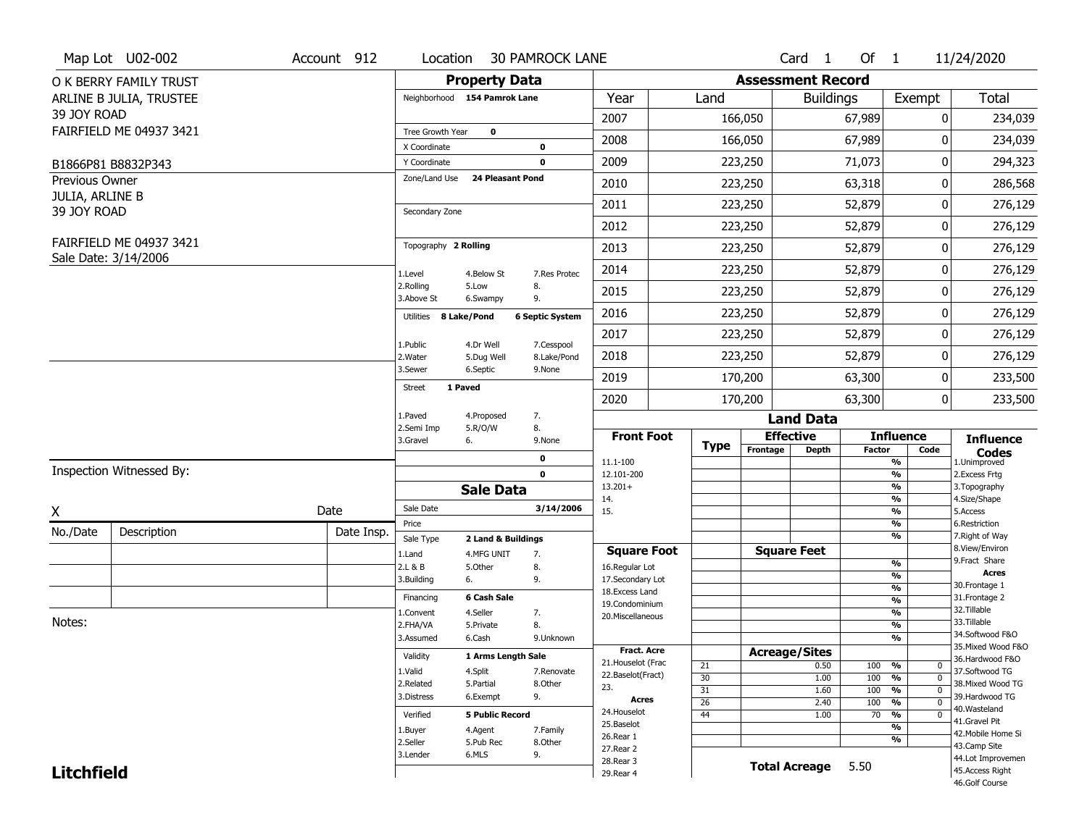|                                   | Map Lot U02-002                                 | Account 912 | Location                            |                                  | <b>30 PAMROCK LANE</b>   |                                         |                 |                          | Card <sub>1</sub>    | Of $1$        |                                      | 11/24/2020                          |
|-----------------------------------|-------------------------------------------------|-------------|-------------------------------------|----------------------------------|--------------------------|-----------------------------------------|-----------------|--------------------------|----------------------|---------------|--------------------------------------|-------------------------------------|
|                                   | O K BERRY FAMILY TRUST                          |             |                                     | <b>Property Data</b>             |                          |                                         |                 | <b>Assessment Record</b> |                      |               |                                      |                                     |
|                                   | ARLINE B JULIA, TRUSTEE                         |             | Neighborhood 154 Pamrok Lane        |                                  |                          | Year                                    | Land            |                          | <b>Buildings</b>     |               | Exempt                               | Total                               |
| 39 JOY ROAD                       |                                                 |             |                                     |                                  |                          | 2007                                    |                 | 166,050                  |                      | 67,989        | 0                                    | 234,039                             |
|                                   | FAIRFIELD ME 04937 3421                         |             | Tree Growth Year                    | $\mathbf 0$                      |                          | 2008                                    |                 | 166,050                  |                      | 67,989        | 0                                    | 234,039                             |
|                                   |                                                 |             | X Coordinate                        |                                  | $\pmb{0}$<br>$\mathbf 0$ | 2009                                    |                 |                          |                      | 71,073        | 0                                    | 294,323                             |
|                                   | B1866P81 B8832P343                              |             | Y Coordinate<br>Zone/Land Use       | <b>24 Pleasant Pond</b>          |                          |                                         |                 | 223,250                  |                      |               |                                      |                                     |
| Previous Owner<br>JULIA, ARLINE B |                                                 |             |                                     |                                  |                          | 2010                                    |                 | 223,250                  |                      | 63,318        | 0                                    | 286,568                             |
| 39 JOY ROAD                       |                                                 |             | Secondary Zone                      |                                  |                          | 2011                                    |                 | 223,250                  |                      | 52,879        | 0                                    | 276,129                             |
|                                   |                                                 |             |                                     |                                  |                          | 2012                                    |                 | 223,250                  |                      | 52,879        | $\pmb{0}$                            | 276,129                             |
|                                   | FAIRFIELD ME 04937 3421<br>Sale Date: 3/14/2006 |             | Topography 2 Rolling                |                                  |                          | 2013                                    |                 | 223,250                  |                      | 52,879        | 0                                    | 276,129                             |
|                                   |                                                 |             | 1.Level                             | 4.Below St                       | 7.Res Protec             | 2014                                    |                 | 223,250                  |                      | 52,879        | 0                                    | 276,129                             |
|                                   |                                                 |             | 2.Rolling<br>3.Above St             | 5.Low<br>6.Swampy                | 8.<br>9.                 | 2015                                    |                 | 223,250                  |                      | 52,879        | 0                                    | 276,129                             |
|                                   |                                                 |             | Utilities 8 Lake/Pond               |                                  | <b>6 Septic System</b>   | 2016                                    |                 | 223,250                  |                      | 52,879        | 0                                    | 276,129                             |
|                                   |                                                 |             | 1.Public                            | 4.Dr Well                        | 7.Cesspool               | 2017                                    |                 | 223,250                  |                      | 52,879        | 0                                    | 276,129                             |
|                                   |                                                 |             | 2. Water                            | 5.Dug Well                       | 8.Lake/Pond              | 2018                                    |                 | 223,250                  |                      | 52,879        | 0                                    | 276,129                             |
|                                   |                                                 |             | 3.Sewer<br>1 Paved<br><b>Street</b> | 6.Septic                         | 9.None                   | 2019                                    |                 | 170,200                  |                      | 63,300        | 0                                    | 233,500                             |
|                                   |                                                 |             |                                     |                                  |                          | 2020                                    |                 | 170,200                  |                      | 63,300        | $\mathbf 0$                          | 233,500                             |
|                                   |                                                 |             | 1.Paved<br>2.Semi Imp               | 4.Proposed<br>5.R/O/W            | 7.<br>8.                 |                                         |                 |                          | <b>Land Data</b>     |               |                                      |                                     |
|                                   |                                                 |             | 3.Gravel                            | 6.                               | 9.None                   | <b>Front Foot</b>                       | <b>Type</b>     | <b>Effective</b>         |                      |               | <b>Influence</b>                     | <b>Influence</b>                    |
|                                   |                                                 |             |                                     |                                  | $\mathbf 0$              | 11.1-100                                |                 | Frontage                 | <b>Depth</b>         | <b>Factor</b> | Code<br>%                            | <b>Codes</b><br>1.Unimproved        |
|                                   | Inspection Witnessed By:                        |             |                                     |                                  | $\mathbf 0$              | 12.101-200                              |                 |                          |                      |               | %                                    | 2.Excess Frtg                       |
|                                   |                                                 |             |                                     | <b>Sale Data</b>                 |                          | $13.201+$<br>14.                        |                 |                          |                      |               | %<br>%                               | 3. Topography<br>4.Size/Shape       |
| X                                 |                                                 | Date        | Sale Date                           |                                  | 3/14/2006                | 15.                                     |                 |                          |                      |               | %                                    | 5.Access                            |
| No./Date                          | Description                                     | Date Insp.  | Price                               |                                  |                          |                                         |                 |                          |                      |               | %<br>%                               | 6.Restriction<br>7. Right of Way    |
|                                   |                                                 |             | Sale Type<br>1.Land                 | 2 Land & Buildings<br>4.MFG UNIT | 7.                       | <b>Square Foot</b>                      |                 | <b>Square Feet</b>       |                      |               |                                      | 8.View/Environ                      |
|                                   |                                                 |             | 2.L & B                             | 5.Other                          | 8.                       | 16.Regular Lot                          |                 |                          |                      |               | %                                    | 9. Fract Share                      |
|                                   |                                                 |             | 3.Building                          | 6.                               | 9.                       | 17.Secondary Lot                        |                 |                          |                      |               | %<br>$\frac{9}{6}$                   | <b>Acres</b><br>30.Frontage 1       |
|                                   |                                                 |             | Financing                           | 6 Cash Sale                      |                          | 18. Excess Land<br>19.Condominium       |                 |                          |                      |               | $\frac{9}{6}$                        | 31. Frontage 2                      |
|                                   |                                                 |             | 1.Convent                           | 4.Seller                         | 7.                       | 20.Miscellaneous                        |                 |                          |                      |               | $\frac{9}{6}$                        | 32. Tillable                        |
| Notes:                            |                                                 |             | 2.FHA/VA                            | 5.Private                        | 8.                       |                                         |                 |                          |                      |               | $\frac{9}{6}$                        | 33.Tillable<br>34.Softwood F&O      |
|                                   |                                                 |             | 3.Assumed                           | 6.Cash                           | 9.Unknown                |                                         |                 |                          |                      |               | %                                    | 35. Mixed Wood F&O                  |
|                                   |                                                 |             | Validity                            | 1 Arms Length Sale               |                          | <b>Fract. Acre</b>                      |                 | <b>Acreage/Sites</b>     |                      |               |                                      | 36.Hardwood F&O                     |
|                                   |                                                 |             | 1.Valid                             | 4.Split                          | 7.Renovate               | 21. Houselot (Frac<br>22.Baselot(Fract) | 21<br>30        |                          | 0.50<br>1.00         | 100<br>100    | %<br>$\mathbf 0$<br>%<br>$\mathbf 0$ | 37.Softwood TG                      |
|                                   |                                                 |             | 2.Related                           | 5.Partial                        | 8.Other                  | 23.                                     | 31              |                          | 1.60                 | 100           | $\frac{9}{6}$<br>$\mathbf 0$         | 38. Mixed Wood TG                   |
|                                   |                                                 |             | 3.Distress                          | 6.Exempt                         | 9.                       | <b>Acres</b>                            | $\overline{26}$ |                          | 2.40                 | 100           | $\frac{9}{6}$<br>$\mathbf 0$         | 39.Hardwood TG                      |
|                                   |                                                 |             | Verified                            | <b>5 Public Record</b>           |                          | 24. Houselot                            | 44              |                          | 1.00                 | 70            | %<br>0                               | 40.Wasteland                        |
|                                   |                                                 |             | 1.Buyer                             | 4.Agent                          | 7.Family                 | 25.Baselot                              |                 |                          |                      |               | $\frac{9}{6}$                        | 41.Gravel Pit<br>42. Mobile Home Si |
|                                   |                                                 |             | 2.Seller                            | 5.Pub Rec                        | 8.Other                  | 26.Rear 1                               |                 |                          |                      |               | %                                    | 43.Camp Site                        |
|                                   |                                                 |             | 3.Lender                            | 6.MLS                            | 9.                       | 27. Rear 2<br>28. Rear 3                |                 |                          |                      |               |                                      | 44.Lot Improvemen                   |
| <b>Litchfield</b>                 |                                                 |             |                                     |                                  |                          | 29. Rear 4                              |                 |                          | <b>Total Acreage</b> | 5.50          |                                      | 45.Access Right                     |
|                                   |                                                 |             |                                     |                                  |                          |                                         |                 |                          |                      |               |                                      | 46.Golf Course                      |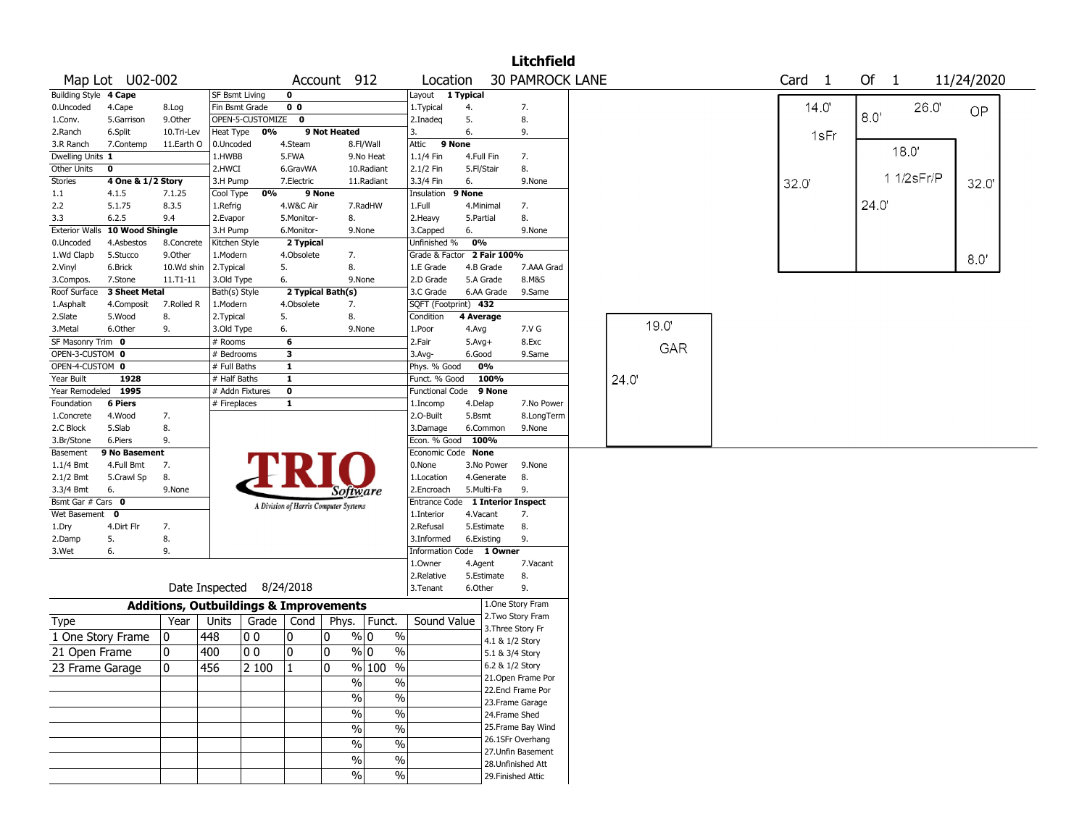|                                |                   |                 |                       |                                                   |                                       |              |             |                          |                             |                     |                 | <b>Litchfield</b>         |  |       |                   |       |      |              |      |            |  |
|--------------------------------|-------------------|-----------------|-----------------------|---------------------------------------------------|---------------------------------------|--------------|-------------|--------------------------|-----------------------------|---------------------|-----------------|---------------------------|--|-------|-------------------|-------|------|--------------|------|------------|--|
|                                | Map Lot U02-002   |                 |                       |                                                   |                                       |              | Account 912 |                          | Location                    |                     |                 | <b>30 PAMROCK LANE</b>    |  |       | Card <sub>1</sub> |       | Of   | $\mathbf{1}$ |      | 11/24/2020 |  |
| Building Style 4 Cape          |                   |                 | <b>SF Bsmt Living</b> |                                                   | 0                                     |              |             |                          | Layout                      | 1 Typical           |                 |                           |  |       |                   |       |      |              |      |            |  |
| 0.Uncoded                      | 4.Cape            | 8.Log           | Fin Bsmt Grade        |                                                   | 0 <sub>0</sub>                        |              |             |                          | 1.Typical                   | 4.                  |                 | 7.                        |  |       |                   | 14.0' | 8.0  |              | 26.0 | <b>OP</b>  |  |
| 1.Conv.                        | 5.Garrison        | 9.Other         |                       | OPEN-5-CUSTOMIZE                                  | $\mathbf 0$                           |              |             |                          | 2.Inadeg                    | 5.                  |                 | 8.                        |  |       |                   |       |      |              |      |            |  |
| 2.Ranch                        | 6.Split           | 10.Tri-Lev      | Heat Type             | 0%                                                |                                       | 9 Not Heated |             | 3.                       |                             | 6.                  |                 | 9.                        |  |       |                   | 1sFr  |      |              |      |            |  |
| 3.R Ranch                      | 7.Contemp         | 11.Earth O      | 0.Uncoded             |                                                   | 4.Steam                               |              | 8.Fl/Wall   |                          | Attic                       | 9 None              |                 |                           |  |       |                   |       |      | 18.0'        |      |            |  |
| Dwelling Units 1               |                   |                 | 1.HWBB                |                                                   | 5.FWA                                 |              | 9.No Heat   |                          | 1.1/4 Fin                   | 4.Full Fin          |                 | 7.                        |  |       |                   |       |      |              |      |            |  |
| Other Units                    | $\mathbf 0$       |                 | 2.HWCI                |                                                   | 6.GravWA                              |              | 10.Radiant  |                          | 2.1/2 Fin                   | 5.Fl/Stair          |                 | 8.                        |  |       |                   |       |      | 1 1/2sFr/P   |      |            |  |
| Stories                        | 4 One & 1/2 Story |                 | 3.H Pump              |                                                   | 7.Electric                            |              | 11.Radiant  |                          | 3.3/4 Fin                   | 6.                  |                 | 9.None                    |  |       | 32.0              |       |      |              |      | 32.0       |  |
| 1.1<br>2.2                     | 4.1.5<br>5.1.75   | 7.1.25<br>8.3.5 | Cool Type<br>1.Refrig | 0%                                                |                                       | 9 None       | 7.RadHW     |                          | Insulation<br>1.Full        | 9 None<br>4.Minimal |                 |                           |  |       |                   |       | 24.0 |              |      |            |  |
| 3.3                            | 6.2.5             | 9.4             | 2.Evapor              |                                                   | 4.W&C Air<br>5.Monitor-               |              | 8.          |                          | 2. Heavy                    | 5.Partial           |                 | 7.<br>8.                  |  |       |                   |       |      |              |      |            |  |
| <b>Exterior Walls</b>          | 10 Wood Shingle   |                 | 3.H Pump              |                                                   | 6.Monitor-                            |              | 9.None      |                          | 3.Capped                    | 6.                  |                 | 9.None                    |  |       |                   |       |      |              |      |            |  |
| 0.Uncoded                      | 4.Asbestos        | 8.Concrete      | Kitchen Style         |                                                   | 2 Typical                             |              |             |                          | Unfinished %                | 0%                  |                 |                           |  |       |                   |       |      |              |      |            |  |
| 1.Wd Clapb                     | 5.Stucco          | 9.Other         | 1.Modern              |                                                   | 4.Obsolete                            |              | 7.          |                          | Grade & Factor              |                     | 2 Fair 100%     |                           |  |       |                   |       |      |              |      |            |  |
| 2.Vinyl                        | 6.Brick           | 10.Wd shin      | 2.Typical             |                                                   | 5.                                    |              | 8.          |                          | 1.E Grade                   | 4.B Grade           |                 | 7.AAA Grad                |  |       |                   |       |      |              |      | 8.0'       |  |
| 3.Compos.                      | 7.Stone           | 11.T1-11        | 3.Old Type            |                                                   | 6.                                    |              | 9.None      |                          | 2.D Grade                   | 5.A Grade           |                 | 8.M&S                     |  |       |                   |       |      |              |      |            |  |
| Roof Surface                   | 3 Sheet Metal     |                 | Bath(s) Style         |                                                   | 2 Typical Bath(s)                     |              |             |                          | 3.C Grade                   | 6.AA Grade          |                 | 9.Same                    |  |       |                   |       |      |              |      |            |  |
| 1.Asphalt                      | 4.Composit        | 7.Rolled R      | 1.Modern              |                                                   | 4.Obsolete                            |              | 7.          |                          | SQFT (Footprint) 432        |                     |                 |                           |  |       |                   |       |      |              |      |            |  |
| 2.Slate                        | 5.Wood            | 8.              | 2. Typical            |                                                   | 5.                                    |              | 8.          |                          | Condition                   | 4 Average           |                 |                           |  |       |                   |       |      |              |      |            |  |
| 3.Metal                        | 6.Other           | 9.              | 3.Old Type            |                                                   | 6.                                    |              | 9.None      |                          | 1.Poor                      | 4.Avg               |                 | 7.V G                     |  | 19.0  |                   |       |      |              |      |            |  |
| SF Masonry Trim 0              |                   |                 | # Rooms               |                                                   | 6                                     |              |             |                          | 2.Fair                      | $5.Avg+$            |                 | 8.Exc                     |  |       |                   |       |      |              |      |            |  |
| OPEN-3-CUSTOM 0                |                   |                 | # Bedrooms            |                                                   | $\overline{\mathbf{3}}$               |              |             |                          | 3.Avg-                      | 6.Good              |                 | 9.Same                    |  | GAR   |                   |       |      |              |      |            |  |
| OPEN-4-CUSTOM 0                |                   |                 | # Full Baths          |                                                   | $\mathbf{1}$                          |              |             |                          | Phys. % Good                | 0%                  |                 |                           |  |       |                   |       |      |              |      |            |  |
| Year Built                     | 1928              |                 | # Half Baths          |                                                   | $\mathbf{1}$                          |              |             |                          | Funct. % Good               |                     | 100%            |                           |  | 24.0' |                   |       |      |              |      |            |  |
| Year Remodeled                 | 1995              |                 |                       | # Addn Fixtures                                   | 0                                     |              |             |                          | <b>Functional Code</b>      |                     | 9 None          |                           |  |       |                   |       |      |              |      |            |  |
| Foundation                     | <b>6 Piers</b>    |                 | # Fireplaces          |                                                   | $\mathbf{1}$                          |              |             |                          | 1.Incomp                    | 4.Delap             |                 | 7.No Power                |  |       |                   |       |      |              |      |            |  |
| 1.Concrete                     | 4.Wood            | 7.              |                       |                                                   |                                       |              |             |                          | 2.O-Built                   | 5.Bsmt              |                 | 8.LongTerm                |  |       |                   |       |      |              |      |            |  |
| 2.C Block                      | 5.Slab            | 8.              |                       |                                                   |                                       |              |             |                          | 3.Damage                    | 6.Common            |                 | 9.None                    |  |       |                   |       |      |              |      |            |  |
| 3.Br/Stone                     | 6.Piers           | 9.              |                       |                                                   |                                       |              |             |                          | Econ. % Good                | 100%                |                 |                           |  |       |                   |       |      |              |      |            |  |
| Basement                       | 9 No Basement     |                 |                       |                                                   |                                       |              |             |                          | Economic Code None          |                     |                 |                           |  |       |                   |       |      |              |      |            |  |
| 1.1/4 Bmt                      | 4.Full Bmt        | 7.              |                       |                                                   |                                       |              |             |                          | 0.None                      |                     | 3.No Power      | 9.None                    |  |       |                   |       |      |              |      |            |  |
| 2.1/2 Bmt                      | 5.Crawl Sp        | 8.              |                       |                                                   |                                       |              |             |                          | 1.Location                  | 4.Generate          |                 | 8.                        |  |       |                   |       |      |              |      |            |  |
| 3.3/4 Bmt<br>Bsmt Gar # Cars 0 | 6.                | 9.None          |                       |                                                   |                                       |              | Software    |                          | 2.Encroach                  | 5.Multi-Fa          |                 | 9.                        |  |       |                   |       |      |              |      |            |  |
| Wet Basement 0                 |                   |                 |                       |                                                   | A Division of Harris Computer Systems |              |             |                          | Entrance Code<br>1.Interior | 4.Vacant            |                 | <b>1 Interior Inspect</b> |  |       |                   |       |      |              |      |            |  |
| 1.Dry                          | 4.Dirt Flr        | 7.              |                       |                                                   |                                       |              |             |                          | 2.Refusal                   | 5.Estimate          |                 | 7.<br>8.                  |  |       |                   |       |      |              |      |            |  |
| 2.Damp                         | 5.                | 8.              |                       |                                                   |                                       |              |             |                          | 3.Informed                  | 6.Existing          |                 | 9.                        |  |       |                   |       |      |              |      |            |  |
| 3.Wet                          | 6.                | 9.              |                       |                                                   |                                       |              |             |                          | Information Code 1 Owner    |                     |                 |                           |  |       |                   |       |      |              |      |            |  |
|                                |                   |                 |                       |                                                   |                                       |              |             |                          | 1.Owner                     | 4.Agent             |                 | 7.Vacant                  |  |       |                   |       |      |              |      |            |  |
|                                |                   |                 |                       |                                                   |                                       |              |             |                          | 2.Relative                  | 5.Estimate          |                 | 8.                        |  |       |                   |       |      |              |      |            |  |
|                                |                   |                 |                       | Date Inspected 8/24/2018                          |                                       |              |             |                          | 3.Tenant                    | 6.Other             |                 | 9.                        |  |       |                   |       |      |              |      |            |  |
|                                |                   |                 |                       | <b>Additions, Outbuildings &amp; Improvements</b> |                                       |              |             |                          |                             |                     |                 | 1.One Story Fram          |  |       |                   |       |      |              |      |            |  |
| Type                           |                   | Year            | Units                 | Grade                                             | Cond                                  | Phys.        | Funct.      |                          | Sound Value                 |                     |                 | 2. Two Story Fram         |  |       |                   |       |      |              |      |            |  |
| 1 One Story Frame              |                   | 10              | 448                   | 0 <sub>0</sub>                                    | 0                                     | 10           | % 0         | $\%$                     |                             |                     | 4.1 & 1/2 Story | 3. Three Story Fr         |  |       |                   |       |      |              |      |            |  |
| 21 Open Frame                  |                   | 10              | 400                   | 0 <sub>0</sub>                                    | 0                                     | 10           | $\%$ 0      | %                        |                             |                     | 5.1 & 3/4 Story |                           |  |       |                   |       |      |              |      |            |  |
|                                |                   | 0               | 456                   | 2 100                                             |                                       | 0            | % 100       | $\overline{\frac{0}{6}}$ |                             |                     | 6.2 & 1/2 Story |                           |  |       |                   |       |      |              |      |            |  |
| 23 Frame Garage                |                   |                 |                       |                                                   |                                       |              |             |                          |                             |                     |                 | 21. Open Frame Por        |  |       |                   |       |      |              |      |            |  |
|                                |                   |                 |                       |                                                   |                                       |              | $\%$        | $\%$                     |                             |                     |                 | 22.Encl Frame Por         |  |       |                   |       |      |              |      |            |  |
|                                |                   |                 |                       |                                                   |                                       |              | $\%$        | $\%$                     |                             |                     |                 | 23. Frame Garage          |  |       |                   |       |      |              |      |            |  |
|                                |                   |                 |                       |                                                   |                                       |              | $\%$        | $\%$                     |                             |                     |                 | 24.Frame Shed             |  |       |                   |       |      |              |      |            |  |
|                                |                   |                 |                       |                                                   |                                       |              | $\%$        | $\overline{\frac{0}{6}}$ |                             |                     |                 | 25. Frame Bay Wind        |  |       |                   |       |      |              |      |            |  |
|                                |                   |                 |                       |                                                   |                                       |              |             |                          |                             |                     |                 | 26.1SFr Overhang          |  |       |                   |       |      |              |      |            |  |
|                                |                   |                 |                       |                                                   |                                       |              | $\%$        | $\%$                     |                             |                     |                 | 27. Unfin Basement        |  |       |                   |       |      |              |      |            |  |
|                                |                   |                 |                       |                                                   |                                       |              | $\%$        | $\%$                     |                             |                     |                 | 28. Unfinished Att        |  |       |                   |       |      |              |      |            |  |
|                                |                   |                 |                       |                                                   |                                       |              | $\%$        | $\%$                     |                             |                     |                 | 29. Finished Attic        |  |       |                   |       |      |              |      |            |  |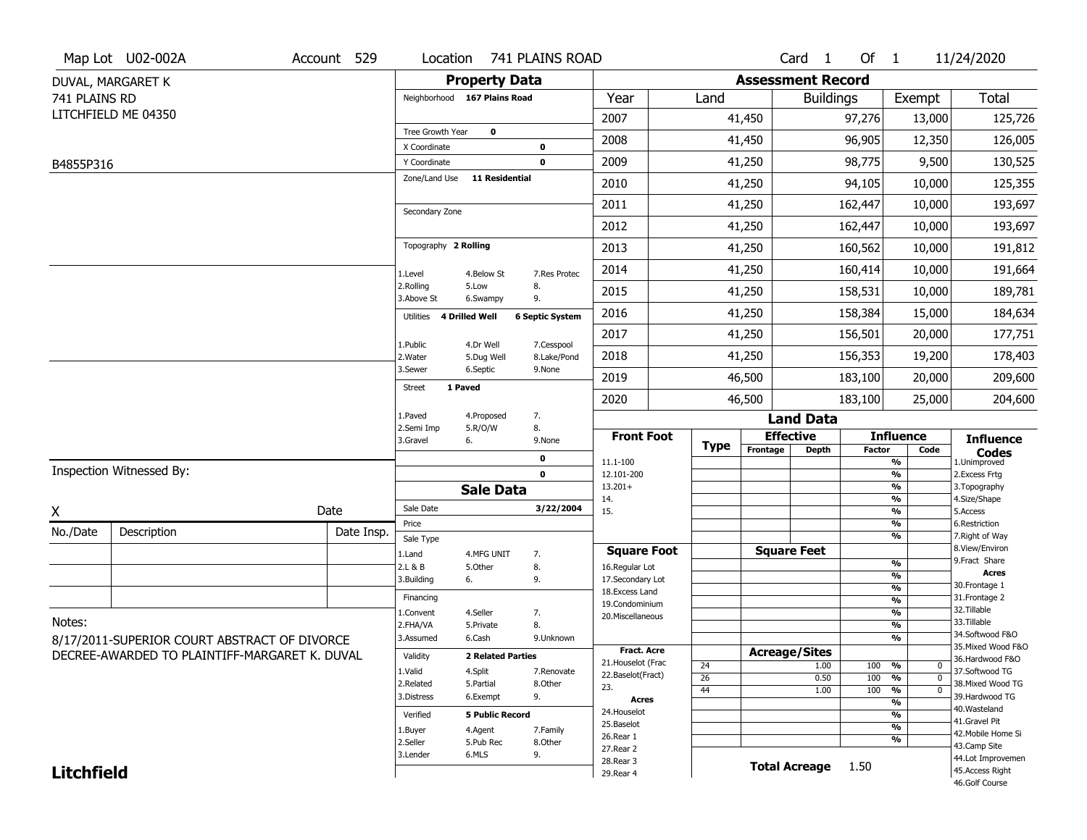|                   | Map Lot U02-002A                              | Account 529 | Location                     |                              | 741 PLAINS ROAD        |                                         |             |                          | Card <sub>1</sub>                | Of $1$        |                                           | 11/24/2020                            |
|-------------------|-----------------------------------------------|-------------|------------------------------|------------------------------|------------------------|-----------------------------------------|-------------|--------------------------|----------------------------------|---------------|-------------------------------------------|---------------------------------------|
|                   | DUVAL, MARGARET K                             |             |                              | <b>Property Data</b>         |                        |                                         |             | <b>Assessment Record</b> |                                  |               |                                           |                                       |
| 741 PLAINS RD     |                                               |             |                              | Neighborhood 167 Plains Road |                        | Year                                    | Land        |                          | <b>Buildings</b>                 |               | Exempt                                    | Total                                 |
|                   | LITCHFIELD ME 04350                           |             |                              |                              |                        | 2007                                    |             | 41,450                   |                                  | 97,276        | 13,000                                    | 125,726                               |
|                   |                                               |             | Tree Growth Year             | $\mathbf 0$                  |                        | 2008                                    |             | 41,450                   |                                  | 96,905        | 12,350                                    | 126,005                               |
| B4855P316         |                                               |             | X Coordinate<br>Y Coordinate |                              | 0<br>$\mathbf 0$       | 2009                                    |             | 41,250                   |                                  | 98,775        | 9,500                                     | 130,525                               |
|                   |                                               |             | Zone/Land Use                | <b>11 Residential</b>        |                        | 2010                                    |             | 41,250                   |                                  | 94,105        | 10,000                                    | 125,355                               |
|                   |                                               |             |                              |                              |                        | 2011                                    |             | 41,250                   |                                  | 162,447       | 10,000                                    | 193,697                               |
|                   |                                               |             | Secondary Zone               |                              |                        | 2012                                    |             | 41,250                   |                                  | 162,447       | 10,000                                    | 193,697                               |
|                   |                                               |             | Topography 2 Rolling         |                              |                        | 2013                                    |             | 41,250                   |                                  | 160,562       | 10,000                                    | 191,812                               |
|                   |                                               |             |                              |                              |                        | 2014                                    |             | 41,250                   |                                  | 160,414       | 10,000                                    | 191,664                               |
|                   |                                               |             | 1.Level<br>2.Rolling         | 4.Below St<br>5.Low          | 7.Res Protec<br>8.     |                                         |             |                          |                                  |               |                                           |                                       |
|                   |                                               |             | 3.Above St                   | 6.Swampy                     | 9.                     | 2015                                    |             | 41,250                   |                                  | 158,531       | 10,000                                    | 189,781                               |
|                   |                                               |             | Utilities                    | 4 Drilled Well               | <b>6 Septic System</b> | 2016                                    |             | 41,250                   |                                  | 158,384       | 15,000                                    | 184,634                               |
|                   |                                               |             | 1.Public                     | 4.Dr Well                    | 7.Cesspool             | 2017                                    |             | 41,250                   |                                  | 156,501       | 20,000                                    | 177,751                               |
|                   |                                               |             | 2. Water<br>3.Sewer          | 5.Dug Well<br>6.Septic       | 8.Lake/Pond<br>9.None  | 2018                                    |             | 41,250                   |                                  | 156,353       | 19,200                                    | 178,403                               |
|                   |                                               |             | <b>Street</b>                | 1 Paved                      |                        | 2019                                    |             | 46,500                   |                                  | 183,100       | 20,000                                    | 209,600                               |
|                   |                                               |             |                              |                              |                        | 2020                                    |             | 46,500                   |                                  | 183,100       | 25,000                                    | 204,600                               |
|                   |                                               |             | 1.Paved<br>2.Semi Imp        | 4.Proposed<br>5.R/O/W        | 7.<br>8.               |                                         |             |                          | <b>Land Data</b>                 |               |                                           |                                       |
|                   |                                               |             | 3.Gravel                     | 6.                           | 9.None                 | <b>Front Foot</b>                       | <b>Type</b> | Frontage                 | <b>Effective</b><br><b>Depth</b> | <b>Factor</b> | <b>Influence</b><br>Code                  | <b>Influence</b><br><b>Codes</b>      |
|                   | Inspection Witnessed By:                      |             |                              |                              | 0                      | 11.1-100                                |             |                          |                                  |               | %                                         | 1.Unimproved                          |
|                   |                                               |             |                              | <b>Sale Data</b>             | $\mathbf 0$            | 12.101-200<br>$13.201+$                 |             |                          |                                  |               | %<br>%                                    | 2. Excess Frtg<br>3. Topography       |
| X                 |                                               | Date        | Sale Date                    |                              | 3/22/2004              | 14.<br>15.                              |             |                          |                                  |               | %<br>%                                    | 4.Size/Shape<br>5.Access              |
| No./Date          |                                               | Date Insp.  | Price                        |                              |                        |                                         |             |                          |                                  |               | %                                         | 6.Restriction                         |
|                   | Description                                   |             | Sale Type                    |                              |                        | <b>Square Foot</b>                      |             |                          | <b>Square Feet</b>               |               | %                                         | 7. Right of Way<br>8.View/Environ     |
|                   |                                               |             | 1.Land<br>2.L & B            | 4.MFG UNIT<br>5.Other        | 7.<br>8.               | 16.Regular Lot                          |             |                          |                                  |               | $\frac{9}{6}$                             | 9.Fract Share                         |
|                   |                                               |             | 3.Building                   | 6.                           | 9.                     | 17.Secondary Lot                        |             |                          |                                  |               | %                                         | <b>Acres</b><br>30. Frontage 1        |
|                   |                                               |             | Financing                    |                              |                        | 18.Excess Land                          |             |                          |                                  |               | $\frac{9}{6}$<br>$\overline{\frac{9}{6}}$ | 31. Frontage 2                        |
|                   |                                               |             | 1.Convent                    | 4.Seller                     | 7.                     | 19.Condominium<br>20.Miscellaneous      |             |                          |                                  |               | $\overline{\frac{9}{6}}$                  | 32.Tillable                           |
| Notes:            |                                               |             | 2.FHA/VA                     | 5.Private                    | 8.                     |                                         |             |                          |                                  |               | $\overline{\frac{9}{6}}$                  | 33.Tillable                           |
|                   | 8/17/2011-SUPERIOR COURT ABSTRACT OF DIVORCE  |             | 3.Assumed                    | 6.Cash                       | 9.Unknown              |                                         |             |                          |                                  |               | %                                         | 34.Softwood F&O                       |
|                   | DECREE-AWARDED TO PLAINTIFF-MARGARET K. DUVAL |             | Validity                     | <b>2 Related Parties</b>     |                        | <b>Fract. Acre</b>                      |             |                          | <b>Acreage/Sites</b>             |               |                                           | 35. Mixed Wood F&O<br>36.Hardwood F&O |
|                   |                                               |             | 1.Valid                      | 4.Split                      | 7.Renovate             | 21. Houselot (Frac<br>22.Baselot(Fract) | 24          |                          | 1.00                             | 100           | %<br>$\mathbf 0$                          | 37.Softwood TG                        |
|                   |                                               |             | 2.Related                    | 5.Partial                    | 8.Other                | 23.                                     | 26          |                          | 0.50                             | 100           | %<br>$\mathbf 0$                          | 38. Mixed Wood TG                     |
|                   |                                               |             | 3.Distress                   | 6.Exempt                     | 9.                     | <b>Acres</b>                            | 44          |                          | 1.00                             | 100           | $\frac{1}{\sqrt{6}}$<br>$\mathbf 0$<br>%  | 39.Hardwood TG                        |
|                   |                                               |             | Verified                     | <b>5 Public Record</b>       |                        | 24. Houselot                            |             |                          |                                  |               | %                                         | 40. Wasteland                         |
|                   |                                               |             | 1.Buyer                      | 4.Agent                      | 7.Family               | 25.Baselot                              |             |                          |                                  |               | $\frac{9}{6}$                             | 41.Gravel Pit                         |
|                   |                                               |             | 2.Seller                     | 5.Pub Rec                    | 8.Other                | 26.Rear 1                               |             |                          |                                  |               | %                                         | 42. Mobile Home Si<br>43.Camp Site    |
|                   |                                               |             |                              |                              |                        |                                         |             |                          |                                  |               |                                           |                                       |
|                   |                                               |             | 3.Lender                     | 6.MLS                        | 9.                     | 27. Rear 2                              |             |                          |                                  |               |                                           |                                       |
| <b>Litchfield</b> |                                               |             |                              |                              |                        | 28. Rear 3<br>29. Rear 4                |             |                          | <b>Total Acreage</b>             | 1.50          |                                           | 44.Lot Improvemen<br>45.Access Right  |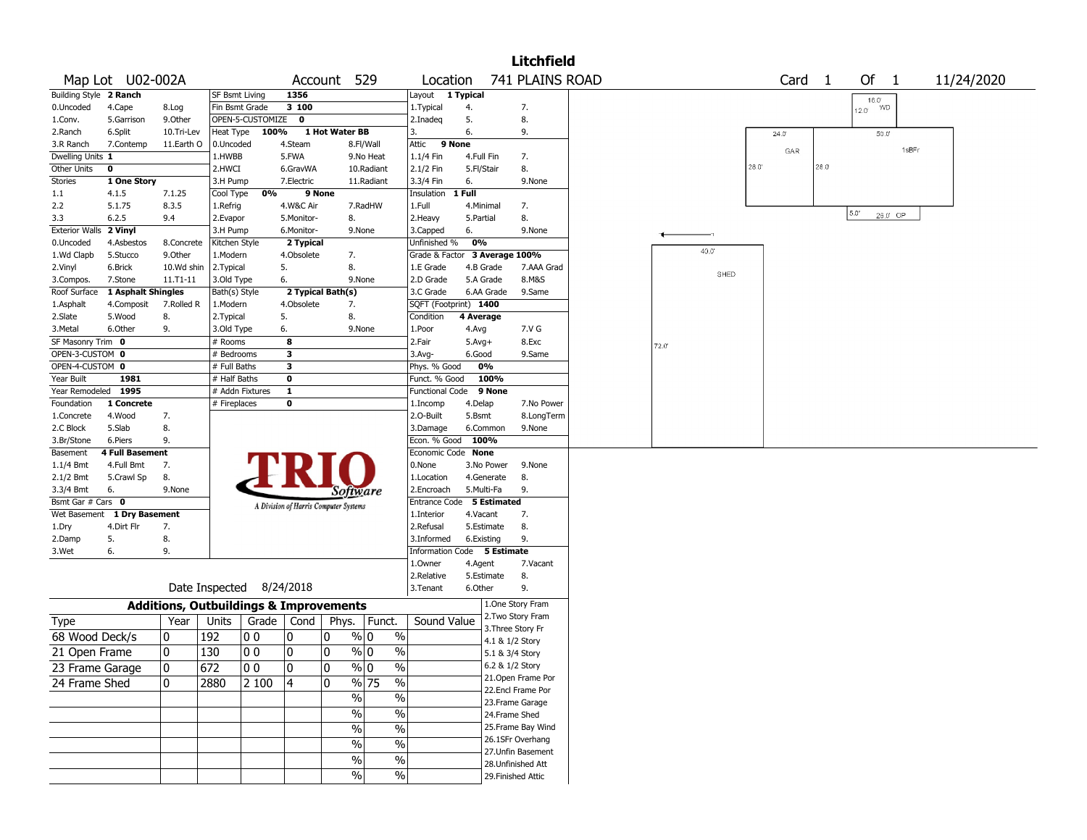|                        |                        |             |                                                   |                  |                                       |                |            |               |                               |            |             | <b>Litchfield</b>  |      |                |      |                   |      |                |                    |       |            |
|------------------------|------------------------|-------------|---------------------------------------------------|------------------|---------------------------------------|----------------|------------|---------------|-------------------------------|------------|-------------|--------------------|------|----------------|------|-------------------|------|----------------|--------------------|-------|------------|
|                        | Map Lot U02-002A       |             |                                                   |                  | Account                               |                | 529        |               | Location                      |            |             | 741 PLAINS ROAD    |      |                |      | Card <sub>1</sub> |      |                | Of<br>$\mathbf{1}$ |       | 11/24/2020 |
| Building Style 2 Ranch |                        |             | SF Bsmt Living                                    |                  | 1356                                  |                |            |               | Layout 1 Typical              |            |             |                    |      |                |      |                   |      |                | $16.0^{\circ}$     |       |            |
| 0.Uncoded              | 4.Cape                 | 8.Log       | Fin Bsmt Grade                                    |                  | 3 100                                 |                |            |               | 1.Typical                     | 4.         |             | 7.                 |      |                |      |                   |      | $12.0^{\circ}$ | <b>WD</b>          |       |            |
| 1.Conv.                | 5.Garrison             | 9.Other     |                                                   | OPEN-5-CUSTOMIZE | 0                                     |                |            |               | 2.Inadeq                      | 5.         |             | 8.                 |      |                |      |                   |      |                |                    |       |            |
| 2.Ranch                | 6.Split                | 10.Tri-Lev  | Heat Type                                         | 100%             |                                       | 1 Hot Water BB |            |               | 3.                            | 6.         |             | 9.                 |      |                |      | $24.0^{\circ}$    |      |                | 50.0               |       |            |
| 3.R Ranch              | 7.Contemp              | 11.Earth O  | 0.Uncoded                                         |                  | 4.Steam                               |                | 8.Fl/Wall  |               | Attic                         | 9 None     |             |                    |      |                |      | GAR               |      |                |                    | 1sBFr |            |
| Dwelling Units 1       |                        |             | 1.HWBB                                            |                  | 5.FWA                                 |                | 9.No Heat  |               | 1.1/4 Fin                     | 4.Full Fin |             | 7.                 |      |                |      |                   |      |                |                    |       |            |
| Other Units            | 0                      |             | 2.HWCI                                            |                  | 6.GravWA                              |                | 10.Radiant |               | 2.1/2 Fin                     | 5.Fl/Stair |             | 8.                 |      |                | 28.0 |                   | 28.0 |                |                    |       |            |
| <b>Stories</b>         | 1 One Story            |             | 3.H Pump                                          |                  | 7.Electric                            |                | 11.Radiant |               | 3.3/4 Fin                     | 6.         |             | 9.None             |      |                |      |                   |      |                |                    |       |            |
| 1.1                    | 4.1.5                  | 7.1.25      | Cool Type                                         | 0%               |                                       | 9 None         |            |               | Insulation                    | 1 Full     |             |                    |      |                |      |                   |      |                |                    |       |            |
| 2.2                    | 5.1.75                 | 8.3.5       | 1.Refrig                                          |                  | 4.W&C Air                             |                | 7.RadHW    |               | 1.Full                        |            | 4.Minimal   | 7.                 |      |                |      |                   |      | $5.0^\circ$    |                    |       |            |
| 3.3                    | 6.2.5                  | 9.4         | 2.Evapor                                          |                  | 5.Monitor-                            |                | 8.         |               | 2. Heavy                      | 5.Partial  |             | 8.                 |      |                |      |                   |      |                | 26.0 OP            |       |            |
| <b>Exterior Walls</b>  | 2 Vinyl                |             | 3.H Pump                                          |                  | 6.Monitor-                            |                | 9.None     |               | 3.Capped                      | 6.         |             | 9.None             |      |                |      |                   |      |                |                    |       |            |
| 0.Uncoded              | 4.Asbestos             | 8.Concrete  | Kitchen Style                                     |                  | 2 Typical                             |                |            |               | Unfinished %                  | 0%         |             |                    |      | $40.0^{\circ}$ |      |                   |      |                |                    |       |            |
| 1.Wd Clapb             | 5.Stucco               | 9.0ther     | 1.Modern                                          |                  | 4.Obsolete                            |                | 7.         |               | Grade & Factor 3 Average 100% |            |             |                    |      |                |      |                   |      |                |                    |       |            |
| 2.Vinyl                | 6.Brick                | 10.Wd shin  | 2. Typical                                        |                  | 5.                                    |                | 8.         |               | 1.E Grade                     |            | 4.B Grade   | 7.AAA Grad         |      | SHED           |      |                   |      |                |                    |       |            |
| 3.Compos.              | 7.Stone                | 11.T1-11    | 3.Old Type                                        |                  | 6.                                    |                | 9.None     |               | 2.D Grade                     |            | 5.A Grade   | 8.M&S              |      |                |      |                   |      |                |                    |       |            |
| Roof Surface           | 1 Asphalt Shingles     |             | Bath(s) Style                                     |                  | 2 Typical Bath(s)                     |                |            |               | 3.C Grade                     |            | 6.AA Grade  | 9.Same             |      |                |      |                   |      |                |                    |       |            |
| 1.Asphalt              | 4.Composit             | 7.Rolled R  | 1.Modern                                          |                  | 4.Obsolete                            |                | 7.         |               | SQFT (Footprint) 1400         |            |             |                    |      |                |      |                   |      |                |                    |       |            |
| 2.Slate                | 5.Wood                 | 8.          | 2. Typical                                        |                  | 5.                                    |                | 8.         |               | Condition                     | 4 Average  |             |                    |      |                |      |                   |      |                |                    |       |            |
| 3.Metal                | 6.Other                | 9.          | 3.Old Type                                        |                  | 6.                                    |                | 9.None     |               | 1.Poor                        | 4.Avg      |             | 7.V G              |      |                |      |                   |      |                |                    |       |            |
| SF Masonry Trim 0      |                        |             | # Rooms                                           |                  | 8                                     |                |            |               | 2.Fair                        | $5.Avg+$   |             | 8.Exc              | 72.0 |                |      |                   |      |                |                    |       |            |
| OPEN-3-CUSTOM 0        |                        |             | # Bedrooms                                        |                  | 3                                     |                |            |               | 3.Avg-                        | 6.Good     |             | 9.Same             |      |                |      |                   |      |                |                    |       |            |
| OPEN-4-CUSTOM 0        |                        |             | # Full Baths                                      |                  | 3                                     |                |            |               | Phys. % Good                  |            | 0%          |                    |      |                |      |                   |      |                |                    |       |            |
| Year Built             | 1981                   |             | # Half Baths                                      |                  | $\bf{0}$                              |                |            |               | Funct. % Good                 |            | 100%        |                    |      |                |      |                   |      |                |                    |       |            |
| Year Remodeled         | 1995                   |             | # Addn Fixtures                                   |                  | $\mathbf{1}$                          |                |            |               | <b>Functional Code</b>        |            | 9 None      |                    |      |                |      |                   |      |                |                    |       |            |
| Foundation             | 1 Concrete             |             | # Fireplaces                                      |                  | $\bf{0}$                              |                |            |               | 1.Incomp                      | 4.Delap    |             | 7.No Power         |      |                |      |                   |      |                |                    |       |            |
| 1.Concrete             | 4.Wood                 | 7.          |                                                   |                  |                                       |                |            |               | 2.O-Built                     | 5.Bsmt     |             | 8.LongTerm         |      |                |      |                   |      |                |                    |       |            |
| 2.C Block              | 5.Slab                 | 8.          |                                                   |                  |                                       |                |            |               | 3.Damage                      |            | 6.Common    | 9.None             |      |                |      |                   |      |                |                    |       |            |
| 3.Br/Stone             | 6.Piers                | 9.          |                                                   |                  |                                       |                |            |               | Econ. % Good                  |            | 100%        |                    |      |                |      |                   |      |                |                    |       |            |
| Basement               | <b>4 Full Basement</b> |             |                                                   |                  |                                       |                |            |               | Economic Code None            |            |             |                    |      |                |      |                   |      |                |                    |       |            |
| 1.1/4 Bmt              | 4.Full Bmt             | 7.          |                                                   |                  |                                       |                |            |               | 0.None                        |            | 3.No Power  | 9.None             |      |                |      |                   |      |                |                    |       |            |
| 2.1/2 Bmt              | 5.Crawl Sp             | 8.          |                                                   |                  |                                       |                |            |               | 1.Location                    |            | 4.Generate  | 8.                 |      |                |      |                   |      |                |                    |       |            |
| 3.3/4 Bmt              | 6.                     | 9.None      |                                                   |                  |                                       |                | Software   |               | 2.Encroach                    |            | 5.Multi-Fa  | 9.                 |      |                |      |                   |      |                |                    |       |            |
| Bsmt Gar # Cars 0      |                        |             |                                                   |                  | A Division of Harris Computer Systems |                |            |               | <b>Entrance Code</b>          |            | 5 Estimated |                    |      |                |      |                   |      |                |                    |       |            |
| Wet Basement           | 1 Dry Basement         |             |                                                   |                  |                                       |                |            |               | 1.Interior                    | 4.Vacant   |             | 7.                 |      |                |      |                   |      |                |                    |       |            |
| 1.Dry                  | 4.Dirt Flr             | 7.          |                                                   |                  |                                       |                |            |               | 2.Refusal                     |            | 5.Estimate  | 8.                 |      |                |      |                   |      |                |                    |       |            |
| 2.Damp                 | 5.                     | 8.          |                                                   |                  |                                       |                |            |               | 3.Informed                    |            | 6.Existing  | 9.                 |      |                |      |                   |      |                |                    |       |            |
| 3.Wet                  | 6.                     | 9.          |                                                   |                  |                                       |                |            |               | <b>Information Code</b>       |            | 5 Estimate  |                    |      |                |      |                   |      |                |                    |       |            |
|                        |                        |             |                                                   |                  |                                       |                |            |               | 1.Owner                       | 4.Agent    |             | 7.Vacant           |      |                |      |                   |      |                |                    |       |            |
|                        |                        |             |                                                   |                  |                                       |                |            |               | 2.Relative                    |            | 5.Estimate  | 8.                 |      |                |      |                   |      |                |                    |       |            |
|                        |                        |             | Date Inspected 8/24/2018                          |                  |                                       |                |            |               | 3. Tenant                     | 6.Other    |             | 9.                 |      |                |      |                   |      |                |                    |       |            |
|                        |                        |             | <b>Additions, Outbuildings &amp; Improvements</b> |                  |                                       |                |            |               |                               |            |             | 1.One Story Fram   |      |                |      |                   |      |                |                    |       |            |
| Type                   |                        | Year        | Units                                             | Grade            | Cond                                  | Phys.          | Funct.     |               | Sound Value                   |            |             | 2. Two Story Fram  |      |                |      |                   |      |                |                    |       |            |
| 68 Wood Deck/s         |                        | 0           | 192                                               | O O              | 0                                     | 0              | % 0        | $\frac{0}{0}$ |                               |            |             | 3. Three Story Fr  |      |                |      |                   |      |                |                    |       |            |
|                        |                        |             |                                                   |                  |                                       |                |            |               |                               |            |             | 4.1 & 1/2 Story    |      |                |      |                   |      |                |                    |       |            |
| 21 Open Frame          |                        | 0           | 130                                               | 00               | 0                                     | 10             | % 0        | $\%$          |                               |            |             | 5.1 & 3/4 Story    |      |                |      |                   |      |                |                    |       |            |
| 23 Frame Garage        |                        | $\mathbf 0$ | 672                                               | 00               | 0                                     | ١o             | % 0        | $\frac{0}{0}$ |                               |            |             | 6.2 & 1/2 Story    |      |                |      |                   |      |                |                    |       |            |
| 24 Frame Shed          |                        | 0           | 2880                                              | 2 100            | 4                                     | 10             | % 75       | $\%$          |                               |            |             | 21. Open Frame Por |      |                |      |                   |      |                |                    |       |            |
|                        |                        |             |                                                   |                  |                                       |                | $\%$       | $\frac{1}{2}$ |                               |            |             | 22.Encl Frame Por  |      |                |      |                   |      |                |                    |       |            |
|                        |                        |             |                                                   |                  |                                       |                |            |               |                               |            |             | 23. Frame Garage   |      |                |      |                   |      |                |                    |       |            |
|                        |                        |             |                                                   |                  |                                       |                | $\%$       | $\frac{1}{2}$ |                               |            |             | 24.Frame Shed      |      |                |      |                   |      |                |                    |       |            |
|                        |                        |             |                                                   |                  |                                       |                | $\%$       | $\frac{0}{6}$ |                               |            |             | 25. Frame Bay Wind |      |                |      |                   |      |                |                    |       |            |
|                        |                        |             |                                                   |                  |                                       |                | $\%$       | $\frac{1}{2}$ |                               |            |             | 26.1SFr Overhang   |      |                |      |                   |      |                |                    |       |            |
|                        |                        |             |                                                   |                  |                                       |                |            | $\frac{1}{2}$ |                               |            |             | 27.Unfin Basement  |      |                |      |                   |      |                |                    |       |            |
|                        |                        |             |                                                   |                  |                                       |                | $\%$       |               |                               |            |             | 28. Unfinished Att |      |                |      |                   |      |                |                    |       |            |
|                        |                        |             |                                                   |                  |                                       |                | $\%$       | $\%$          |                               |            |             | 29. Finished Attic |      |                |      |                   |      |                |                    |       |            |
|                        |                        |             |                                                   |                  |                                       |                |            |               |                               |            |             |                    |      |                |      |                   |      |                |                    |       |            |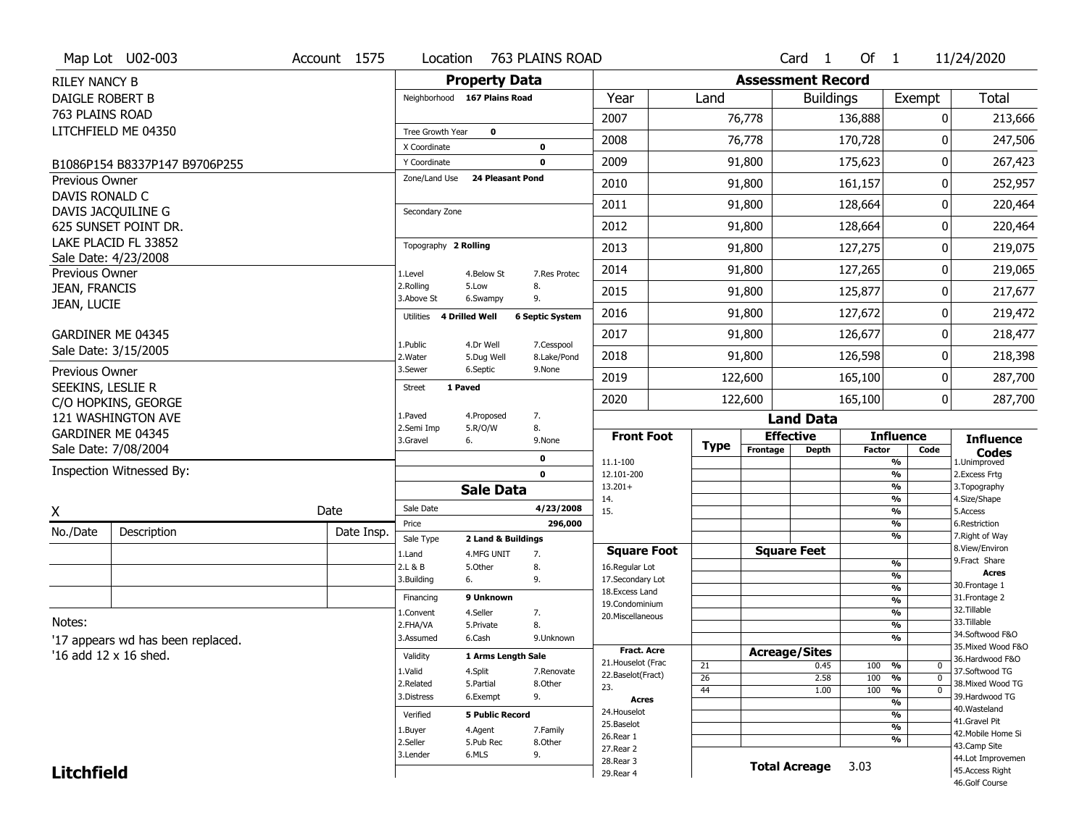|                                     | Map Lot U02-003                   | Account 1575 | Location              | 763 PLAINS ROAD                                 |                                    |                    |                 |                          | Card <sub>1</sub>    | Of $1$        |                       | 11/24/2020                           |
|-------------------------------------|-----------------------------------|--------------|-----------------------|-------------------------------------------------|------------------------------------|--------------------|-----------------|--------------------------|----------------------|---------------|-----------------------|--------------------------------------|
| <b>RILEY NANCY B</b>                |                                   |              |                       | <b>Property Data</b>                            |                                    |                    |                 | <b>Assessment Record</b> |                      |               |                       |                                      |
| DAIGLE ROBERT B                     |                                   |              |                       | Neighborhood 167 Plains Road                    | Year                               |                    | Land            |                          | <b>Buildings</b>     |               | Exempt                | <b>Total</b>                         |
| 763 PLAINS ROAD                     |                                   |              |                       |                                                 | 2007                               |                    |                 | 76,778                   |                      | 136,888       |                       | 213,666<br>0                         |
|                                     | LITCHFIELD ME 04350               |              | Tree Growth Year      | $\mathbf 0$                                     |                                    |                    |                 |                          |                      |               |                       |                                      |
|                                     |                                   |              | X Coordinate          | $\mathbf 0$                                     | 2008                               |                    |                 | 76,778                   |                      | 170,728       |                       | 247,506<br>0                         |
|                                     | B1086P154 B8337P147 B9706P255     |              | Y Coordinate          | $\mathbf 0$                                     | 2009                               |                    |                 | 91,800                   |                      | 175,623       |                       | 0<br>267,423                         |
| <b>Previous Owner</b>               |                                   |              | Zone/Land Use         | <b>24 Pleasant Pond</b>                         | 2010                               |                    |                 | 91,800                   |                      | 161,157       |                       | 252,957<br>0                         |
| DAVIS RONALD C                      | DAVIS JACQUILINE G                |              | Secondary Zone        |                                                 | 2011                               |                    |                 | 91,800                   |                      | 128,664       |                       | O<br>220,464                         |
|                                     | 625 SUNSET POINT DR.              |              |                       |                                                 | 2012                               |                    |                 | 91,800                   |                      | 128,664       |                       | 0<br>220,464                         |
|                                     | LAKE PLACID FL 33852              |              | Topography 2 Rolling  |                                                 | 2013                               |                    |                 | 91,800                   |                      | 127,275       |                       | 219,075<br>0                         |
|                                     | Sale Date: 4/23/2008              |              |                       |                                                 |                                    |                    |                 |                          |                      |               |                       |                                      |
| Previous Owner                      |                                   |              | 1.Level<br>2.Rolling  | 4.Below St<br>8.<br>5.Low                       | 2014<br>7.Res Protec               |                    |                 | 91,800                   |                      | 127,265       |                       | 219,065<br>0                         |
| <b>JEAN, FRANCIS</b><br>JEAN, LUCIE |                                   |              | 3.Above St            | 9.<br>6.Swampy                                  | 2015                               |                    |                 | 91,800                   |                      | 125,877       |                       | 217,677<br>0                         |
|                                     |                                   |              | Utilities             | <b>4 Drilled Well</b><br><b>6 Septic System</b> | 2016                               |                    |                 | 91,800                   |                      | 127,672       |                       | 219,472<br>0                         |
|                                     | GARDINER ME 04345                 |              | 1.Public              | 4.Dr Well                                       | 2017<br>7.Cesspool                 |                    |                 | 91,800                   |                      | 126,677       |                       | 218,477<br>0                         |
|                                     | Sale Date: 3/15/2005              |              | 2. Water              | 5.Dug Well                                      | 2018<br>8.Lake/Pond                |                    |                 | 91,800                   |                      | 126,598       |                       | 0<br>218,398                         |
| Previous Owner                      |                                   |              | 3.Sewer               | 6.Septic<br>9.None                              | 2019                               |                    |                 | 122,600                  |                      | 165,100       |                       | 287,700<br>0                         |
| SEEKINS, LESLIE R                   | C/O HOPKINS, GEORGE               |              | <b>Street</b>         | 1 Paved                                         | 2020                               |                    |                 | 122,600                  |                      | 165,100       |                       | 0<br>287,700                         |
|                                     | 121 WASHINGTON AVE                |              | 1.Paved               | 7.<br>4.Proposed                                |                                    |                    |                 |                          | <b>Land Data</b>     |               |                       |                                      |
|                                     |                                   |              |                       |                                                 |                                    |                    |                 |                          |                      |               |                       |                                      |
|                                     | GARDINER ME 04345                 |              | 2.Semi Imp            | 8.<br>5.R/O/W<br>9.None                         |                                    | <b>Front Foot</b>  |                 |                          | <b>Effective</b>     |               | <b>Influence</b>      |                                      |
|                                     | Sale Date: 7/08/2004              |              | 3.Gravel              | 6.                                              |                                    |                    | <b>Type</b>     | Frontage                 | <b>Depth</b>         | <b>Factor</b> | Code                  | <b>Influence</b><br><b>Codes</b>     |
|                                     | Inspection Witnessed By:          |              |                       | 0<br>$\mathbf 0$                                | 11.1-100<br>12.101-200             |                    |                 |                          |                      |               | %<br>$\frac{9}{6}$    | 1.Unimproved<br>2.Excess Frtg        |
|                                     |                                   |              |                       | <b>Sale Data</b>                                | $13.201+$                          |                    |                 |                          |                      |               | %                     | 3. Topography                        |
|                                     |                                   |              | Sale Date             |                                                 | 14.<br>4/23/2008<br>15.            |                    |                 |                          |                      |               | $\frac{9}{6}$<br>%    | 4.Size/Shape<br>5.Access             |
| Χ                                   |                                   | Date         | Price                 |                                                 | 296,000                            |                    |                 |                          |                      |               | $\frac{9}{6}$         | 6.Restriction                        |
| No./Date                            | Description                       | Date Insp.   | Sale Type             | 2 Land & Buildings                              |                                    |                    |                 |                          |                      |               | %                     | 7. Right of Way                      |
|                                     |                                   |              | 1.Land                | 4.MFG UNIT<br>7.                                |                                    | <b>Square Foot</b> |                 |                          | <b>Square Feet</b>   |               |                       | 8.View/Environ<br>9. Fract Share     |
|                                     |                                   |              | 2.L & B<br>3.Building | 5.Other<br>8.<br>9.<br>6.                       | 16.Regular Lot<br>17.Secondary Lot |                    |                 |                          |                      |               | $\frac{9}{6}$<br>%    | <b>Acres</b>                         |
|                                     |                                   |              |                       |                                                 | 18. Excess Land                    |                    |                 |                          |                      |               | $\frac{9}{6}$         | 30. Frontage 1                       |
|                                     |                                   |              | Financing             | 9 Unknown                                       | 19.Condominium                     |                    |                 |                          |                      |               | $\frac{9}{6}$         | 31. Frontage 2<br>32. Tillable       |
| Notes:                              |                                   |              | 1.Convent             | 4.Seller<br>7.                                  | 20.Miscellaneous                   |                    |                 |                          |                      |               | $\frac{9}{6}$         | 33.Tillable                          |
|                                     |                                   |              | 2.FHA/VA<br>3.Assumed | 8.<br>5.Private<br>6.Cash                       | 9.Unknown                          |                    |                 |                          |                      |               | $\frac{9}{6}$<br>$\%$ | 34.Softwood F&O                      |
|                                     | '17 appears wd has been replaced. |              |                       |                                                 |                                    | <b>Fract, Acre</b> |                 |                          |                      |               |                       | 35. Mixed Wood F&O                   |
|                                     | '16 add 12 x 16 shed.             |              | Validity              | 1 Arms Length Sale                              | 21. Houselot (Frac                 |                    | 21              | <b>Acreage/Sites</b>     | 0.45                 | 100           | %<br>0                | 36.Hardwood F&O                      |
|                                     |                                   |              | 1.Valid               | 4.Split                                         | 7.Renovate<br>22.Baselot(Fract)    |                    | $\overline{26}$ |                          | 2.58                 | 100           | $\overline{0}$<br>%   | 37.Softwood TG                       |
|                                     |                                   |              | 2.Related             | 5.Partial<br>8.Other                            | 23.                                |                    | 44              |                          | 1.00                 | 100           | $\overline{0}$<br>%   | 38. Mixed Wood TG                    |
|                                     |                                   |              | 3.Distress            | 9.<br>6.Exempt                                  |                                    | Acres              |                 |                          |                      |               | %                     | 39.Hardwood TG<br>40. Wasteland      |
|                                     |                                   |              | Verified              | <b>5 Public Record</b>                          | 24. Houselot                       |                    |                 |                          |                      |               | %                     | 41.Gravel Pit                        |
|                                     |                                   |              | 1.Buyer               | 4.Agent<br>7.Family                             | 25.Baselot<br>26.Rear 1            |                    |                 |                          |                      |               | %                     | 42. Mobile Home Si                   |
|                                     |                                   |              | 2.Seller              | 5.Pub Rec<br>8.Other                            | 27.Rear 2                          |                    |                 |                          |                      |               | %                     | 43.Camp Site                         |
| <b>Litchfield</b>                   |                                   |              | 3.Lender              | 6.MLS<br>9.                                     | 28. Rear 3<br>29. Rear 4           |                    |                 |                          | <b>Total Acreage</b> | 3.03          |                       | 44.Lot Improvemen<br>45.Access Right |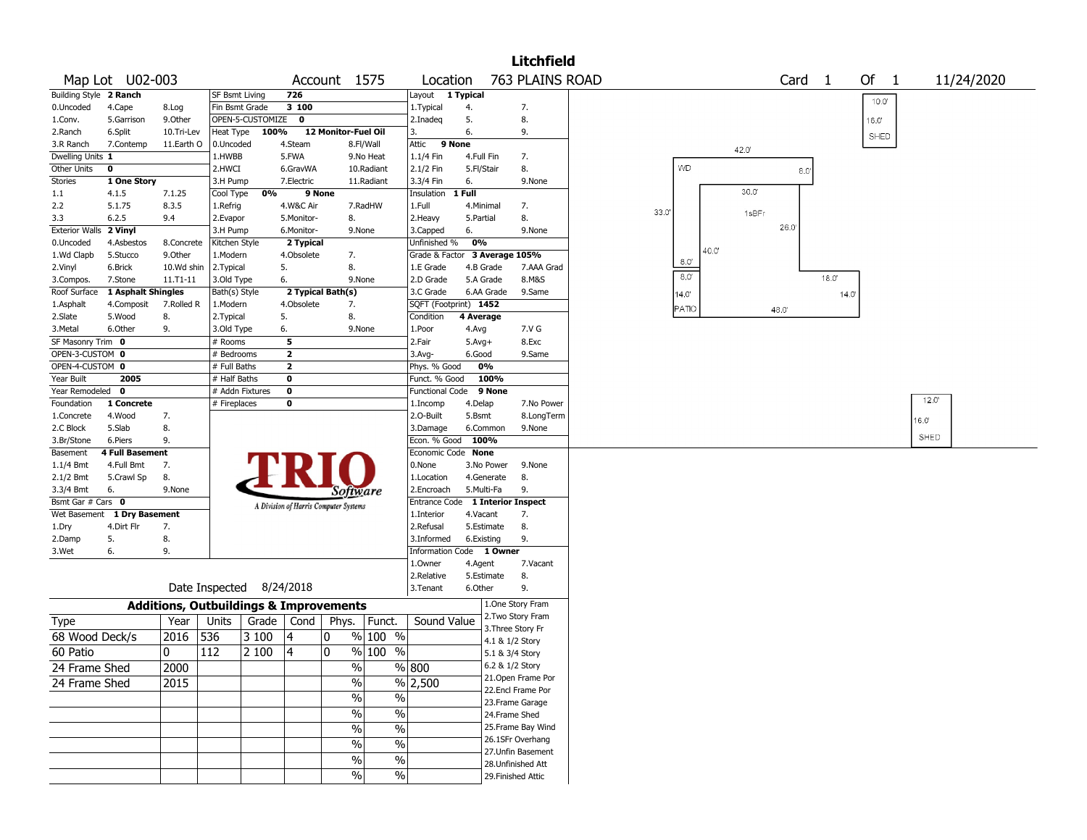|                        |                                   |                                                   |                          |                  |                                       |                     |                                        |                                    |           |                                         | <b>Litchfield</b> |                  |       |                |        |       |                |                |  |
|------------------------|-----------------------------------|---------------------------------------------------|--------------------------|------------------|---------------------------------------|---------------------|----------------------------------------|------------------------------------|-----------|-----------------------------------------|-------------------|------------------|-------|----------------|--------|-------|----------------|----------------|--|
|                        | Map Lot U02-003                   |                                                   |                          |                  |                                       | Account 1575        |                                        | Location                           |           |                                         | 763 PLAINS ROAD   |                  |       |                | Card 1 |       | Of 1           | 11/24/2020     |  |
| Building Style 2 Ranch |                                   |                                                   | SF Bsmt Living           |                  | 726                                   |                     |                                        | Layout 1 Typical                   |           |                                         |                   |                  |       |                |        |       | $10.0^{\circ}$ |                |  |
| 0.Uncoded              | 4.Cape                            | 8.Log                                             | Fin Bsmt Grade           |                  | 3 100                                 |                     |                                        | 1. Typical                         | 4.        |                                         | 7.                |                  |       |                |        |       |                |                |  |
| 1.Conv.                | 5.Garrison                        | 9.0ther                                           |                          | OPEN-5-CUSTOMIZE | 0                                     |                     |                                        | 2.Inadeq                           | 5.        |                                         | 8.                |                  |       |                |        |       | 16.0'          |                |  |
| 2.Ranch                | 6.Split                           | 10.Tri-Lev                                        | Heat Type                | 100%             |                                       | 12 Monitor-Fuel Oil |                                        | 3.                                 | 6.        |                                         | 9.                |                  |       |                |        |       | SHED           |                |  |
| 3.R Ranch              | 7.Contemp                         | 11.Earth O                                        | 0.Uncoded                |                  | 4.Steam                               |                     | 8.Fl/Wall                              | Attic 9 None                       |           |                                         |                   |                  |       | 42.0           |        |       |                |                |  |
| Dwelling Units 1       |                                   |                                                   | 1.HWBB                   |                  | 5.FWA                                 |                     | 9.No Heat                              | 1.1/4 Fin                          |           | 4.Full Fin                              | 7.                |                  |       |                |        |       |                |                |  |
| Other Units            | 0                                 |                                                   | 2.HWCI                   |                  | 6.GravWA                              |                     | 10.Radiant                             | 2.1/2 Fin                          |           | 5.Fl/Stair                              | 8.                | <b>VVD</b>       |       |                | 8.0    |       |                |                |  |
| <b>Stories</b>         | 1 One Story                       |                                                   | 3.H Pump                 |                  | 7.Electric                            |                     | 11.Radiant                             | 3.3/4 Fin                          | 6.        |                                         | 9.None            |                  |       |                |        |       |                |                |  |
| $1.1\,$                | 4.1.5                             | 7.1.25                                            | Cool Type                | 0%               |                                       | 9 None              |                                        | Insulation                         | 1 Full    |                                         |                   |                  |       | $30.0^{\circ}$ |        |       |                |                |  |
| 2.2                    | 5.1.75                            | 8.3.5                                             | 1.Refrig                 |                  | 4.W&C Air                             |                     | 7.RadHW                                | 1.Full                             |           | 4.Minimal                               | 7.                | 33.0'            |       | 1sBFr          |        |       |                |                |  |
| 3.3                    | 6.2.5                             | 9.4                                               | 2.Evapor                 |                  | 5.Monitor-                            | 8.                  |                                        | 2. Heavy                           | 5.Partial |                                         | 8.                |                  |       |                | 26.0   |       |                |                |  |
| Exterior Walls 2 Vinyl |                                   |                                                   | 3.H Pump                 |                  | 6.Monitor-                            |                     | 9.None                                 | 3.Capped                           | 6.        |                                         | 9.None            |                  |       |                |        |       |                |                |  |
| 0.Uncoded              | 4.Asbestos                        | 8.Concrete                                        | Kitchen Style            |                  | 2 Typical                             |                     |                                        | Unfinished %                       | 0%        |                                         |                   |                  | 40.0' |                |        |       |                |                |  |
| 1.Wd Clapb             | 5.Stucco                          | 9.0ther                                           | 1.Modern                 |                  | 4.Obsolete                            | 7.                  |                                        | Grade & Factor 3 Average 105%      |           |                                         |                   | 8.0'             |       |                |        |       |                |                |  |
| 2.Vinyl                | 6.Brick                           | 10.Wd shin                                        | 2.Typical                |                  | 5.                                    | 8.                  |                                        | 1.E Grade                          |           | 4.B Grade                               | 7.AAA Grad        | $\overline{8.0}$ |       |                |        |       |                |                |  |
| 3.Compos.              | 7.Stone                           | 11.T1-11                                          | 3.Old Type               |                  | 6.                                    |                     | 9.None                                 | 2.D Grade                          |           | 5.A Grade                               | 8.M&S             |                  |       |                |        | 18.0' |                |                |  |
| Roof Surface           | 1 Asphalt Shingles                |                                                   | Bath(s) Style            |                  |                                       | 2 Typical Bath(s)   |                                        | 3.C Grade                          |           | 6.AA Grade                              | 9.Same            | 14.0'            |       |                |        | 14.0  |                |                |  |
| 1.Asphalt              | 4.Composit                        | 7.Rolled R                                        | 1.Modern                 |                  | 4.Obsolete                            | 7.                  |                                        | SQFT (Footprint) 1452              |           |                                         |                   | <b>PATO</b>      |       |                | 48.0   |       |                |                |  |
| 2.Slate                | 5.Wood                            | 8.                                                | 2. Typical               |                  | 5.                                    | 8.                  |                                        | Condition                          | 4 Average |                                         |                   |                  |       |                |        |       |                |                |  |
| 3.Metal                | 6.Other                           | 9.                                                | 3.Old Type               |                  | 6.                                    |                     | 9.None                                 | 1.Poor                             | 4.Avg     |                                         | 7.V G             |                  |       |                |        |       |                |                |  |
| SF Masonry Trim 0      |                                   |                                                   | # Rooms                  |                  | 5                                     |                     |                                        | 2.Fair                             | $5.Avg+$  |                                         | 8.Exc             |                  |       |                |        |       |                |                |  |
| OPEN-3-CUSTOM 0        |                                   |                                                   | # Bedrooms               |                  | $\mathbf{z}$                          |                     |                                        | 3.Avg-                             | 6.Good    |                                         | 9.Same            |                  |       |                |        |       |                |                |  |
| OPEN-4-CUSTOM 0        |                                   |                                                   | # Full Baths             |                  | $\overline{\mathbf{2}}$               |                     |                                        | Phys. % Good                       |           | 0%                                      |                   |                  |       |                |        |       |                |                |  |
| Year Built             | 2005                              |                                                   | # Half Baths             |                  | $\bf{0}$                              |                     |                                        | Funct. % Good                      |           | 100%                                    |                   |                  |       |                |        |       |                |                |  |
| Year Remodeled         | 0                                 |                                                   | # Addn Fixtures          |                  | $\bf o$                               |                     |                                        | <b>Functional Code</b>             |           | 9 None                                  |                   |                  |       |                |        |       |                | $12.0^{\circ}$ |  |
| Foundation             | 1 Concrete                        |                                                   | # Fireplaces             |                  | $\bf{0}$                              |                     |                                        | 1.Incomp                           | 4.Delap   |                                         | 7.No Power        |                  |       |                |        |       |                |                |  |
| 1.Concrete             | 4.Wood                            | 7.                                                |                          |                  |                                       |                     |                                        | 2.O-Built                          | 5.Bsmt    |                                         | 8.LongTerm        |                  |       |                |        |       |                | 16.0'          |  |
| 2.C Block              | 5.Slab                            | 8.<br>9.                                          |                          |                  |                                       |                     |                                        | 3.Damage                           |           | 6.Common<br>100%                        | 9.None            |                  |       |                |        |       |                | SHED           |  |
| 3.Br/Stone             | 6.Piers<br><b>4 Full Basement</b> |                                                   |                          |                  |                                       |                     |                                        | Econ. % Good<br>Economic Code None |           |                                         |                   |                  |       |                |        |       |                |                |  |
| Basement<br>1.1/4 Bmt  | 4.Full Bmt                        | 7.                                                |                          |                  |                                       |                     |                                        | 0.None                             |           | 3.No Power                              | 9.None            |                  |       |                |        |       |                |                |  |
| 2.1/2 Bmt              | 5.Crawl Sp                        | 8.                                                |                          |                  |                                       |                     |                                        | 1.Location                         |           | 4.Generate                              | 8.                |                  |       |                |        |       |                |                |  |
| 3.3/4 Bmt              | 6.                                | 9.None                                            |                          |                  |                                       |                     |                                        | 2.Encroach                         |           | 5.Multi-Fa                              | 9.                |                  |       |                |        |       |                |                |  |
| Bsmt Gar # Cars 0      |                                   |                                                   |                          |                  |                                       |                     | <i>Software</i>                        | <b>Entrance Code</b>               |           | <b>1 Interior Inspect</b>               |                   |                  |       |                |        |       |                |                |  |
| Wet Basement           | 1 Dry Basement                    |                                                   |                          |                  | A Division of Harris Computer Systems |                     |                                        | 1.Interior                         |           | 4.Vacant                                | 7.                |                  |       |                |        |       |                |                |  |
| 1.Dry                  | 4.Dirt Flr                        | 7.                                                |                          |                  |                                       |                     |                                        | 2.Refusal                          |           | 5.Estimate                              | 8.                |                  |       |                |        |       |                |                |  |
| 2.Damp                 | 5.                                | 8.                                                |                          |                  |                                       |                     |                                        | 3.Informed                         |           | 6.Existing                              | 9.                |                  |       |                |        |       |                |                |  |
| 3.Wet                  | 6.                                | 9.                                                |                          |                  |                                       |                     |                                        | <b>Information Code</b>            |           | 1 Owner                                 |                   |                  |       |                |        |       |                |                |  |
|                        |                                   |                                                   |                          |                  |                                       |                     |                                        | 1.Owner                            | 4.Agent   |                                         | 7.Vacant          |                  |       |                |        |       |                |                |  |
|                        |                                   |                                                   |                          |                  |                                       |                     |                                        | 2.Relative                         |           | 5.Estimate                              | 8.                |                  |       |                |        |       |                |                |  |
|                        |                                   |                                                   | Date Inspected 8/24/2018 |                  |                                       |                     |                                        | 3.Tenant                           | 6.Other   |                                         | 9.                |                  |       |                |        |       |                |                |  |
|                        |                                   | <b>Additions, Outbuildings &amp; Improvements</b> |                          |                  |                                       |                     |                                        |                                    |           | 1.One Story Fram                        |                   |                  |       |                |        |       |                |                |  |
|                        |                                   | Year                                              | Units                    | Grade            | Cond                                  | Phys.               | Funct.                                 | Sound Value                        |           | 2. Two Story Fram                       |                   |                  |       |                |        |       |                |                |  |
| Type<br>68 Wood Deck/s |                                   | 2016                                              | 536                      | 3100             | 4                                     | 0                   | % 100 %                                |                                    |           | 3. Three Story Fr                       |                   |                  |       |                |        |       |                |                |  |
|                        |                                   |                                                   |                          |                  |                                       |                     |                                        |                                    |           | 4.1 & 1/2 Story                         |                   |                  |       |                |        |       |                |                |  |
| 60 Patio               |                                   | 0                                                 | 112                      | 2 100            | 4                                     | $\mathbf{0}$        | $%100$ %                               |                                    |           | 5.1 & 3/4 Story                         |                   |                  |       |                |        |       |                |                |  |
| 24 Frame Shed          |                                   | 2000                                              |                          |                  |                                       |                     | $\frac{0}{6}$                          | $\sqrt{800}$                       |           | 6.2 & 1/2 Story                         |                   |                  |       |                |        |       |                |                |  |
| 24 Frame Shed          |                                   | 2015                                              |                          |                  |                                       |                     | $\frac{0}{0}$                          | % 2,500                            |           | 21. Open Frame Por<br>22.Encl Frame Por |                   |                  |       |                |        |       |                |                |  |
|                        |                                   |                                                   |                          |                  |                                       |                     | %<br>$\frac{0}{0}$                     |                                    |           | 23. Frame Garage                        |                   |                  |       |                |        |       |                |                |  |
|                        |                                   |                                                   |                          |                  |                                       |                     | %<br>$\%$                              |                                    |           | 24.Frame Shed                           |                   |                  |       |                |        |       |                |                |  |
|                        |                                   |                                                   |                          |                  |                                       |                     | %<br>$\%$                              |                                    |           | 25. Frame Bay Wind                      |                   |                  |       |                |        |       |                |                |  |
|                        |                                   |                                                   |                          |                  |                                       |                     | %<br>$\%$                              |                                    |           | 26.1SFr Overhang                        |                   |                  |       |                |        |       |                |                |  |
|                        |                                   |                                                   |                          |                  |                                       |                     |                                        |                                    |           | 27.Unfin Basement                       |                   |                  |       |                |        |       |                |                |  |
|                        |                                   |                                                   |                          |                  |                                       |                     | $\sqrt{6}$<br>$\frac{1}{2}$            |                                    |           | 28. Unfinished Att                      |                   |                  |       |                |        |       |                |                |  |
|                        |                                   |                                                   |                          |                  |                                       |                     | $\overline{\frac{0}{6}}$<br>$\sqrt{6}$ |                                    |           | 29. Finished Attic                      |                   |                  |       |                |        |       |                |                |  |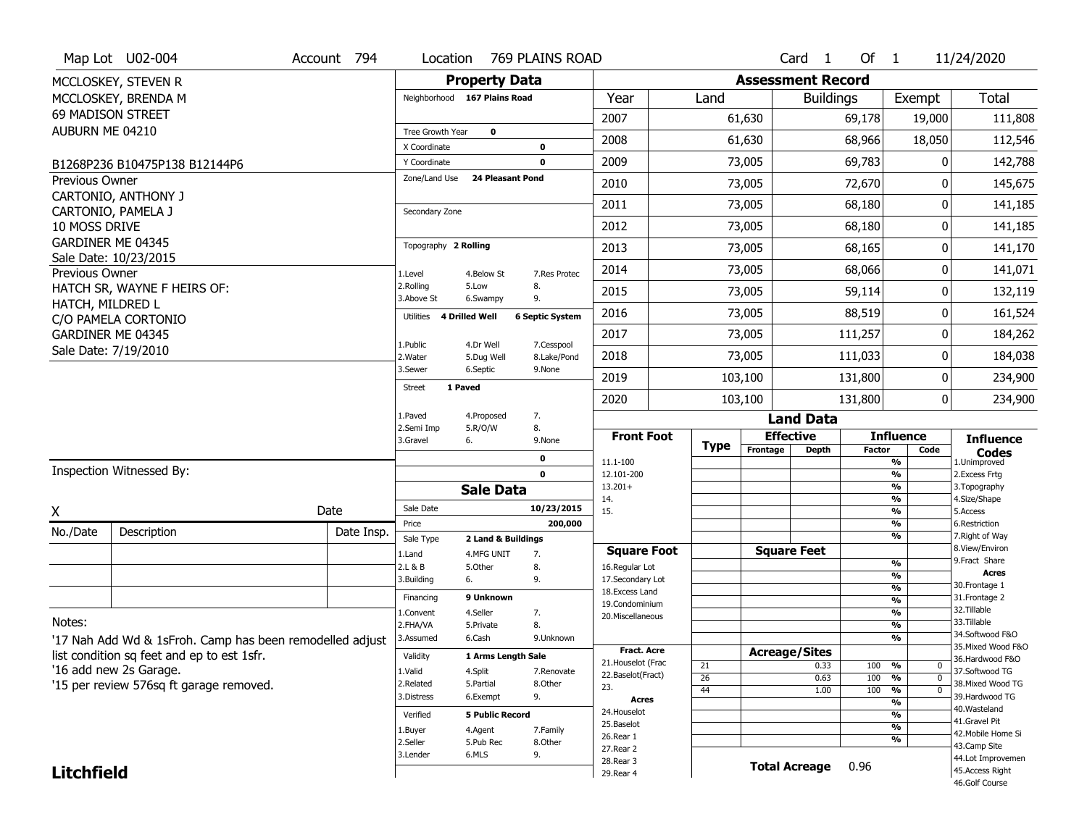|                       | Map Lot U02-004                                          | Account 794 | Location                      |                              | 769 PLAINS ROAD            |                                         |          |                          | Card <sub>1</sub>    | Of $1$        |                                        | 11/24/2020                             |
|-----------------------|----------------------------------------------------------|-------------|-------------------------------|------------------------------|----------------------------|-----------------------------------------|----------|--------------------------|----------------------|---------------|----------------------------------------|----------------------------------------|
|                       | MCCLOSKEY, STEVEN R                                      |             |                               | <b>Property Data</b>         |                            |                                         |          | <b>Assessment Record</b> |                      |               |                                        |                                        |
|                       | MCCLOSKEY, BRENDA M                                      |             |                               | Neighborhood 167 Plains Road |                            | Year                                    | Land     |                          | <b>Buildings</b>     |               | Exempt                                 | Total                                  |
|                       | 69 MADISON STREET                                        |             |                               |                              |                            | 2007                                    |          | 61,630                   |                      | 69,178        | 19,000                                 | 111,808                                |
| AUBURN ME 04210       |                                                          |             | Tree Growth Year              | $\mathbf 0$                  |                            | 2008                                    |          | 61,630                   |                      | 68,966        | 18,050                                 | 112,546                                |
|                       |                                                          |             | X Coordinate                  |                              | 0                          |                                         |          |                          |                      |               |                                        |                                        |
|                       | B1268P236 B10475P138 B12144P6                            |             | Y Coordinate<br>Zone/Land Use | 24 Pleasant Pond             | 0                          | 2009                                    |          | 73,005                   |                      | 69,783        | 0                                      | 142,788                                |
| <b>Previous Owner</b> | CARTONIO, ANTHONY J                                      |             |                               |                              |                            | 2010                                    |          | 73,005                   |                      | 72,670        | O                                      | 145,675                                |
|                       | CARTONIO, PAMELA J                                       |             | Secondary Zone                |                              |                            | 2011                                    |          | 73,005                   |                      | 68,180        | O                                      | 141,185                                |
| 10 MOSS DRIVE         |                                                          |             |                               |                              |                            | 2012                                    |          | 73,005                   |                      | 68,180        | 0                                      | 141,185                                |
|                       | GARDINER ME 04345                                        |             | Topography 2 Rolling          |                              |                            | 2013                                    |          | 73,005                   |                      | 68,165        | O                                      | 141,170                                |
|                       | Sale Date: 10/23/2015                                    |             |                               |                              |                            | 2014                                    |          | 73,005                   |                      | 68,066        | O                                      | 141,071                                |
| <b>Previous Owner</b> | HATCH SR, WAYNE F HEIRS OF:                              |             | 1.Level<br>2.Rolling          | 4.Below St<br>5.Low          | 7.Res Protec<br>8.         |                                         |          |                          |                      |               |                                        |                                        |
| HATCH, MILDRED L      |                                                          |             | 3.Above St                    | 6.Swampy                     | 9.                         | 2015                                    |          | 73,005                   |                      | 59,114        | 0                                      | 132,119                                |
|                       | C/O PAMELA CORTONIO                                      |             | Utilities                     | 4 Drilled Well               | <b>6 Septic System</b>     | 2016                                    |          | 73,005                   |                      | 88,519        | O                                      | 161,524                                |
|                       | GARDINER ME 04345                                        |             | 1.Public                      | 4.Dr Well                    | 7.Cesspool                 | 2017                                    |          | 73,005                   |                      | 111,257       | 0                                      | 184,262                                |
|                       | Sale Date: 7/19/2010                                     |             | 2. Water                      | 5.Dug Well                   | 8.Lake/Pond                | 2018                                    |          | 73,005                   |                      | 111,033       | 0                                      | 184,038                                |
|                       |                                                          |             | 3.Sewer                       | 6.Septic                     | 9.None                     | 2019                                    |          | 103,100                  |                      | 131,800       | 0                                      | 234,900                                |
|                       |                                                          |             | Street                        | 1 Paved                      |                            | 2020                                    |          | 103,100                  |                      | 131,800       | 0                                      | 234,900                                |
|                       |                                                          |             | 1.Paved                       | 4.Proposed                   | 7.                         |                                         |          |                          | <b>Land Data</b>     |               |                                        |                                        |
|                       |                                                          |             | 2.Semi Imp                    | 5.R/O/W                      | 8.                         | <b>Front Foot</b>                       |          |                          | <b>Effective</b>     |               | <b>Influence</b>                       | <b>Influence</b>                       |
|                       |                                                          |             | 3.Gravel                      | 6.                           | 9.None                     |                                         | Type     | Frontage                 | <b>Depth</b>         | <b>Factor</b> | Code                                   | Codes                                  |
|                       | Inspection Witnessed By:                                 |             |                               |                              | $\mathbf 0$<br>$\mathbf 0$ | 11.1-100<br>12.101-200                  |          |                          |                      |               | $\frac{9}{6}$<br>$\frac{9}{6}$         | 1.Unimproved<br>2. Excess Frtg         |
|                       |                                                          |             |                               | <b>Sale Data</b>             |                            | $13.201+$                               |          |                          |                      |               | $\frac{9}{6}$                          | 3. Topography                          |
| X                     |                                                          | Date        | Sale Date                     |                              | 10/23/2015                 | 14.<br>15.                              |          |                          |                      |               | %<br>$\frac{9}{6}$                     | 4.Size/Shape<br>5.Access               |
| No./Date              | Description                                              | Date Insp.  | Price                         |                              | 200,000                    |                                         |          |                          |                      |               | %                                      | 6.Restriction                          |
|                       |                                                          |             | Sale Type                     | 2 Land & Buildings           |                            | <b>Square Foot</b>                      |          |                          | <b>Square Feet</b>   |               | $\frac{9}{6}$                          | 7. Right of Way<br>8.View/Environ      |
|                       |                                                          |             | 1.Land<br>2.L & B             | 4.MFG UNIT<br>5.Other        | 7.<br>8.                   | 16.Regular Lot                          |          |                          |                      |               | %                                      | 9.Fract Share                          |
|                       |                                                          |             | 3.Building                    | 6.                           | 9.                         | 17.Secondary Lot                        |          |                          |                      |               | %                                      | <b>Acres</b><br>30. Frontage 1         |
|                       |                                                          |             | Financing                     | 9 Unknown                    |                            | 18.Excess Land<br>19.Condominium        |          |                          |                      |               | $\frac{9}{6}$<br>$\frac{9}{6}$         | 31. Frontage 2                         |
| Notes:                |                                                          |             | 1.Convent                     | 4.Seller                     | 7.                         | 20.Miscellaneous                        |          |                          |                      |               | $\frac{9}{6}$                          | 32.Tillable<br>33.Tillable             |
|                       | '17 Nah Add Wd & 1sFroh. Camp has been remodelled adjust |             | 2.FHA/VA<br>3.Assumed         | 5.Private<br>6.Cash          | 8.<br>9.Unknown            |                                         |          |                          |                      |               | $\frac{9}{6}$<br>%                     | 34.Softwood F&O                        |
|                       | list condition sq feet and ep to est 1sfr.               |             | Validity                      | 1 Arms Length Sale           |                            | <b>Fract. Acre</b>                      |          |                          | <b>Acreage/Sites</b> |               |                                        | 35. Mixed Wood F&O<br>36. Hardwood F&O |
|                       | '16 add new 2s Garage.                                   |             | 1.Valid                       | 4.Split                      | 7.Renovate                 | 21. Houselot (Frac<br>22.Baselot(Fract) | 21<br>26 |                          | 0.33<br>0.63         | 100<br>100    | %<br>0<br>$\frac{9}{6}$<br>$\mathbf 0$ | 37.Softwood TG                         |
|                       | '15 per review 576sq ft garage removed.                  |             | 2.Related                     | 5.Partial                    | 8.Other                    | 23.                                     | 44       |                          | 1.00                 | 100           | $\frac{9}{6}$<br>$\mathbf 0$           | 38. Mixed Wood TG                      |
|                       |                                                          |             | 3.Distress                    | 6.Exempt                     | 9.                         | <b>Acres</b>                            |          |                          |                      |               | %                                      | 39.Hardwood TG<br>40.Wasteland         |
|                       |                                                          |             | Verified                      | <b>5 Public Record</b>       |                            | 24. Houselot<br>25.Baselot              |          |                          |                      |               | %                                      | 41.Gravel Pit                          |
|                       |                                                          |             | 1.Buyer<br>2.Seller           | 4.Agent                      | 7.Family                   | 26.Rear 1                               |          |                          |                      |               | $\frac{9}{6}$<br>%                     | 42. Mobile Home Si                     |
|                       |                                                          |             |                               | 5.Pub Rec                    | 8.Other                    | 27.Rear 2                               |          |                          |                      |               |                                        | 43.Camp Site                           |
|                       |                                                          |             | 3.Lender                      | 6.MLS                        | 9.                         |                                         |          |                          |                      |               |                                        |                                        |
| <b>Litchfield</b>     |                                                          |             |                               |                              |                            | 28. Rear 3<br>29. Rear 4                |          |                          | <b>Total Acreage</b> | 0.96          |                                        | 44.Lot Improvemen<br>45.Access Right   |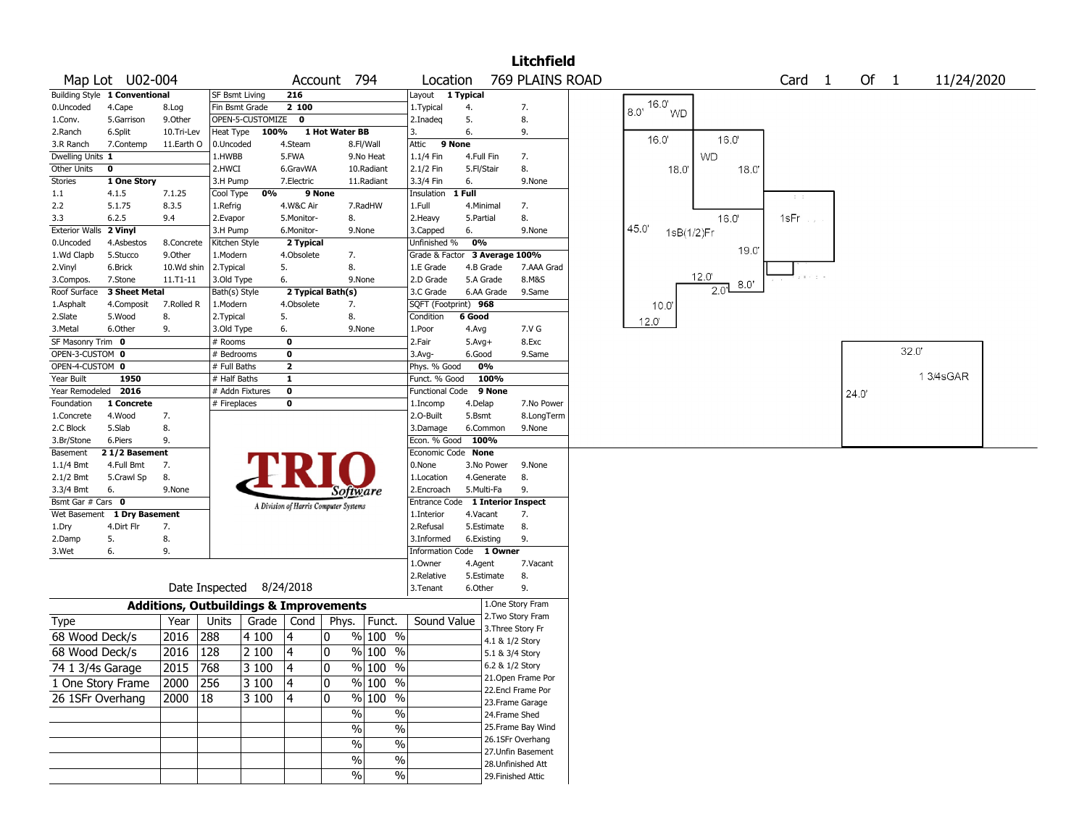|                       |                               |                 |                                                   |                    |                          |                                       |                     |                                        |                     |                                    | <b>Litchfield</b>         |                            |                |      |                         |        |       |             |  |
|-----------------------|-------------------------------|-----------------|---------------------------------------------------|--------------------|--------------------------|---------------------------------------|---------------------|----------------------------------------|---------------------|------------------------------------|---------------------------|----------------------------|----------------|------|-------------------------|--------|-------|-------------|--|
|                       | Map Lot U02-004               |                 |                                                   |                    |                          | Account 794                           |                     | Location                               |                     |                                    | 769 PLAINS ROAD           |                            |                |      | Card <sub>1</sub>       | Of $1$ |       | 11/24/2020  |  |
|                       | Building Style 1 Conventional |                 | <b>SF Bsmt Living</b>                             |                    | 216                      |                                       |                     | Layout 1 Typical                       |                     |                                    |                           |                            |                |      |                         |        |       |             |  |
| 0.Uncoded             | 4.Cape                        | 8.Log           | Fin Bsmt Grade                                    |                    | 2 100                    |                                       |                     | 1. Typical                             | 4.                  |                                    | 7.                        | 16.0'<br>8.0'<br><b>WD</b> |                |      |                         |        |       |             |  |
| 1.Conv.               | 5.Garrison                    | 9.0ther         |                                                   | OPEN-5-CUSTOMIZE 0 |                          |                                       |                     | 2.Inadeq                               | 5.                  |                                    | 8.                        |                            |                |      |                         |        |       |             |  |
| 2.Ranch               | 6.Split                       | 10.Tri-Lev      | Heat Type                                         | 100%               |                          | 1 Hot Water BB                        |                     | 3.                                     | 6.                  |                                    | 9.                        | 16.0'                      | 16.0'          |      |                         |        |       |             |  |
| 3.R Ranch             | 7.Contemp                     | 11.Earth O      | 0.Uncoded                                         |                    | 4.Steam                  |                                       | 8.Fl/Wall           | Attic 9 None                           |                     |                                    |                           |                            |                |      |                         |        |       |             |  |
| Dwelling Units 1      |                               |                 | 1.HWBB                                            |                    | 5.FWA                    |                                       | 9.No Heat           | 1.1/4 Fin                              | 4.Full Fin          |                                    | 7.                        |                            | <b>WD</b>      |      |                         |        |       |             |  |
| Other Units           | 0                             |                 | 2.HWCI                                            |                    | 6.GravWA                 |                                       | 10.Radiant          | 2.1/2 Fin                              | 5.Fl/Stair          |                                    | 8.                        | 18.0                       |                | 18.0 |                         |        |       |             |  |
| Stories               | 1 One Story                   |                 | 3.H Pump                                          |                    | 7.Electric               |                                       | 11.Radiant          | 3.3/4 Fin                              | 6.                  |                                    | 9.None                    |                            |                |      |                         |        |       |             |  |
| $1.1\,$<br>2.2        | 4.1.5<br>5.1.75               | 7.1.25<br>8.3.5 | Cool Type                                         | 0%                 |                          | 9 None                                |                     | Insulation<br>1.Full                   | 1 Full<br>4.Minimal |                                    | 7.                        |                            |                |      | $\mathbb{C}^{\times}$ . |        |       |             |  |
| 3.3                   | 6.2.5                         | 9.4             | 1.Refrig<br>2.Evapor                              |                    | 4.W&C Air                |                                       | 7.RadHW             |                                        | 5.Partial           |                                    | 8.                        |                            | 16.0'          |      | 1sFr                    |        |       |             |  |
| <b>Exterior Walls</b> | 2 Vinyl                       |                 | 3.H Pump                                          |                    | 5.Monitor-<br>6.Monitor- | 8.                                    | 9.None              | 2.Heavy<br>3.Capped                    | 6.                  |                                    | 9.None                    | 45.0'                      |                |      |                         |        |       |             |  |
| 0.Uncoded             | 4.Asbestos                    | 8.Concrete      | Kitchen Style                                     |                    | 2 Typical                |                                       |                     | Unfinished %                           | 0%                  |                                    |                           | 1sB(1/2)Fr                 |                |      |                         |        |       |             |  |
| 1.Wd Clapb            | 5.Stucco                      | 9.Other         | 1.Modern                                          |                    | 4.Obsolete               | 7.                                    |                     | Grade & Factor 3 Average 100%          |                     |                                    |                           |                            |                | 19.0 |                         |        |       |             |  |
| 2.Vinyl               | 6.Brick                       | 10.Wd shin      | 2. Typical                                        |                    | 5.                       | 8.                                    |                     | 1.E Grade                              |                     | 4.B Grade                          | 7.AAA Grad                |                            |                |      |                         |        |       |             |  |
| 3.Compos.             | 7.Stone                       | 11.T1-11        | 3.Old Type                                        |                    | 6.                       |                                       | 9.None              | 2.D Grade                              |                     | 5.A Grade                          | 8.M&S                     |                            | $12.0^{\circ}$ |      |                         |        |       |             |  |
| Roof Surface          | 3 Sheet Metal                 |                 | Bath(s) Style                                     |                    |                          | 2 Typical Bath(s)                     |                     | 3.C Grade                              |                     | 6.AA Grade                         | 9.Same                    |                            | 2.01           | 8.0' |                         |        |       |             |  |
| 1.Asphalt             | 4.Composit                    | 7.Rolled R      | 1.Modern                                          |                    | 4.Obsolete               | 7.                                    |                     | SQFT (Footprint) 968                   |                     |                                    |                           | 10.0"                      |                |      |                         |        |       |             |  |
| 2.Slate               | 5.Wood                        | 8.              | 2. Typical                                        |                    | 5.                       | 8.                                    |                     | Condition                              | 6 Good              |                                    |                           |                            |                |      |                         |        |       |             |  |
| 3.Metal               | 6.Other                       | 9.              | 3.Old Type                                        |                    | 6.                       |                                       | 9.None              | 1.Poor                                 | 4.Avg               |                                    | 7.V G                     | 12.0'                      |                |      |                         |        |       |             |  |
| SF Masonry Trim 0     |                               |                 | # Rooms                                           |                    | $\mathbf 0$              |                                       |                     | 2.Fair                                 | $5.Avg+$            |                                    | 8.Exc                     |                            |                |      |                         |        |       |             |  |
| OPEN-3-CUSTOM 0       |                               |                 | # Bedrooms                                        |                    | $\mathbf 0$              |                                       |                     | 3.Avg-                                 | 6.Good              |                                    | 9.Same                    |                            |                |      |                         |        | 32.0' |             |  |
| OPEN-4-CUSTOM 0       |                               |                 | # Full Baths                                      |                    | $\overline{\mathbf{2}}$  |                                       |                     | Phys. % Good                           |                     | 0%                                 |                           |                            |                |      |                         |        |       |             |  |
| Year Built            | 1950                          |                 | # Half Baths                                      |                    | $\mathbf{1}$             |                                       |                     | Funct. % Good                          |                     | 100%                               |                           |                            |                |      |                         |        |       | 1 3/4 s GAR |  |
| Year Remodeled        | 2016                          |                 | # Addn Fixtures                                   |                    | $\pmb{0}$                |                                       |                     | <b>Functional Code</b>                 |                     | 9 None                             |                           |                            |                |      |                         | 24.0'  |       |             |  |
| Foundation            | 1 Concrete                    |                 | # Fireplaces                                      |                    | $\mathbf 0$              |                                       |                     | 1.Incomp                               | 4.Delap             |                                    | 7.No Power                |                            |                |      |                         |        |       |             |  |
| 1.Concrete            | 4.Wood                        | 7.              |                                                   |                    |                          |                                       |                     | 2.0-Built                              | 5.Bsmt              |                                    | 8.LongTerm                |                            |                |      |                         |        |       |             |  |
| 2.C Block             | 5.Slab                        | 8.              |                                                   |                    |                          |                                       |                     | 3.Damage                               |                     | 6.Common                           | 9.None                    |                            |                |      |                         |        |       |             |  |
| 3.Br/Stone            | 6.Piers                       | 9.              |                                                   |                    |                          |                                       |                     | Econ. % Good                           | 100%                |                                    |                           |                            |                |      |                         |        |       |             |  |
| Basement              | 21/2 Basement                 |                 |                                                   |                    |                          |                                       |                     | Economic Code None                     |                     |                                    |                           |                            |                |      |                         |        |       |             |  |
| 1.1/4 Bmt             | 4.Full Bmt                    | 7.              |                                                   |                    |                          |                                       |                     | 0.None                                 |                     | 3.No Power                         | 9.None                    |                            |                |      |                         |        |       |             |  |
| 2.1/2 Bmt             | 5.Crawl Sp                    | 8.              |                                                   |                    |                          |                                       |                     | 1.Location                             |                     | 4.Generate                         | 8.                        |                            |                |      |                         |        |       |             |  |
| 3.3/4 Bmt             | 6.                            | 9.None          |                                                   |                    |                          | Software                              |                     | 2.Encroach                             |                     | 5.Multi-Fa                         | 9.                        |                            |                |      |                         |        |       |             |  |
| Bsmt Gar # Cars 0     |                               |                 |                                                   |                    |                          | A Division of Harris Computer Systems |                     | Entrance Code                          |                     |                                    | <b>1 Interior Inspect</b> |                            |                |      |                         |        |       |             |  |
|                       | Wet Basement 1 Dry Basement   |                 |                                                   |                    |                          |                                       |                     | 1.Interior                             | 4.Vacant            |                                    | 7.                        |                            |                |      |                         |        |       |             |  |
| 1.Dry                 | 4.Dirt Flr                    | 7.              |                                                   |                    |                          |                                       |                     | 2.Refusal                              |                     | 5.Estimate                         | 8.                        |                            |                |      |                         |        |       |             |  |
| 2.Damp<br>3.Wet       | 5.<br>6.                      | 8.<br>9.        |                                                   |                    |                          |                                       |                     | 3.Informed<br>Information Code 1 Owner |                     | 6.Existing                         | 9.                        |                            |                |      |                         |        |       |             |  |
|                       |                               |                 |                                                   |                    |                          |                                       |                     | 1.Owner                                | 4.Agent             |                                    | 7.Vacant                  |                            |                |      |                         |        |       |             |  |
|                       |                               |                 |                                                   |                    |                          |                                       |                     | 2.Relative                             |                     | 5.Estimate                         | 8.                        |                            |                |      |                         |        |       |             |  |
|                       |                               |                 | Date Inspected 8/24/2018                          |                    |                          |                                       |                     | 3.Tenant                               | 6.Other             |                                    | 9.                        |                            |                |      |                         |        |       |             |  |
|                       |                               |                 | <b>Additions, Outbuildings &amp; Improvements</b> |                    |                          |                                       |                     |                                        |                     |                                    | 1.One Story Fram          |                            |                |      |                         |        |       |             |  |
| <b>Type</b>           |                               | Year            | Units                                             | Grade              | Cond                     | Phys.                                 | Funct.              | Sound Value                            |                     |                                    | 2. Two Story Fram         |                            |                |      |                         |        |       |             |  |
| 68 Wood Deck/s        |                               | 2016            | 288                                               | 4100               | 4                        | 10                                    | % 100 %             |                                        |                     | 3. Three Story Fr                  |                           |                            |                |      |                         |        |       |             |  |
| 68 Wood Deck/s        |                               | 2016            | 128                                               | 2 100              | 4                        | 0                                     | $%100$ %            |                                        |                     | 4.1 & 1/2 Story                    |                           |                            |                |      |                         |        |       |             |  |
|                       |                               |                 |                                                   |                    |                          |                                       | % 100 %             |                                        |                     | 5.1 & 3/4 Story<br>6.2 & 1/2 Story |                           |                            |                |      |                         |        |       |             |  |
| 74 1 3/4s Garage      |                               | 2015 768        |                                                   | 3100               | 4                        | $ 0\rangle$                           |                     |                                        |                     |                                    | 21. Open Frame Por        |                            |                |      |                         |        |       |             |  |
| 1 One Story Frame     |                               | 2000            | 256                                               | 3 100              | 4                        | 0                                     | % 100 %             |                                        |                     |                                    | 22.Encl Frame Por         |                            |                |      |                         |        |       |             |  |
| 26 1SFr Overhang      |                               | 2000            | 18                                                | 3 100              | 4                        | 10                                    | $\frac{9}{6}$ 100 % |                                        |                     |                                    | 23. Frame Garage          |                            |                |      |                         |        |       |             |  |
|                       |                               |                 |                                                   |                    |                          | $\%$                                  | $\%$                |                                        |                     | 24.Frame Shed                      |                           |                            |                |      |                         |        |       |             |  |
|                       |                               |                 |                                                   |                    |                          | $\%$                                  | $\%$                |                                        |                     |                                    | 25. Frame Bay Wind        |                            |                |      |                         |        |       |             |  |
|                       |                               |                 |                                                   |                    |                          |                                       |                     |                                        |                     |                                    | 26.1SFr Overhang          |                            |                |      |                         |        |       |             |  |
|                       |                               |                 |                                                   |                    |                          | $\%$                                  | $\%$                |                                        |                     |                                    | 27. Unfin Basement        |                            |                |      |                         |        |       |             |  |
|                       |                               |                 |                                                   |                    |                          | $\%$                                  | $\%$                |                                        |                     |                                    | 28. Unfinished Att        |                            |                |      |                         |        |       |             |  |
|                       |                               |                 |                                                   |                    |                          | $\%$                                  | $\%$                |                                        |                     | 29. Finished Attic                 |                           |                            |                |      |                         |        |       |             |  |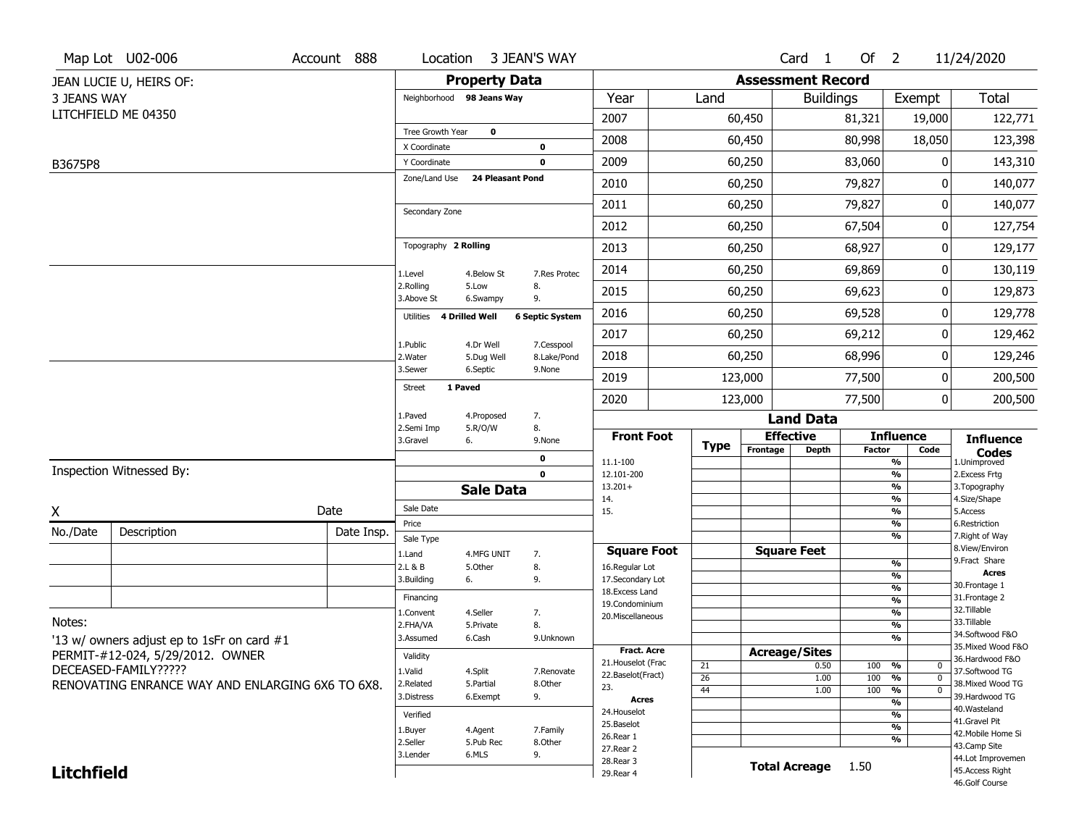|                    | Map Lot U02-006                                  | Account 888 | Location                      |                         | 3 JEAN'S WAY              |                                    |                 |          | Card <sub>1</sub>        | Of $2$        |                                           | 11/24/2020                           |
|--------------------|--------------------------------------------------|-------------|-------------------------------|-------------------------|---------------------------|------------------------------------|-----------------|----------|--------------------------|---------------|-------------------------------------------|--------------------------------------|
|                    | JEAN LUCIE U, HEIRS OF:                          |             |                               | <b>Property Data</b>    |                           |                                    |                 |          | <b>Assessment Record</b> |               |                                           |                                      |
| <b>3 JEANS WAY</b> |                                                  |             | Neighborhood 98 Jeans Way     |                         |                           | Year                               | Land            |          | <b>Buildings</b>         |               | Exempt                                    | <b>Total</b>                         |
|                    | LITCHFIELD ME 04350                              |             |                               |                         |                           | 2007                               |                 | 60,450   |                          | 81,321        | 19,000                                    | 122,771                              |
|                    |                                                  |             | Tree Growth Year              | 0                       |                           | 2008                               |                 | 60,450   |                          | 80,998        | 18,050                                    | 123,398                              |
|                    |                                                  |             | X Coordinate                  |                         | 0                         | 2009                               |                 | 60,250   |                          | 83,060        | 0                                         | 143,310                              |
| B3675P8            |                                                  |             | Y Coordinate<br>Zone/Land Use | 24 Pleasant Pond        | 0                         |                                    |                 |          |                          |               |                                           |                                      |
|                    |                                                  |             |                               |                         |                           | 2010                               |                 | 60,250   |                          | 79,827        | 0                                         | 140,077                              |
|                    |                                                  |             | Secondary Zone                |                         |                           | 2011                               |                 | 60,250   |                          | 79,827        | 0                                         | 140,077                              |
|                    |                                                  |             |                               |                         |                           | 2012                               |                 | 60,250   |                          | 67,504        | 0                                         | 127,754                              |
|                    |                                                  |             | Topography 2 Rolling          |                         |                           | 2013                               |                 | 60,250   |                          | 68,927        | 0                                         | 129,177                              |
|                    |                                                  |             | 1.Level                       | 4.Below St              | 7.Res Protec              | 2014                               |                 | 60,250   |                          | 69,869        | 0                                         | 130,119                              |
|                    |                                                  |             | 2.Rolling<br>3.Above St       | 5.Low<br>6.Swampy       | 8.<br>9.                  | 2015                               |                 | 60,250   |                          | 69,623        | 0                                         | 129,873                              |
|                    |                                                  |             | 4 Drilled Well<br>Utilities   |                         | <b>6 Septic System</b>    | 2016                               |                 | 60,250   |                          | 69,528        | 0                                         | 129,778                              |
|                    |                                                  |             |                               |                         |                           | 2017                               |                 | 60,250   |                          | 69,212        | 0                                         | 129,462                              |
|                    |                                                  |             | 1.Public<br>2. Water          | 4.Dr Well<br>5.Dug Well | 7.Cesspool<br>8.Lake/Pond | 2018                               |                 | 60,250   |                          | 68,996        | 0                                         | 129,246                              |
|                    |                                                  |             | 3.Sewer                       | 6.Septic                | 9.None                    | 2019                               |                 | 123,000  |                          | 77,500        | 0                                         | 200,500                              |
|                    |                                                  |             | 1 Paved<br>Street             |                         |                           | 2020                               |                 | 123,000  |                          | 77,500        | 0                                         | 200,500                              |
|                    |                                                  |             | 1.Paved                       | 4.Proposed              | 7.                        |                                    |                 |          | <b>Land Data</b>         |               |                                           |                                      |
|                    |                                                  |             | 2.Semi Imp<br>3.Gravel        | 5.R/O/W<br>6.           | 8.<br>9.None              | <b>Front Foot</b>                  | Type            |          | <b>Effective</b>         |               | <b>Influence</b>                          | <b>Influence</b>                     |
|                    |                                                  |             |                               |                         | 0                         | 11.1-100                           |                 | Frontage | <b>Depth</b>             | <b>Factor</b> | Code<br>%                                 | <b>Codes</b><br>1.Unimproved         |
|                    | Inspection Witnessed By:                         |             |                               |                         | $\mathbf 0$               | 12.101-200                         |                 |          |                          |               | %                                         | 2. Excess Frtg                       |
|                    |                                                  |             |                               | <b>Sale Data</b>        |                           | $13.201+$<br>14.                   |                 |          |                          |               | %<br>%                                    | 3. Topography<br>4.Size/Shape        |
| X                  |                                                  | Date        | Sale Date                     |                         |                           | 15.                                |                 |          |                          |               | %                                         | 5.Access                             |
| No./Date           | Description                                      | Date Insp.  | Price<br>Sale Type            |                         |                           |                                    |                 |          |                          |               | $\frac{9}{6}$<br>%                        | 6.Restriction<br>7. Right of Way     |
|                    |                                                  |             | 1.Land                        | 4.MFG UNIT              | 7.                        | <b>Square Foot</b>                 |                 |          | <b>Square Feet</b>       |               |                                           | 8.View/Environ                       |
|                    |                                                  |             | 2.L & B                       | 5.Other                 | 8.                        | 16.Regular Lot                     |                 |          |                          |               | $\frac{9}{6}$<br>%                        | 9. Fract Share<br><b>Acres</b>       |
|                    |                                                  |             | 3.Building                    | 6.                      | 9.                        | 17.Secondary Lot<br>18.Excess Land |                 |          |                          |               | $\frac{9}{6}$                             | 30. Frontage 1                       |
|                    |                                                  |             | Financing                     |                         |                           | 19.Condominium                     |                 |          |                          |               | $\overline{\frac{9}{6}}$                  | 31. Frontage 2<br>32. Tillable       |
| Notes:             |                                                  |             | 1.Convent                     | 4.Seller                | 7.<br>8.                  | 20.Miscellaneous                   |                 |          |                          |               | $\frac{9}{6}$<br>$\overline{\frac{9}{6}}$ | 33.Tillable                          |
|                    | '13 w/ owners adjust ep to 1sFr on card #1       |             | 2.FHA/VA<br>3.Assumed         | 5.Private<br>6.Cash     | 9.Unknown                 |                                    |                 |          |                          |               | %                                         | 34.Softwood F&O                      |
|                    | PERMIT-#12-024, 5/29/2012. OWNER                 |             |                               |                         |                           | <b>Fract. Acre</b>                 |                 |          | <b>Acreage/Sites</b>     |               |                                           | 35. Mixed Wood F&O                   |
|                    | DECEASED-FAMILY?????                             |             | Validity                      |                         |                           | 21. Houselot (Frac                 | 21              |          | 0.50                     | 100           | %<br>0                                    | 36.Hardwood F&O                      |
|                    | RENOVATING ENRANCE WAY AND ENLARGING 6X6 TO 6X8. |             | 1.Valid<br>2.Related          | 4.Split<br>5.Partial    | 7.Renovate<br>8.Other     | 22.Baselot(Fract)                  | $\overline{26}$ |          | 1.00                     | 100           | $\overline{0}$<br>%                       | 37.Softwood TG<br>38. Mixed Wood TG  |
|                    |                                                  |             | 3.Distress                    | 6.Exempt                | 9.                        | 23.<br>Acres                       | 44              |          | 1.00                     | 100           | $\overline{0}$<br>%                       | 39.Hardwood TG                       |
|                    |                                                  |             |                               |                         |                           | 24. Houselot                       |                 |          |                          |               | %<br>%                                    | 40. Wasteland                        |
|                    |                                                  |             | Verified                      |                         |                           | 25.Baselot                         |                 |          |                          |               | %                                         | 41.Gravel Pit                        |
|                    |                                                  |             | 1.Buyer<br>2.Seller           | 4.Agent<br>5.Pub Rec    | 7.Family<br>8.Other       | 26.Rear 1                          |                 |          |                          |               | %                                         | 42. Mobile Home Si                   |
|                    |                                                  |             | 3.Lender                      | 6.MLS                   | 9.                        | 27.Rear 2                          |                 |          |                          |               |                                           | 43.Camp Site                         |
|                    |                                                  |             |                               |                         |                           |                                    |                 |          |                          |               |                                           |                                      |
| <b>Litchfield</b>  |                                                  |             |                               |                         |                           | 28.Rear 3<br>29. Rear 4            |                 |          | <b>Total Acreage</b>     | 1.50          |                                           | 44.Lot Improvemen<br>45.Access Right |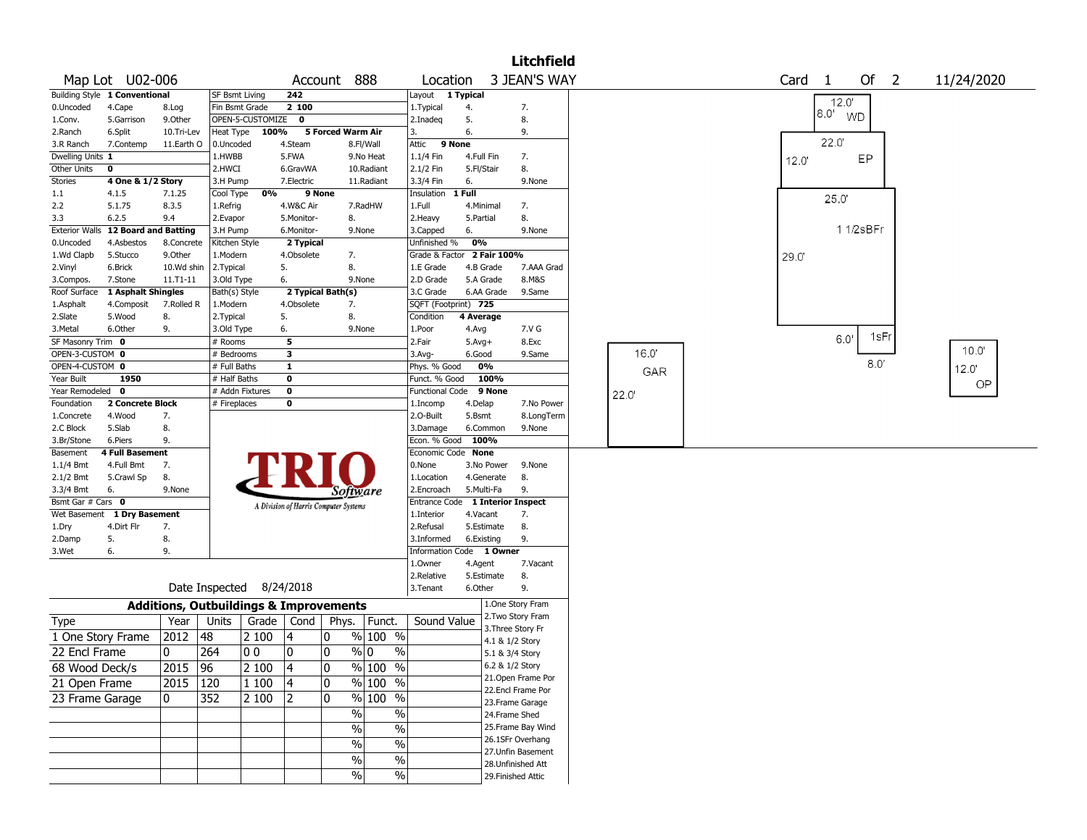|                       |                               |            |                                                   |       |                         |                                       |                        |                        |                            |                           | Litchfield |      |                   |       |                                |            |
|-----------------------|-------------------------------|------------|---------------------------------------------------|-------|-------------------------|---------------------------------------|------------------------|------------------------|----------------------------|---------------------------|------------|------|-------------------|-------|--------------------------------|------------|
|                       | Map Lot U02-006               |            |                                                   |       |                         | Account 888                           |                        | Location               |                            | 3 JEAN'S WAY              |            |      | Card <sub>1</sub> |       | Of<br>$\overline{\phantom{0}}$ | 11/24/2020 |
|                       | Building Style 1 Conventional |            | <b>SF Bsmt Living</b>                             |       | 242                     |                                       | Layout                 | $\overline{1}$ Typical |                            |                           |            |      |                   | 12.0' |                                |            |
| 0.Uncoded             | 4.Cape                        | 8.Log      | Fin Bsmt Grade                                    |       | 2 100                   |                                       | 1.Typical              |                        | 4.                         | 7.                        |            |      |                   | 8.0'  | <b>WD</b>                      |            |
| 1.Conv.               | 5.Garrison                    | 9.0ther    | OPEN-5-CUSTOMIZE                                  |       | 0                       |                                       | 2.Inadeq               |                        | 5.                         | 8.                        |            |      |                   |       |                                |            |
| 2.Ranch               | 6.Split                       | 10.Tri-Lev | Heat Type                                         | 100%  |                         | 5 Forced Warm Air                     | 3.                     |                        | 6.                         | 9.                        |            |      |                   |       |                                |            |
| 3.R Ranch             | 7.Contemp                     | 11.Earth O | 0.Uncoded                                         |       | 4.Steam                 | 8.Fl/Wall                             | Attic                  | 9 None                 |                            |                           |            |      |                   | 22.0  |                                |            |
| Dwelling Units 1      |                               |            | 1.HWBB                                            |       | 5.FWA                   | 9.No Heat                             | 1.1/4 Fin              |                        | 4.Full Fin                 | 7.                        |            |      | 12.0              |       | EP                             |            |
| Other Units           | $\mathbf 0$                   |            | 2.HWCI                                            |       | 6.GravWA                | 10.Radiant                            | 2.1/2 Fin              |                        | 5.Fl/Stair                 | 8.                        |            |      |                   |       |                                |            |
| Stories               | 4 One & 1/2 Story             |            | 3.H Pump                                          |       | 7.Electric              | 11.Radiant                            | 3.3/4 Fin              |                        | 6.                         | 9.None                    |            |      |                   |       |                                |            |
| 1.1                   | 4.1.5                         | 7.1.25     | Cool Type                                         | 0%    | 9 None                  |                                       | Insulation             | 1 Full                 |                            |                           |            |      |                   | 25.0  |                                |            |
| 2.2                   | 5.1.75                        | 8.3.5      | 1.Refrig                                          |       | 4.W&C Air               | 7.RadHW                               | 1.Full                 |                        | 4.Minimal                  | 7.                        |            |      |                   |       |                                |            |
| 3.3                   | 6.2.5                         | 9.4        | 2.Evapor                                          |       | 5.Monitor-              | 8.                                    | 2.Heavy                |                        | 5.Partial                  | 8.                        |            |      |                   |       |                                |            |
| <b>Exterior Walls</b> | <b>12 Board and Batting</b>   |            | 3.H Pump                                          |       | 6.Monitor-              | 9.None                                | 3.Capped               |                        | 6.                         | 9.None                    |            |      |                   |       | 11/2sBFr                       |            |
| 0.Uncoded             | 4.Asbestos                    | 8.Concrete | Kitchen Style                                     |       | 2 Typical               |                                       | Unfinished %           |                        | 0%                         |                           |            |      |                   |       |                                |            |
| 1.Wd Clapb            | 5.Stucco                      | 9.0ther    | 1.Modern                                          |       | 4.Obsolete              | 7.                                    |                        |                        | Grade & Factor 2 Fair 100% |                           |            |      | 29.0              |       |                                |            |
| 2.Vinyl               | 6.Brick                       | 10.Wd shin | 2.Typical                                         |       | 5.                      | 8.                                    | 1.E Grade              |                        | 4.B Grade                  |                           | 7.AAA Grad |      |                   |       |                                |            |
| 3.Compos.             | 7.Stone                       | 11.T1-11   | 3.Old Type                                        |       | 6.                      | 9.None                                | 2.D Grade              |                        | 5.A Grade                  | 8.M&S                     |            |      |                   |       |                                |            |
| Roof Surface          | 1 Asphalt Shingles            |            | Bath(s) Style                                     |       |                         | 2 Typical Bath(s)                     | 3.C Grade              |                        | 6.AA Grade                 | 9.Same                    |            |      |                   |       |                                |            |
| 1.Asphalt             | 4.Composit                    | 7.Rolled R | 1.Modern                                          |       | 4.Obsolete              | 7.                                    |                        |                        | SQFT (Footprint) 725       |                           |            |      |                   |       |                                |            |
| 2.Slate               | 5.Wood                        | 8.         | 2. Typical                                        |       | 5.                      | 8.                                    | Condition              |                        | 4 Average                  |                           |            |      |                   |       |                                |            |
| 3.Metal               | 6.Other                       | 9.         | 3.Old Type                                        |       | 6.                      | 9.None                                | 1.Poor                 |                        | 4.Avg                      | 7.V G                     |            |      |                   |       | 1sFr                           |            |
| SF Masonry Trim 0     |                               |            | # Rooms                                           |       | 5                       |                                       | 2.Fair                 |                        | $5.Avg+$                   | 8.Exc                     |            |      |                   | 6.0   |                                | 10.0'      |
| OPEN-3-CUSTOM 0       |                               |            | # Bedrooms                                        |       | $\overline{\mathbf{3}}$ |                                       | 3.Avg-                 |                        | 6.Good                     | 9.Same                    |            | 16.0 |                   |       |                                |            |
| OPEN-4-CUSTOM 0       |                               |            | # Full Baths                                      |       | $\mathbf{1}$            |                                       | Phys. % Good           |                        | 0%                         |                           |            | GAR  |                   |       | 8.0'                           | 12.0'      |
| Year Built            | 1950                          |            | # Half Baths                                      |       | $\mathbf 0$             |                                       | Funct. % Good          |                        | 100%                       |                           |            |      |                   |       |                                | OP         |
| Year Remodeled 0      |                               |            | # Addn Fixtures                                   |       | $\mathbf 0$             |                                       | <b>Functional Code</b> |                        | 9 None                     |                           |            | 22.0 |                   |       |                                |            |
| Foundation            | 2 Concrete Block              |            | # Fireplaces                                      |       | $\mathbf 0$             |                                       | 1.Incomp               |                        | 4.Delap                    |                           | 7.No Power |      |                   |       |                                |            |
| 1.Concrete            | 4.Wood                        | 7.         |                                                   |       |                         |                                       | 2.O-Built              |                        | 5.Bsmt                     |                           | 8.LongTerm |      |                   |       |                                |            |
| 2.C Block             | 5.Slab                        | 8.         |                                                   |       |                         |                                       | 3.Damage               |                        | 6.Common                   | 9.None                    |            |      |                   |       |                                |            |
| 3.Br/Stone            | 6.Piers                       | 9.         |                                                   |       |                         |                                       | Econ. % Good           |                        | 100%                       |                           |            |      |                   |       |                                |            |
| Basement              | <b>4 Full Basement</b>        |            |                                                   |       |                         |                                       |                        |                        | Economic Code None         |                           |            |      |                   |       |                                |            |
| 1.1/4 Bmt             | 4.Full Bmt                    | 7.         |                                                   |       |                         |                                       | 0.None                 |                        | 3.No Power                 | 9.None                    |            |      |                   |       |                                |            |
| 2.1/2 Bmt             | 5.Crawl Sp                    | 8.         |                                                   |       |                         |                                       | 1.Location             |                        | 4.Generate                 | 8.                        |            |      |                   |       |                                |            |
| 3.3/4 Bmt             | 6.                            | 9.None     |                                                   |       |                         | Software                              | 2.Encroach             |                        | 5.Multi-Fa                 | 9.                        |            |      |                   |       |                                |            |
| Bsmt Gar # Cars 0     |                               |            |                                                   |       |                         | A Division of Harris Computer Systems | <b>Entrance Code</b>   |                        |                            | <b>1 Interior Inspect</b> |            |      |                   |       |                                |            |
|                       | Wet Basement 1 Dry Basement   |            |                                                   |       |                         |                                       | 1.Interior             |                        | 4.Vacant                   | 7.                        |            |      |                   |       |                                |            |
| 1.Dry                 | 4.Dirt Flr                    | 7.         |                                                   |       |                         |                                       | 2.Refusal              |                        | 5.Estimate                 | 8.                        |            |      |                   |       |                                |            |
| 2.Damp                | 5.                            | 8.         |                                                   |       |                         |                                       | 3.Informed             |                        | 6.Existing                 | 9.                        |            |      |                   |       |                                |            |
| 3.Wet                 | 6.                            | 9.         |                                                   |       |                         |                                       |                        |                        | Information Code 1 Owner   |                           |            |      |                   |       |                                |            |
|                       |                               |            |                                                   |       |                         |                                       | 1.0wner                |                        | 4.Agent                    |                           | 7.Vacant   |      |                   |       |                                |            |
|                       |                               |            |                                                   |       |                         |                                       | 2.Relative             |                        | 5.Estimate                 | 8.                        |            |      |                   |       |                                |            |
|                       |                               |            | Date Inspected                                    |       | 8/24/2018               |                                       | 3.Tenant               |                        | 6.Other                    | 9.                        |            |      |                   |       |                                |            |
|                       |                               |            | <b>Additions, Outbuildings &amp; Improvements</b> |       |                         |                                       |                        |                        |                            | 1.One Story Fram          |            |      |                   |       |                                |            |
| Type                  |                               | Year       | Units                                             | Grade | Cond                    | Phys.<br>Funct.                       |                        | Sound Value            |                            | 2. Two Story Fram         |            |      |                   |       |                                |            |
| 1 One Story Frame     |                               | 2012       | 48                                                | 2 100 | 4                       | % 100 %<br>0                          |                        |                        |                            | 3. Three Story Fr         |            |      |                   |       |                                |            |
| 22 Encl Frame         |                               | 0          | 264                                               | 00    | 0                       | 10<br>% 0                             | %                      |                        |                            | 4.1 & 1/2 Story           |            |      |                   |       |                                |            |
|                       |                               |            |                                                   |       |                         |                                       |                        |                        |                            | 5.1 & 3/4 Story           |            |      |                   |       |                                |            |
| 68 Wood Deck/s        |                               | 2015       | $\overline{96}$                                   | 2 100 | 14                      | ١o<br>% 100 %                         |                        |                        |                            | 6.2 & 1/2 Story           |            |      |                   |       |                                |            |
| 21 Open Frame         |                               | 2015       | 120                                               | 1 100 | 4                       | $\%$ 100 $\overline{\%}$<br>10        |                        |                        |                            | 21.Open Frame Por         |            |      |                   |       |                                |            |
| 23 Frame Garage       |                               | 10         | 352                                               | 2 100 | 2                       | % 100 %<br>10                         |                        |                        |                            | 22.Encl Frame Por         |            |      |                   |       |                                |            |
|                       |                               |            |                                                   |       |                         |                                       |                        |                        |                            | 23. Frame Garage          |            |      |                   |       |                                |            |
|                       |                               |            |                                                   |       |                         | $\%$                                  | $\%$                   |                        |                            | 24.Frame Shed             |            |      |                   |       |                                |            |
|                       |                               |            |                                                   |       |                         | $\%$                                  | $\frac{1}{2}$          |                        |                            | 25.Frame Bay Wind         |            |      |                   |       |                                |            |
|                       |                               |            |                                                   |       |                         | $\%$                                  | $\frac{1}{2}$          |                        |                            | 26.1SFr Overhang          |            |      |                   |       |                                |            |
|                       |                               |            |                                                   |       |                         | $\%$                                  | $\frac{1}{2}$          |                        |                            | 27.Unfin Basement         |            |      |                   |       |                                |            |
|                       |                               |            |                                                   |       |                         | $\sqrt{6}$                            | $\sqrt{6}$             |                        |                            | 28.Unfinished Att         |            |      |                   |       |                                |            |
|                       |                               |            |                                                   |       |                         |                                       |                        |                        |                            | 29. Finished Attic        |            |      |                   |       |                                |            |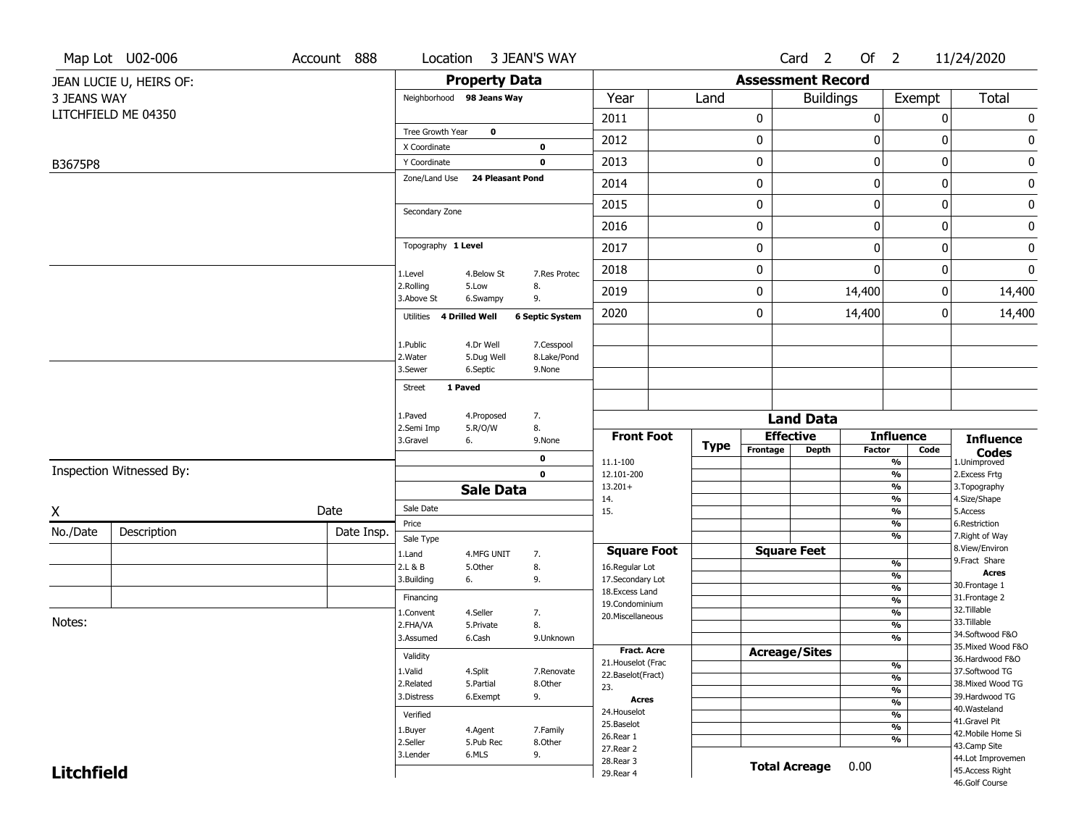| <b>Assessment Record</b><br><b>Property Data</b><br>JEAN LUCIE U, HEIRS OF:<br>Year<br><b>Buildings</b><br>Total<br>3 JEANS WAY<br>Exempt<br>Neighborhood 98 Jeans Way<br>Land<br>LITCHFIELD ME 04350<br>0<br>0<br>$\pmb{0}$<br>2011<br>$\boldsymbol{0}$<br>Tree Growth Year<br>$\mathbf 0$<br>2012<br>0<br>0<br>0<br>0<br>X Coordinate<br>$\mathbf 0$<br>0<br>0<br>$\boldsymbol{0}$<br>$\pmb{0}$<br>2013<br>$\mathbf 0$<br>Y Coordinate<br>B3675P8<br><b>24 Pleasant Pond</b><br>Zone/Land Use<br>0<br>2014<br>0<br>$\boldsymbol{0}$<br>0<br>0<br>0<br>0<br>2015<br>$\boldsymbol{0}$<br>Secondary Zone<br>2016<br>0<br>0<br>0<br>0<br>Topography 1 Level<br>$\pmb{0}$<br>0<br>$\mathbf 0$<br>$\pmb{0}$<br>2017<br>$\mathbf 0$<br>0<br>2018<br>0<br>$\boldsymbol{0}$<br>1.Level<br>4.Below St<br>7.Res Protec<br>2.Rolling<br>5.Low<br>8.<br>2019<br>0<br>14,400<br>14,400<br>0<br>3.Above St<br>6.Swampy<br>9.<br>2020<br>0<br>14,400<br>14,400<br>0<br>Utilities 4 Drilled Well<br><b>6 Septic System</b><br>1.Public<br>4.Dr Well<br>7.Cesspool<br>2. Water<br>5.Dug Well<br>8.Lake/Pond<br>3.Sewer<br>6.Septic<br>9.None<br>1 Paved<br><b>Street</b><br>1.Paved<br>7.<br>4.Proposed<br><b>Land Data</b><br>8.<br>2.Semi Imp<br>5.R/O/W<br><b>Effective</b><br><b>Front Foot</b><br><b>Influence</b><br><b>Influence</b><br>3.Gravel<br>6.<br>9.None<br><b>Type</b><br>Frontage<br><b>Depth</b><br>Factor<br>Code<br><b>Codes</b><br>0<br>11.1-100<br>%<br>1.Unimproved<br>Inspection Witnessed By:<br>$\mathbf 0$<br>$\frac{9}{6}$<br>2. Excess Frtg<br>12.101-200<br>3. Topography<br>$13.201+$<br>%<br><b>Sale Data</b><br>$\frac{9}{6}$<br>4.Size/Shape<br>14.<br>Sale Date<br>Date<br>$\frac{9}{6}$<br>5.Access<br>15.<br>$\frac{9}{6}$<br>6.Restriction<br>Price<br>Description<br>Date Insp.<br>%<br>7. Right of Way<br>Sale Type<br>8.View/Environ<br><b>Square Feet</b><br><b>Square Foot</b><br>1.Land<br>4.MFG UNIT<br>7.<br>9. Fract Share<br>$\frac{9}{6}$<br>8.<br>2.L & B<br>5.Other<br>16.Regular Lot<br><b>Acres</b><br>%<br>3.Building<br>9.<br>17.Secondary Lot<br>6.<br>30.Frontage 1<br>$\frac{9}{6}$<br>18.Excess Land<br>31. Frontage 2<br>Financing<br>$\frac{9}{6}$<br>19.Condominium<br>32. Tillable<br>$\frac{9}{6}$<br>4.Seller<br>1.Convent<br>7.<br>20.Miscellaneous<br>33.Tillable<br>$\frac{9}{6}$<br>2.FHA/VA<br>8.<br>5.Private<br>34.Softwood F&O<br>$\frac{9}{6}$<br>6.Cash<br>3.Assumed<br>9.Unknown<br>35. Mixed Wood F&O<br>Fract. Acre<br><b>Acreage/Sites</b><br>Validity<br>36.Hardwood F&O<br>21. Houselot (Frac<br>%<br>37.Softwood TG<br>1.Valid<br>4.Split<br>7.Renovate<br>22.Baselot(Fract)<br>$\frac{9}{6}$<br>2.Related<br>38. Mixed Wood TG<br>5.Partial<br>8.Other<br>23.<br>$\frac{9}{6}$<br>9.<br>39.Hardwood TG<br>3.Distress<br>6.Exempt<br><b>Acres</b><br>$\frac{9}{6}$<br>40. Wasteland<br>24. Houselot<br>$\frac{9}{6}$<br>Verified<br>41.Gravel Pit<br>25.Baselot<br>$\overline{\frac{9}{6}}$<br>7.Family<br>1.Buyer<br>4.Agent<br>42. Mobile Home Si<br>26.Rear 1<br>$\overline{\frac{9}{6}}$<br>2.Seller<br>5.Pub Rec<br>8.Other<br>43.Camp Site<br>27.Rear 2<br>3.Lender<br>6.MLS<br>9.<br>44.Lot Improvemen<br>28. Rear 3<br><b>Total Acreage</b> |          | Map Lot U02-006 | Account 888 | Location | 3 JEAN'S WAY |  |  | Card <sub>2</sub> | Of <sub>2</sub> | 11/24/2020 |
|-----------------------------------------------------------------------------------------------------------------------------------------------------------------------------------------------------------------------------------------------------------------------------------------------------------------------------------------------------------------------------------------------------------------------------------------------------------------------------------------------------------------------------------------------------------------------------------------------------------------------------------------------------------------------------------------------------------------------------------------------------------------------------------------------------------------------------------------------------------------------------------------------------------------------------------------------------------------------------------------------------------------------------------------------------------------------------------------------------------------------------------------------------------------------------------------------------------------------------------------------------------------------------------------------------------------------------------------------------------------------------------------------------------------------------------------------------------------------------------------------------------------------------------------------------------------------------------------------------------------------------------------------------------------------------------------------------------------------------------------------------------------------------------------------------------------------------------------------------------------------------------------------------------------------------------------------------------------------------------------------------------------------------------------------------------------------------------------------------------------------------------------------------------------------------------------------------------------------------------------------------------------------------------------------------------------------------------------------------------------------------------------------------------------------------------------------------------------------------------------------------------------------------------------------------------------------------------------------------------------------------------------------------------------------------------------------------------------------------------------------------------------------------------------------------------------------------------------------------------------------------------------------------------------------------------------------------------------------------------------------------------------------------------------------------------------------------------------------------------------------------------------------------------------------------------------------------------------------|----------|-----------------|-------------|----------|--------------|--|--|-------------------|-----------------|------------|
|                                                                                                                                                                                                                                                                                                                                                                                                                                                                                                                                                                                                                                                                                                                                                                                                                                                                                                                                                                                                                                                                                                                                                                                                                                                                                                                                                                                                                                                                                                                                                                                                                                                                                                                                                                                                                                                                                                                                                                                                                                                                                                                                                                                                                                                                                                                                                                                                                                                                                                                                                                                                                                                                                                                                                                                                                                                                                                                                                                                                                                                                                                                                                                                                                       |          |                 |             |          |              |  |  |                   |                 |            |
|                                                                                                                                                                                                                                                                                                                                                                                                                                                                                                                                                                                                                                                                                                                                                                                                                                                                                                                                                                                                                                                                                                                                                                                                                                                                                                                                                                                                                                                                                                                                                                                                                                                                                                                                                                                                                                                                                                                                                                                                                                                                                                                                                                                                                                                                                                                                                                                                                                                                                                                                                                                                                                                                                                                                                                                                                                                                                                                                                                                                                                                                                                                                                                                                                       |          |                 |             |          |              |  |  |                   |                 |            |
|                                                                                                                                                                                                                                                                                                                                                                                                                                                                                                                                                                                                                                                                                                                                                                                                                                                                                                                                                                                                                                                                                                                                                                                                                                                                                                                                                                                                                                                                                                                                                                                                                                                                                                                                                                                                                                                                                                                                                                                                                                                                                                                                                                                                                                                                                                                                                                                                                                                                                                                                                                                                                                                                                                                                                                                                                                                                                                                                                                                                                                                                                                                                                                                                                       |          |                 |             |          |              |  |  |                   |                 |            |
|                                                                                                                                                                                                                                                                                                                                                                                                                                                                                                                                                                                                                                                                                                                                                                                                                                                                                                                                                                                                                                                                                                                                                                                                                                                                                                                                                                                                                                                                                                                                                                                                                                                                                                                                                                                                                                                                                                                                                                                                                                                                                                                                                                                                                                                                                                                                                                                                                                                                                                                                                                                                                                                                                                                                                                                                                                                                                                                                                                                                                                                                                                                                                                                                                       |          |                 |             |          |              |  |  |                   |                 |            |
|                                                                                                                                                                                                                                                                                                                                                                                                                                                                                                                                                                                                                                                                                                                                                                                                                                                                                                                                                                                                                                                                                                                                                                                                                                                                                                                                                                                                                                                                                                                                                                                                                                                                                                                                                                                                                                                                                                                                                                                                                                                                                                                                                                                                                                                                                                                                                                                                                                                                                                                                                                                                                                                                                                                                                                                                                                                                                                                                                                                                                                                                                                                                                                                                                       |          |                 |             |          |              |  |  |                   |                 |            |
|                                                                                                                                                                                                                                                                                                                                                                                                                                                                                                                                                                                                                                                                                                                                                                                                                                                                                                                                                                                                                                                                                                                                                                                                                                                                                                                                                                                                                                                                                                                                                                                                                                                                                                                                                                                                                                                                                                                                                                                                                                                                                                                                                                                                                                                                                                                                                                                                                                                                                                                                                                                                                                                                                                                                                                                                                                                                                                                                                                                                                                                                                                                                                                                                                       |          |                 |             |          |              |  |  |                   |                 |            |
|                                                                                                                                                                                                                                                                                                                                                                                                                                                                                                                                                                                                                                                                                                                                                                                                                                                                                                                                                                                                                                                                                                                                                                                                                                                                                                                                                                                                                                                                                                                                                                                                                                                                                                                                                                                                                                                                                                                                                                                                                                                                                                                                                                                                                                                                                                                                                                                                                                                                                                                                                                                                                                                                                                                                                                                                                                                                                                                                                                                                                                                                                                                                                                                                                       |          |                 |             |          |              |  |  |                   |                 |            |
|                                                                                                                                                                                                                                                                                                                                                                                                                                                                                                                                                                                                                                                                                                                                                                                                                                                                                                                                                                                                                                                                                                                                                                                                                                                                                                                                                                                                                                                                                                                                                                                                                                                                                                                                                                                                                                                                                                                                                                                                                                                                                                                                                                                                                                                                                                                                                                                                                                                                                                                                                                                                                                                                                                                                                                                                                                                                                                                                                                                                                                                                                                                                                                                                                       |          |                 |             |          |              |  |  |                   |                 |            |
|                                                                                                                                                                                                                                                                                                                                                                                                                                                                                                                                                                                                                                                                                                                                                                                                                                                                                                                                                                                                                                                                                                                                                                                                                                                                                                                                                                                                                                                                                                                                                                                                                                                                                                                                                                                                                                                                                                                                                                                                                                                                                                                                                                                                                                                                                                                                                                                                                                                                                                                                                                                                                                                                                                                                                                                                                                                                                                                                                                                                                                                                                                                                                                                                                       |          |                 |             |          |              |  |  |                   |                 |            |
|                                                                                                                                                                                                                                                                                                                                                                                                                                                                                                                                                                                                                                                                                                                                                                                                                                                                                                                                                                                                                                                                                                                                                                                                                                                                                                                                                                                                                                                                                                                                                                                                                                                                                                                                                                                                                                                                                                                                                                                                                                                                                                                                                                                                                                                                                                                                                                                                                                                                                                                                                                                                                                                                                                                                                                                                                                                                                                                                                                                                                                                                                                                                                                                                                       |          |                 |             |          |              |  |  |                   |                 |            |
|                                                                                                                                                                                                                                                                                                                                                                                                                                                                                                                                                                                                                                                                                                                                                                                                                                                                                                                                                                                                                                                                                                                                                                                                                                                                                                                                                                                                                                                                                                                                                                                                                                                                                                                                                                                                                                                                                                                                                                                                                                                                                                                                                                                                                                                                                                                                                                                                                                                                                                                                                                                                                                                                                                                                                                                                                                                                                                                                                                                                                                                                                                                                                                                                                       |          |                 |             |          |              |  |  |                   |                 |            |
|                                                                                                                                                                                                                                                                                                                                                                                                                                                                                                                                                                                                                                                                                                                                                                                                                                                                                                                                                                                                                                                                                                                                                                                                                                                                                                                                                                                                                                                                                                                                                                                                                                                                                                                                                                                                                                                                                                                                                                                                                                                                                                                                                                                                                                                                                                                                                                                                                                                                                                                                                                                                                                                                                                                                                                                                                                                                                                                                                                                                                                                                                                                                                                                                                       |          |                 |             |          |              |  |  |                   |                 |            |
|                                                                                                                                                                                                                                                                                                                                                                                                                                                                                                                                                                                                                                                                                                                                                                                                                                                                                                                                                                                                                                                                                                                                                                                                                                                                                                                                                                                                                                                                                                                                                                                                                                                                                                                                                                                                                                                                                                                                                                                                                                                                                                                                                                                                                                                                                                                                                                                                                                                                                                                                                                                                                                                                                                                                                                                                                                                                                                                                                                                                                                                                                                                                                                                                                       |          |                 |             |          |              |  |  |                   |                 |            |
|                                                                                                                                                                                                                                                                                                                                                                                                                                                                                                                                                                                                                                                                                                                                                                                                                                                                                                                                                                                                                                                                                                                                                                                                                                                                                                                                                                                                                                                                                                                                                                                                                                                                                                                                                                                                                                                                                                                                                                                                                                                                                                                                                                                                                                                                                                                                                                                                                                                                                                                                                                                                                                                                                                                                                                                                                                                                                                                                                                                                                                                                                                                                                                                                                       |          |                 |             |          |              |  |  |                   |                 |            |
|                                                                                                                                                                                                                                                                                                                                                                                                                                                                                                                                                                                                                                                                                                                                                                                                                                                                                                                                                                                                                                                                                                                                                                                                                                                                                                                                                                                                                                                                                                                                                                                                                                                                                                                                                                                                                                                                                                                                                                                                                                                                                                                                                                                                                                                                                                                                                                                                                                                                                                                                                                                                                                                                                                                                                                                                                                                                                                                                                                                                                                                                                                                                                                                                                       |          |                 |             |          |              |  |  |                   |                 |            |
|                                                                                                                                                                                                                                                                                                                                                                                                                                                                                                                                                                                                                                                                                                                                                                                                                                                                                                                                                                                                                                                                                                                                                                                                                                                                                                                                                                                                                                                                                                                                                                                                                                                                                                                                                                                                                                                                                                                                                                                                                                                                                                                                                                                                                                                                                                                                                                                                                                                                                                                                                                                                                                                                                                                                                                                                                                                                                                                                                                                                                                                                                                                                                                                                                       |          |                 |             |          |              |  |  |                   |                 |            |
|                                                                                                                                                                                                                                                                                                                                                                                                                                                                                                                                                                                                                                                                                                                                                                                                                                                                                                                                                                                                                                                                                                                                                                                                                                                                                                                                                                                                                                                                                                                                                                                                                                                                                                                                                                                                                                                                                                                                                                                                                                                                                                                                                                                                                                                                                                                                                                                                                                                                                                                                                                                                                                                                                                                                                                                                                                                                                                                                                                                                                                                                                                                                                                                                                       |          |                 |             |          |              |  |  |                   |                 |            |
|                                                                                                                                                                                                                                                                                                                                                                                                                                                                                                                                                                                                                                                                                                                                                                                                                                                                                                                                                                                                                                                                                                                                                                                                                                                                                                                                                                                                                                                                                                                                                                                                                                                                                                                                                                                                                                                                                                                                                                                                                                                                                                                                                                                                                                                                                                                                                                                                                                                                                                                                                                                                                                                                                                                                                                                                                                                                                                                                                                                                                                                                                                                                                                                                                       |          |                 |             |          |              |  |  |                   |                 |            |
|                                                                                                                                                                                                                                                                                                                                                                                                                                                                                                                                                                                                                                                                                                                                                                                                                                                                                                                                                                                                                                                                                                                                                                                                                                                                                                                                                                                                                                                                                                                                                                                                                                                                                                                                                                                                                                                                                                                                                                                                                                                                                                                                                                                                                                                                                                                                                                                                                                                                                                                                                                                                                                                                                                                                                                                                                                                                                                                                                                                                                                                                                                                                                                                                                       |          |                 |             |          |              |  |  |                   |                 |            |
|                                                                                                                                                                                                                                                                                                                                                                                                                                                                                                                                                                                                                                                                                                                                                                                                                                                                                                                                                                                                                                                                                                                                                                                                                                                                                                                                                                                                                                                                                                                                                                                                                                                                                                                                                                                                                                                                                                                                                                                                                                                                                                                                                                                                                                                                                                                                                                                                                                                                                                                                                                                                                                                                                                                                                                                                                                                                                                                                                                                                                                                                                                                                                                                                                       |          |                 |             |          |              |  |  |                   |                 |            |
|                                                                                                                                                                                                                                                                                                                                                                                                                                                                                                                                                                                                                                                                                                                                                                                                                                                                                                                                                                                                                                                                                                                                                                                                                                                                                                                                                                                                                                                                                                                                                                                                                                                                                                                                                                                                                                                                                                                                                                                                                                                                                                                                                                                                                                                                                                                                                                                                                                                                                                                                                                                                                                                                                                                                                                                                                                                                                                                                                                                                                                                                                                                                                                                                                       |          |                 |             |          |              |  |  |                   |                 |            |
|                                                                                                                                                                                                                                                                                                                                                                                                                                                                                                                                                                                                                                                                                                                                                                                                                                                                                                                                                                                                                                                                                                                                                                                                                                                                                                                                                                                                                                                                                                                                                                                                                                                                                                                                                                                                                                                                                                                                                                                                                                                                                                                                                                                                                                                                                                                                                                                                                                                                                                                                                                                                                                                                                                                                                                                                                                                                                                                                                                                                                                                                                                                                                                                                                       |          |                 |             |          |              |  |  |                   |                 |            |
|                                                                                                                                                                                                                                                                                                                                                                                                                                                                                                                                                                                                                                                                                                                                                                                                                                                                                                                                                                                                                                                                                                                                                                                                                                                                                                                                                                                                                                                                                                                                                                                                                                                                                                                                                                                                                                                                                                                                                                                                                                                                                                                                                                                                                                                                                                                                                                                                                                                                                                                                                                                                                                                                                                                                                                                                                                                                                                                                                                                                                                                                                                                                                                                                                       |          |                 |             |          |              |  |  |                   |                 |            |
|                                                                                                                                                                                                                                                                                                                                                                                                                                                                                                                                                                                                                                                                                                                                                                                                                                                                                                                                                                                                                                                                                                                                                                                                                                                                                                                                                                                                                                                                                                                                                                                                                                                                                                                                                                                                                                                                                                                                                                                                                                                                                                                                                                                                                                                                                                                                                                                                                                                                                                                                                                                                                                                                                                                                                                                                                                                                                                                                                                                                                                                                                                                                                                                                                       |          |                 |             |          |              |  |  |                   |                 |            |
|                                                                                                                                                                                                                                                                                                                                                                                                                                                                                                                                                                                                                                                                                                                                                                                                                                                                                                                                                                                                                                                                                                                                                                                                                                                                                                                                                                                                                                                                                                                                                                                                                                                                                                                                                                                                                                                                                                                                                                                                                                                                                                                                                                                                                                                                                                                                                                                                                                                                                                                                                                                                                                                                                                                                                                                                                                                                                                                                                                                                                                                                                                                                                                                                                       | X        |                 |             |          |              |  |  |                   |                 |            |
|                                                                                                                                                                                                                                                                                                                                                                                                                                                                                                                                                                                                                                                                                                                                                                                                                                                                                                                                                                                                                                                                                                                                                                                                                                                                                                                                                                                                                                                                                                                                                                                                                                                                                                                                                                                                                                                                                                                                                                                                                                                                                                                                                                                                                                                                                                                                                                                                                                                                                                                                                                                                                                                                                                                                                                                                                                                                                                                                                                                                                                                                                                                                                                                                                       | No./Date |                 |             |          |              |  |  |                   |                 |            |
|                                                                                                                                                                                                                                                                                                                                                                                                                                                                                                                                                                                                                                                                                                                                                                                                                                                                                                                                                                                                                                                                                                                                                                                                                                                                                                                                                                                                                                                                                                                                                                                                                                                                                                                                                                                                                                                                                                                                                                                                                                                                                                                                                                                                                                                                                                                                                                                                                                                                                                                                                                                                                                                                                                                                                                                                                                                                                                                                                                                                                                                                                                                                                                                                                       |          |                 |             |          |              |  |  |                   |                 |            |
|                                                                                                                                                                                                                                                                                                                                                                                                                                                                                                                                                                                                                                                                                                                                                                                                                                                                                                                                                                                                                                                                                                                                                                                                                                                                                                                                                                                                                                                                                                                                                                                                                                                                                                                                                                                                                                                                                                                                                                                                                                                                                                                                                                                                                                                                                                                                                                                                                                                                                                                                                                                                                                                                                                                                                                                                                                                                                                                                                                                                                                                                                                                                                                                                                       |          |                 |             |          |              |  |  |                   |                 |            |
|                                                                                                                                                                                                                                                                                                                                                                                                                                                                                                                                                                                                                                                                                                                                                                                                                                                                                                                                                                                                                                                                                                                                                                                                                                                                                                                                                                                                                                                                                                                                                                                                                                                                                                                                                                                                                                                                                                                                                                                                                                                                                                                                                                                                                                                                                                                                                                                                                                                                                                                                                                                                                                                                                                                                                                                                                                                                                                                                                                                                                                                                                                                                                                                                                       |          |                 |             |          |              |  |  |                   |                 |            |
|                                                                                                                                                                                                                                                                                                                                                                                                                                                                                                                                                                                                                                                                                                                                                                                                                                                                                                                                                                                                                                                                                                                                                                                                                                                                                                                                                                                                                                                                                                                                                                                                                                                                                                                                                                                                                                                                                                                                                                                                                                                                                                                                                                                                                                                                                                                                                                                                                                                                                                                                                                                                                                                                                                                                                                                                                                                                                                                                                                                                                                                                                                                                                                                                                       |          |                 |             |          |              |  |  |                   |                 |            |
|                                                                                                                                                                                                                                                                                                                                                                                                                                                                                                                                                                                                                                                                                                                                                                                                                                                                                                                                                                                                                                                                                                                                                                                                                                                                                                                                                                                                                                                                                                                                                                                                                                                                                                                                                                                                                                                                                                                                                                                                                                                                                                                                                                                                                                                                                                                                                                                                                                                                                                                                                                                                                                                                                                                                                                                                                                                                                                                                                                                                                                                                                                                                                                                                                       | Notes:   |                 |             |          |              |  |  |                   |                 |            |
|                                                                                                                                                                                                                                                                                                                                                                                                                                                                                                                                                                                                                                                                                                                                                                                                                                                                                                                                                                                                                                                                                                                                                                                                                                                                                                                                                                                                                                                                                                                                                                                                                                                                                                                                                                                                                                                                                                                                                                                                                                                                                                                                                                                                                                                                                                                                                                                                                                                                                                                                                                                                                                                                                                                                                                                                                                                                                                                                                                                                                                                                                                                                                                                                                       |          |                 |             |          |              |  |  |                   |                 |            |
|                                                                                                                                                                                                                                                                                                                                                                                                                                                                                                                                                                                                                                                                                                                                                                                                                                                                                                                                                                                                                                                                                                                                                                                                                                                                                                                                                                                                                                                                                                                                                                                                                                                                                                                                                                                                                                                                                                                                                                                                                                                                                                                                                                                                                                                                                                                                                                                                                                                                                                                                                                                                                                                                                                                                                                                                                                                                                                                                                                                                                                                                                                                                                                                                                       |          |                 |             |          |              |  |  |                   |                 |            |
|                                                                                                                                                                                                                                                                                                                                                                                                                                                                                                                                                                                                                                                                                                                                                                                                                                                                                                                                                                                                                                                                                                                                                                                                                                                                                                                                                                                                                                                                                                                                                                                                                                                                                                                                                                                                                                                                                                                                                                                                                                                                                                                                                                                                                                                                                                                                                                                                                                                                                                                                                                                                                                                                                                                                                                                                                                                                                                                                                                                                                                                                                                                                                                                                                       |          |                 |             |          |              |  |  |                   |                 |            |
|                                                                                                                                                                                                                                                                                                                                                                                                                                                                                                                                                                                                                                                                                                                                                                                                                                                                                                                                                                                                                                                                                                                                                                                                                                                                                                                                                                                                                                                                                                                                                                                                                                                                                                                                                                                                                                                                                                                                                                                                                                                                                                                                                                                                                                                                                                                                                                                                                                                                                                                                                                                                                                                                                                                                                                                                                                                                                                                                                                                                                                                                                                                                                                                                                       |          |                 |             |          |              |  |  |                   |                 |            |
|                                                                                                                                                                                                                                                                                                                                                                                                                                                                                                                                                                                                                                                                                                                                                                                                                                                                                                                                                                                                                                                                                                                                                                                                                                                                                                                                                                                                                                                                                                                                                                                                                                                                                                                                                                                                                                                                                                                                                                                                                                                                                                                                                                                                                                                                                                                                                                                                                                                                                                                                                                                                                                                                                                                                                                                                                                                                                                                                                                                                                                                                                                                                                                                                                       |          |                 |             |          |              |  |  |                   |                 |            |
|                                                                                                                                                                                                                                                                                                                                                                                                                                                                                                                                                                                                                                                                                                                                                                                                                                                                                                                                                                                                                                                                                                                                                                                                                                                                                                                                                                                                                                                                                                                                                                                                                                                                                                                                                                                                                                                                                                                                                                                                                                                                                                                                                                                                                                                                                                                                                                                                                                                                                                                                                                                                                                                                                                                                                                                                                                                                                                                                                                                                                                                                                                                                                                                                                       |          |                 |             |          |              |  |  |                   |                 |            |
|                                                                                                                                                                                                                                                                                                                                                                                                                                                                                                                                                                                                                                                                                                                                                                                                                                                                                                                                                                                                                                                                                                                                                                                                                                                                                                                                                                                                                                                                                                                                                                                                                                                                                                                                                                                                                                                                                                                                                                                                                                                                                                                                                                                                                                                                                                                                                                                                                                                                                                                                                                                                                                                                                                                                                                                                                                                                                                                                                                                                                                                                                                                                                                                                                       |          |                 |             |          |              |  |  |                   |                 |            |
|                                                                                                                                                                                                                                                                                                                                                                                                                                                                                                                                                                                                                                                                                                                                                                                                                                                                                                                                                                                                                                                                                                                                                                                                                                                                                                                                                                                                                                                                                                                                                                                                                                                                                                                                                                                                                                                                                                                                                                                                                                                                                                                                                                                                                                                                                                                                                                                                                                                                                                                                                                                                                                                                                                                                                                                                                                                                                                                                                                                                                                                                                                                                                                                                                       |          |                 |             |          |              |  |  |                   |                 |            |
| <b>Litchfield</b><br>45.Access Right<br>29. Rear 4<br>46.Golf Course                                                                                                                                                                                                                                                                                                                                                                                                                                                                                                                                                                                                                                                                                                                                                                                                                                                                                                                                                                                                                                                                                                                                                                                                                                                                                                                                                                                                                                                                                                                                                                                                                                                                                                                                                                                                                                                                                                                                                                                                                                                                                                                                                                                                                                                                                                                                                                                                                                                                                                                                                                                                                                                                                                                                                                                                                                                                                                                                                                                                                                                                                                                                                  |          |                 |             |          |              |  |  |                   | 0.00            |            |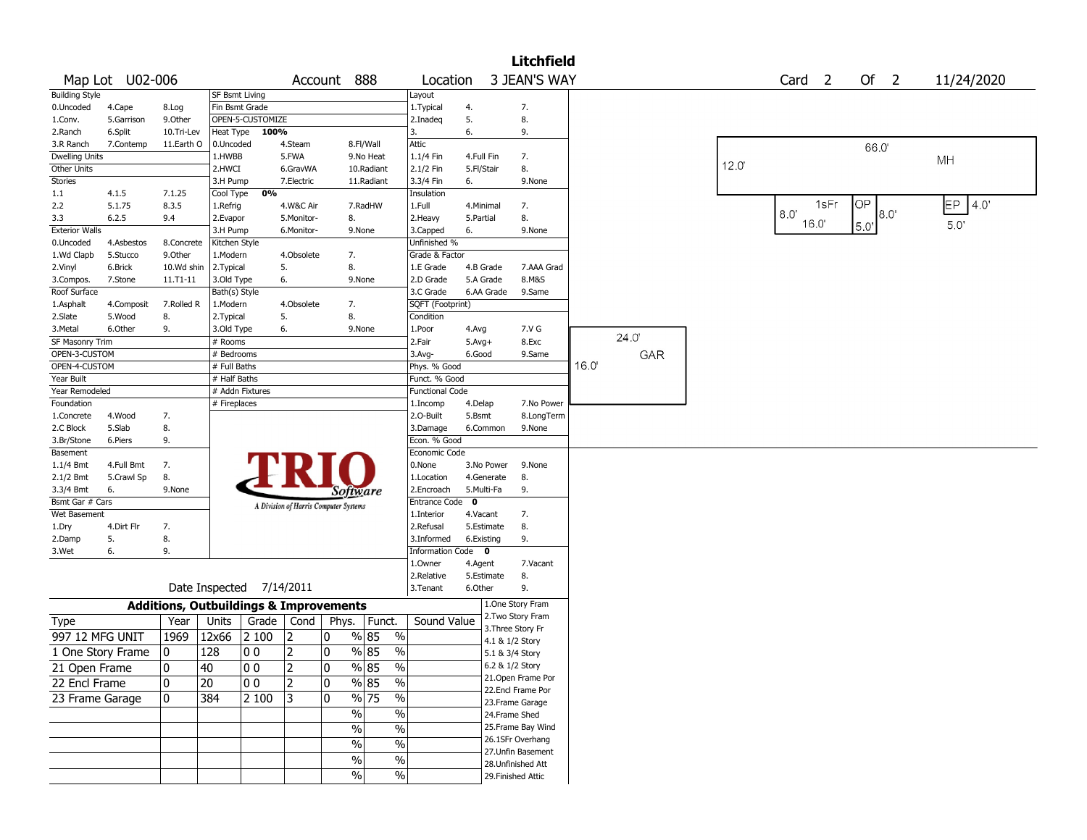|                                 |                   |              |                       |                                                   |                                       |             |                    |               |                         |                 |            | <b>Litchfield</b>                  |      |       |       |     |                   |             |        |             |
|---------------------------------|-------------------|--------------|-----------------------|---------------------------------------------------|---------------------------------------|-------------|--------------------|---------------|-------------------------|-----------------|------------|------------------------------------|------|-------|-------|-----|-------------------|-------------|--------|-------------|
|                                 | Map Lot U02-006   |              |                       |                                                   |                                       | Account 888 |                    |               | Location                |                 |            | 3 JEAN'S WAY                       |      |       |       |     | Card <sub>2</sub> |             | Of $2$ | 11/24/2020  |
| <b>Building Style</b>           |                   |              | <b>SF Bsmt Living</b> |                                                   |                                       |             |                    |               | Layout                  |                 |            |                                    |      |       |       |     |                   |             |        |             |
| 0.Uncoded                       | 4.Cape            | 8.Log        |                       | Fin Bsmt Grade                                    |                                       |             |                    |               | 1. Typical              | 4.              |            | 7.                                 |      |       |       |     |                   |             |        |             |
| 1.Conv.                         | 5.Garrison        | 9.0ther      |                       | OPEN-5-CUSTOMIZE                                  |                                       |             |                    |               | 2.Inadeg                | 5.              |            | 8.                                 |      |       |       |     |                   |             |        |             |
| 2.Ranch                         | 6.Split           | 10.Tri-Lev   |                       | Heat Type 100%                                    |                                       |             |                    |               | 3.                      | 6.              |            | 9.                                 |      |       |       |     |                   |             |        |             |
| 3.R Ranch                       | 7.Contemp         | 11.Earth O   | 0.Uncoded             |                                                   | 4.Steam                               |             | 8.Fl/Wall          |               | Attic                   |                 |            |                                    |      |       |       |     |                   |             | 66.0   |             |
| <b>Dwelling Units</b>           |                   |              | 1.HWBB                |                                                   | 5.FWA                                 |             | 9.No Heat          |               | 1.1/4 Fin               | 4.Full Fin      |            | 7.                                 |      |       | 12.0' |     |                   |             |        | MH          |
| Other Units                     |                   |              | 2.HWCI                |                                                   | 6.GravWA                              |             | 10.Radiant         |               | 2.1/2 Fin               | 5.Fl/Stair      |            | 8.                                 |      |       |       |     |                   |             |        |             |
| Stories                         |                   |              | 3.H Pump              |                                                   | 7.Electric                            |             | 11.Radiant         |               | 3.3/4 Fin               | 6.              |            | 9.None                             |      |       |       |     |                   |             |        |             |
| $1.1\,$                         | 4.1.5             | 7.1.25       | Cool Type             | 0%                                                |                                       |             |                    |               | Insulation              |                 |            |                                    |      |       |       |     | 1sFr              | OP          |        | EP.<br> 4.0 |
| 2.2                             | 5.1.75            | 8.3.5        | 1.Refrig              |                                                   | 4.W&C Air                             |             | 7.RadHW            |               | 1.Full                  | 4.Minimal       |            | 7.                                 |      |       |       | 8.0 |                   |             | 8.0'   |             |
| 3.3<br><b>Exterior Walls</b>    | 6.2.5             | 9.4          | 2.Evapor<br>3.H Pump  |                                                   | 5.Monitor-<br>6.Monitor-              | 8.          | 9.None             |               | 2. Heavy<br>3.Capped    | 5.Partial<br>6. |            | 8.<br>9.None                       |      |       |       |     | 16.0'             | $5.0^\circ$ |        | 5.0'        |
| 0.Uncoded                       | 4.Asbestos        | 8.Concrete   | Kitchen Style         |                                                   |                                       |             |                    |               | Unfinished %            |                 |            |                                    |      |       |       |     |                   |             |        |             |
| 1.Wd Clapb                      | 5.Stucco          | 9.0ther      | 1.Modern              |                                                   | 4.Obsolete                            | 7.          |                    |               | Grade & Factor          |                 |            |                                    |      |       |       |     |                   |             |        |             |
| 2.Vinyl                         | 6.Brick           | 10.Wd shin   | 2.Typical             |                                                   | 5.                                    | 8.          |                    |               | 1.E Grade               |                 | 4.B Grade  | 7.AAA Grad                         |      |       |       |     |                   |             |        |             |
| 3.Compos.                       | 7.Stone           | $11.71 - 11$ | 3.Old Type            |                                                   | 6.                                    |             | 9.None             |               | 2.D Grade               |                 | 5.A Grade  | 8.M&S                              |      |       |       |     |                   |             |        |             |
| Roof Surface                    |                   |              | Bath(s) Style         |                                                   |                                       |             |                    |               | 3.C Grade               |                 | 6.AA Grade | 9.Same                             |      |       |       |     |                   |             |        |             |
| 1.Asphalt                       | 4.Composit        | 7.Rolled R   | 1.Modern              |                                                   | 4.Obsolete                            | 7.          |                    |               | SQFT (Footprint)        |                 |            |                                    |      |       |       |     |                   |             |        |             |
| 2.Slate                         | 5.Wood            | 8.           | 2. Typical            |                                                   | 5.                                    | 8.          |                    |               | Condition               |                 |            |                                    |      |       |       |     |                   |             |        |             |
| 3. Metal                        | 6.Other           | 9.           | 3.Old Type            |                                                   | 6.                                    |             | 9.None             |               | 1.Poor                  | 4.Avg           |            | 7.V G                              |      |       |       |     |                   |             |        |             |
| <b>SF Masonry Trim</b>          |                   |              | # Rooms               |                                                   |                                       |             |                    |               | 2.Fair                  | $5.Avg+$        |            | 8.Exc                              |      | 24.0' |       |     |                   |             |        |             |
| OPEN-3-CUSTOM                   |                   |              | # Bedrooms            |                                                   |                                       |             |                    |               | 3.Avg-                  | 6.Good          |            | 9.Same                             |      | GAR   |       |     |                   |             |        |             |
| OPEN-4-CUSTOM                   |                   |              | # Full Baths          |                                                   |                                       |             |                    |               | Phys. % Good            |                 |            |                                    | 16.0 |       |       |     |                   |             |        |             |
| Year Built                      |                   |              | # Half Baths          |                                                   |                                       |             |                    |               | Funct. % Good           |                 |            |                                    |      |       |       |     |                   |             |        |             |
| Year Remodeled                  |                   |              |                       | # Addn Fixtures                                   |                                       |             |                    |               | <b>Functional Code</b>  |                 |            |                                    |      |       |       |     |                   |             |        |             |
| Foundation                      |                   |              | # Fireplaces          |                                                   |                                       |             |                    |               | 1.Incomp                | 4.Delap         |            | 7.No Power                         |      |       |       |     |                   |             |        |             |
| 1.Concrete                      | 4.Wood            | 7.           |                       |                                                   |                                       |             |                    |               | 2.0-Built               | 5.Bsmt          |            | 8.LongTerm                         |      |       |       |     |                   |             |        |             |
| 2.C Block                       | 5.Slab            | 8.           |                       |                                                   |                                       |             |                    |               | 3.Damage                |                 | 6.Common   | 9.None                             |      |       |       |     |                   |             |        |             |
| 3.Br/Stone                      | 6.Piers           | 9.           |                       |                                                   |                                       |             |                    |               | Econ. % Good            |                 |            |                                    |      |       |       |     |                   |             |        |             |
| Basement                        |                   |              |                       |                                                   |                                       |             |                    |               | Economic Code           |                 |            |                                    |      |       |       |     |                   |             |        |             |
| $1.1/4$ Bmt                     | 4.Full Bmt        | 7.           |                       |                                                   |                                       |             |                    |               | 0.None                  |                 | 3.No Power | 9.None                             |      |       |       |     |                   |             |        |             |
| 2.1/2 Bmt                       | 5.Crawl Sp        | 8.           |                       |                                                   |                                       |             |                    |               | 1.Location              |                 | 4.Generate | 8.                                 |      |       |       |     |                   |             |        |             |
| 3.3/4 Bmt                       | 6.                | 9.None       |                       |                                                   |                                       |             | <i>Software</i>    |               | 2.Encroach              |                 | 5.Multi-Fa | 9.                                 |      |       |       |     |                   |             |        |             |
| Bsmt Gar # Cars<br>Wet Basement |                   |              |                       |                                                   | A Division of Harris Computer Systems |             |                    |               | Entrance Code           | 0               |            |                                    |      |       |       |     |                   |             |        |             |
| 1.Dry                           | 4.Dirt Flr        | 7.           |                       |                                                   |                                       |             |                    |               | 1.Interior<br>2.Refusal | 4.Vacant        | 5.Estimate | 7.<br>8.                           |      |       |       |     |                   |             |        |             |
| 2.Damp                          | 5.                | 8.           |                       |                                                   |                                       |             |                    |               | 3.Informed              | 6.Existing      |            | 9.                                 |      |       |       |     |                   |             |        |             |
| 3.Wet                           | 6.                | 9.           |                       |                                                   |                                       |             |                    |               | <b>Information Code</b> |                 | 0          |                                    |      |       |       |     |                   |             |        |             |
|                                 |                   |              |                       |                                                   |                                       |             |                    |               | 1.0wner                 | 4.Agent         |            | 7.Vacant                           |      |       |       |     |                   |             |        |             |
|                                 |                   |              |                       |                                                   |                                       |             |                    |               | 2.Relative              |                 | 5.Estimate | 8.                                 |      |       |       |     |                   |             |        |             |
|                                 |                   |              |                       | Date Inspected 7/14/2011                          |                                       |             |                    |               | 3. Tenant               | 6.Other         |            | 9.                                 |      |       |       |     |                   |             |        |             |
|                                 |                   |              |                       | <b>Additions, Outbuildings &amp; Improvements</b> |                                       |             |                    |               |                         |                 |            | 1.One Story Fram                   |      |       |       |     |                   |             |        |             |
| Type                            |                   | Year         | Units                 | Grade                                             | Cond                                  | Phys.       | Funct.             |               | Sound Value             |                 |            | 2. Two Story Fram                  |      |       |       |     |                   |             |        |             |
| 997 12 MFG UNIT                 |                   | 1969         | 12x66                 | 2 100                                             | 2                                     | 0           | % 85               | $\%$          |                         |                 |            | 3. Three Story Fr                  |      |       |       |     |                   |             |        |             |
|                                 | 1 One Story Frame | 0            | 128                   | 00                                                | $\overline{2}$                        | 0           | % 85               | $\%$          |                         |                 |            | 4.1 & 1/2 Story<br>5.1 & 3/4 Story |      |       |       |     |                   |             |        |             |
| 21 Open Frame                   |                   | $\pmb{0}$    | 40                    | $ 00\rangle$                                      | $\overline{2}$                        | 0           | $\frac{9}{6}$ 85 % |               |                         |                 |            | 6.2 & 1/2 Story                    |      |       |       |     |                   |             |        |             |
| 22 Encl Frame                   |                   | $\mathbf 0$  | 20                    | 10 O                                              | 2                                     | 10          | % 85               | $\frac{0}{0}$ |                         |                 |            | 21. Open Frame Por                 |      |       |       |     |                   |             |        |             |
|                                 |                   |              |                       |                                                   |                                       |             |                    |               |                         |                 |            | 22.Encl Frame Por                  |      |       |       |     |                   |             |        |             |
| 23 Frame Garage                 |                   | $\mathbf{0}$ | 384                   | 2 100                                             | 13                                    | 10          | $\frac{9}{6}$ 75   | $\frac{0}{0}$ |                         |                 |            | 23. Frame Garage                   |      |       |       |     |                   |             |        |             |
|                                 |                   |              |                       |                                                   |                                       |             | %                  | $\%$          |                         |                 |            | 24.Frame Shed                      |      |       |       |     |                   |             |        |             |
|                                 |                   |              |                       |                                                   |                                       |             | $\sqrt{6}$         | $\sqrt{6}$    |                         |                 |            | 25. Frame Bay Wind                 |      |       |       |     |                   |             |        |             |
|                                 |                   |              |                       |                                                   |                                       |             | $\sqrt{2}$         | $\sqrt{6}$    |                         |                 |            | 26.1SFr Overhang                   |      |       |       |     |                   |             |        |             |
|                                 |                   |              |                       |                                                   |                                       |             | $\sqrt{6}$         | $\frac{0}{6}$ |                         |                 |            | 27.Unfin Basement                  |      |       |       |     |                   |             |        |             |
|                                 |                   |              |                       |                                                   |                                       |             |                    |               |                         |                 |            | 28. Unfinished Att                 |      |       |       |     |                   |             |        |             |
|                                 |                   |              |                       |                                                   |                                       |             | $\sqrt{2}$         | $\sqrt{6}$    |                         |                 |            | 29. Finished Attic                 |      |       |       |     |                   |             |        |             |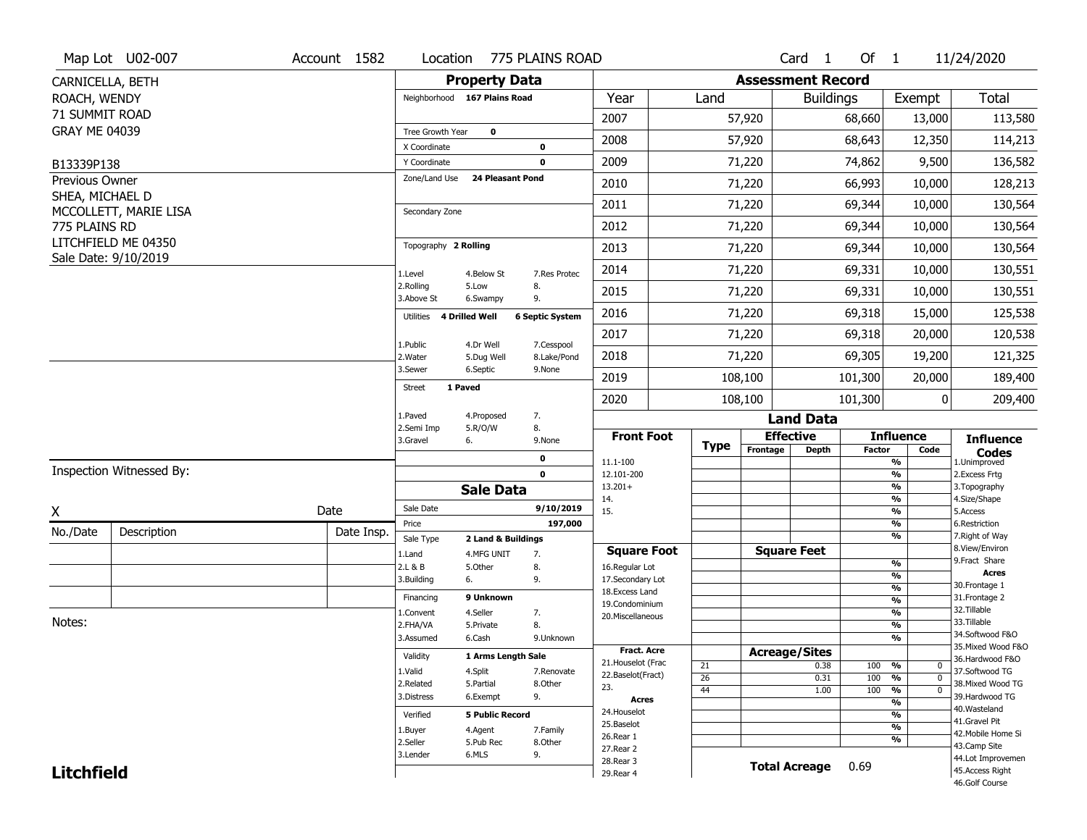|                                   | Map Lot U02-007          | Account 1582 | Location                            | 775 PLAINS ROAD         |                        |                                         |             |                          | Card <sub>1</sub>    | Of $1$        |                                    | 11/24/2020                           |
|-----------------------------------|--------------------------|--------------|-------------------------------------|-------------------------|------------------------|-----------------------------------------|-------------|--------------------------|----------------------|---------------|------------------------------------|--------------------------------------|
| CARNICELLA, BETH                  |                          |              |                                     | <b>Property Data</b>    |                        |                                         |             | <b>Assessment Record</b> |                      |               |                                    |                                      |
| ROACH, WENDY                      |                          |              | Neighborhood 167 Plains Road        |                         |                        | Year                                    | Land        |                          | <b>Buildings</b>     |               | Exempt                             | <b>Total</b>                         |
| 71 SUMMIT ROAD                    |                          |              |                                     |                         |                        | 2007                                    |             | 57,920                   |                      | 68,660        | 13,000                             | 113,580                              |
| <b>GRAY ME 04039</b>              |                          |              | Tree Growth Year                    | $\mathbf 0$             |                        | 2008                                    |             | 57,920                   |                      | 68,643        | 12,350                             | 114,213                              |
|                                   |                          |              | X Coordinate                        |                         | 0                      |                                         |             |                          |                      |               |                                    |                                      |
| B13339P138                        |                          |              | Y Coordinate<br>Zone/Land Use       | <b>24 Pleasant Pond</b> | $\mathbf 0$            | 2009                                    |             | 71,220                   |                      | 74,862        | 9,500                              | 136,582                              |
| Previous Owner<br>SHEA, MICHAEL D |                          |              |                                     |                         |                        | 2010                                    |             | 71,220                   |                      | 66,993        | 10,000                             | 128,213                              |
|                                   | MCCOLLETT, MARIE LISA    |              | Secondary Zone                      |                         |                        | 2011                                    |             | 71,220                   |                      | 69,344        | 10,000                             | 130,564                              |
| 775 PLAINS RD                     |                          |              |                                     |                         |                        | 2012                                    |             | 71,220                   |                      | 69,344        | 10,000                             | 130,564                              |
|                                   | LITCHFIELD ME 04350      |              | Topography 2 Rolling                |                         |                        | 2013                                    |             | 71,220                   |                      | 69,344        | 10,000                             | 130,564                              |
|                                   | Sale Date: 9/10/2019     |              | 1.Level                             | 4.Below St              | 7.Res Protec           | 2014                                    |             | 71,220                   |                      | 69,331        | 10,000                             | 130,551                              |
|                                   |                          |              | 2.Rolling<br>3.Above St             | 5.Low<br>6.Swampy       | 8.<br>9.               | 2015                                    |             | 71,220                   |                      | 69,331        | 10,000                             | 130,551                              |
|                                   |                          |              | 4 Drilled Well<br>Utilities         |                         | <b>6 Septic System</b> | 2016                                    |             | 71,220                   |                      | 69,318        | 15,000                             | 125,538                              |
|                                   |                          |              | 1.Public                            | 4.Dr Well               | 7.Cesspool             | 2017                                    |             | 71,220                   |                      | 69,318        | 20,000                             | 120,538                              |
|                                   |                          |              | 2. Water                            | 5.Dug Well              | 8.Lake/Pond            | 2018                                    |             | 71,220                   |                      | 69,305        | 19,200                             | 121,325                              |
|                                   |                          |              | 3.Sewer<br>1 Paved<br><b>Street</b> | 6.Septic                | 9.None                 | 2019                                    |             | 108,100                  |                      | 101,300       | 20,000                             | 189,400                              |
|                                   |                          |              |                                     |                         |                        | 2020                                    |             | 108,100                  |                      | 101,300       | 0                                  | 209,400                              |
|                                   |                          |              | 1.Paved<br>2.Semi Imp               | 4.Proposed<br>5.R/O/W   | 7.<br>8.               |                                         |             |                          | <b>Land Data</b>     |               |                                    |                                      |
|                                   |                          |              | 3.Gravel<br>6.                      |                         | 9.None                 | <b>Front Foot</b>                       | <b>Type</b> |                          | <b>Effective</b>     |               | <b>Influence</b>                   | <b>Influence</b>                     |
|                                   |                          |              |                                     |                         | 0                      | 11.1-100                                |             | Frontage                 | <b>Depth</b>         | <b>Factor</b> | Code<br>%                          | <b>Codes</b><br>1.Unimproved         |
|                                   | Inspection Witnessed By: |              |                                     |                         | $\mathbf 0$            | 12.101-200                              |             |                          |                      |               | $\frac{9}{6}$                      | 2.Excess Frtg                        |
|                                   |                          |              |                                     | <b>Sale Data</b>        |                        | $13.201+$<br>14.                        |             |                          |                      |               | %<br>%                             | 3. Topography<br>4.Size/Shape        |
| X                                 |                          | Date         | Sale Date                           |                         | 9/10/2019              | 15.                                     |             |                          |                      |               | %                                  | 5.Access                             |
| No./Date                          | Description              | Date Insp.   | Price<br>Sale Type                  | 2 Land & Buildings      | 197,000                |                                         |             |                          |                      |               | %<br>%                             | 6.Restriction<br>7. Right of Way     |
|                                   |                          |              | 1.Land                              | 4.MFG UNIT              | 7.                     | <b>Square Foot</b>                      |             |                          | <b>Square Feet</b>   |               |                                    | 8.View/Environ                       |
|                                   |                          |              | 2.L & B                             | 5.Other<br>8.           |                        | 16.Regular Lot                          |             |                          |                      |               | %                                  | 9. Fract Share<br><b>Acres</b>       |
|                                   |                          |              | 3.Building<br>6.                    |                         | 9.                     | 17.Secondary Lot<br>18.Excess Land      |             |                          |                      |               | %<br>$\frac{9}{6}$                 | 30.Frontage 1                        |
|                                   |                          |              | Financing                           | 9 Unknown               |                        | 19.Condominium                          |             |                          |                      |               | $\frac{9}{6}$                      | 31. Frontage 2                       |
|                                   |                          |              | 1.Convent                           | 4.Seller                | 7.                     | 20.Miscellaneous                        |             |                          |                      |               | $\frac{9}{6}$                      | 32.Tillable                          |
| Notes:                            |                          |              | 2.FHA/VA                            | 5.Private               | 8.                     |                                         |             |                          |                      |               | $\frac{9}{6}$                      | 33.Tillable<br>34.Softwood F&O       |
|                                   |                          |              | 3.Assumed                           | 6.Cash                  | 9.Unknown              |                                         |             |                          |                      |               | $\frac{9}{6}$                      | 35. Mixed Wood F&O                   |
|                                   |                          |              | Validity                            | 1 Arms Length Sale      |                        | <b>Fract. Acre</b>                      |             |                          | <b>Acreage/Sites</b> |               |                                    | 36.Hardwood F&O                      |
|                                   |                          |              | 1.Valid                             | 4.Split                 | 7.Renovate             | 21. Houselot (Frac<br>22.Baselot(Fract) | 21          |                          | 0.38                 | 100           | %<br>$\mathbf 0$<br>$\mathbf{0}$   | 37.Softwood TG                       |
|                                   |                          |              | 2.Related                           | 5.Partial               | 8.Other                | 23.                                     | 26<br>44    |                          | 0.31<br>1.00         | 100<br>100    | %<br>$\frac{9}{6}$<br>$\mathbf{0}$ | 38. Mixed Wood TG                    |
|                                   |                          |              | 3.Distress                          | 6.Exempt                | 9.                     | <b>Acres</b>                            |             |                          |                      |               | $\frac{9}{6}$                      | 39.Hardwood TG                       |
|                                   |                          |              | Verified                            | <b>5 Public Record</b>  |                        | 24. Houselot                            |             |                          |                      |               | %                                  | 40. Wasteland                        |
|                                   |                          |              |                                     |                         |                        |                                         |             |                          |                      |               | $\frac{9}{6}$                      | 41.Gravel Pit                        |
|                                   |                          |              |                                     |                         |                        | 25.Baselot                              |             |                          |                      |               |                                    |                                      |
|                                   |                          |              | 1.Buyer<br>2.Seller                 | 4.Agent<br>5.Pub Rec    | 7.Family<br>8.Other    | 26.Rear 1                               |             |                          |                      |               | %                                  | 42. Mobile Home Si                   |
|                                   |                          |              | 3.Lender                            | 6.MLS                   | 9.                     | 27.Rear 2                               |             |                          |                      |               |                                    | 43.Camp Site                         |
| <b>Litchfield</b>                 |                          |              |                                     |                         |                        | 28. Rear 3<br>29. Rear 4                |             |                          | <b>Total Acreage</b> | 0.69          |                                    | 44.Lot Improvemen<br>45.Access Right |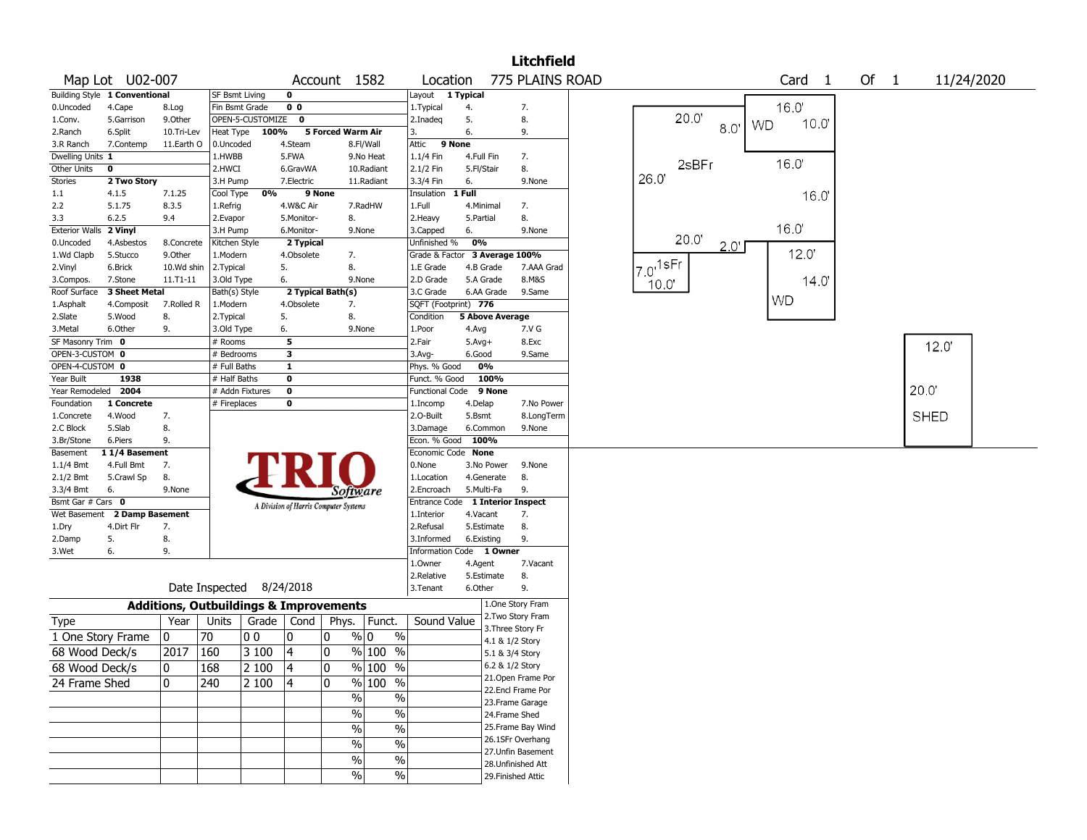|                               |                 |              |                                                   |                    |                                       |                   |                                    |                                  |              |                   | Litchfield         |      |                           |      |      |           |           |                |    |              |             |            |  |
|-------------------------------|-----------------|--------------|---------------------------------------------------|--------------------|---------------------------------------|-------------------|------------------------------------|----------------------------------|--------------|-------------------|--------------------|------|---------------------------|------|------|-----------|-----------|----------------|----|--------------|-------------|------------|--|
|                               | Map Lot U02-007 |              |                                                   |                    |                                       |                   | Account 1582                       | Location                         |              |                   | 775 PLAINS ROAD    |      |                           |      |      |           | Card      | $\overline{1}$ | Of | $\mathbf{1}$ |             | 11/24/2020 |  |
| Building Style 1 Conventional |                 |              |                                                   |                    |                                       |                   |                                    |                                  |              |                   |                    |      |                           |      |      |           |           |                |    |              |             |            |  |
| 0.Uncoded                     | 4.Cape          | 8.Log        | Fin Bsmt Grade                                    |                    | 0 <sub>0</sub>                        |                   |                                    | 1. Typical                       | 4.           |                   | 7.                 |      |                           |      |      |           | 16.0      |                |    |              |             |            |  |
| 1.Conv.                       | 5.Garrison      | 9.0ther      |                                                   | OPEN-5-CUSTOMIZE 0 |                                       |                   |                                    | 2.Inadeq                         | 5.           |                   | 8.                 |      | 20.0                      |      |      | <b>WD</b> | 10.0      |                |    |              |             |            |  |
| 2.Ranch                       | 6.Split         | 10.Tri-Lev   | Heat Type                                         | 100%               |                                       | 5 Forced Warm Air |                                    |                                  | 6.           |                   | 9.                 |      |                           | 8.0' |      |           |           |                |    |              |             |            |  |
| 3.R Ranch                     | 7.Contemp       | 11.Earth O   | 0.Uncoded                                         |                    | 4.Steam                               |                   | 8.Fl/Wall                          | Attic                            | 9 None       |                   |                    |      |                           |      |      |           |           |                |    |              |             |            |  |
| Dwelling Units 1              |                 |              | 1.HWBB                                            |                    | 5.FWA                                 |                   | 9.No Heat                          | 1.1/4 Fin                        | 4.Full Fin   |                   | 7.                 |      |                           |      |      |           |           |                |    |              |             |            |  |
| Other Units                   | 0               |              | 2.HWCI                                            |                    | 6.GravWA                              |                   | 10.Radiant                         | 2.1/2 Fin                        | 5.Fl/Stair   |                   | 8.                 |      | 2sBFr                     |      |      |           | 16.0      |                |    |              |             |            |  |
| Stories                       | 2 Two Story     |              | 3.H Pump                                          |                    | 7.Electric                            |                   | 11.Radiant                         | 3.3/4 Fin                        | 6.           |                   | 9.None             | 26.0 |                           |      |      |           |           |                |    |              |             |            |  |
| 1.1                           | 4.1.5           | 7.1.25       | Cool Type                                         | 0%                 |                                       | 9 None            |                                    | Insulation                       | 1 Full       |                   |                    |      |                           |      |      |           | 16.0      |                |    |              |             |            |  |
| 2.2                           | 5.1.75          | 8.3.5        | 1.Refrig                                          |                    | 4.W&C Air                             |                   | 7.RadHW                            | 1.Full                           | 4.Minimal    |                   | 7.                 |      |                           |      |      |           |           |                |    |              |             |            |  |
| 3.3                           | 6.2.5           | 9.4          | 2.Evapor                                          |                    | 5.Monitor-                            |                   | 8.                                 | 2.Heavy                          | 5.Partial    |                   | 8.                 |      |                           |      |      |           |           |                |    |              |             |            |  |
| <b>Exterior Walls</b>         | 2 Vinyl         |              | 3.H Pump                                          |                    | 6.Monitor-                            |                   | 9.None                             | 3.Capped                         | 6.           |                   | 9.None             |      |                           |      |      |           | 16.0'     |                |    |              |             |            |  |
| 0.Uncoded                     | 4.Asbestos      | 8.Concrete   | Kitchen Style                                     |                    | 2 Typical                             |                   |                                    | Unfinished %                     | 0%           |                   |                    |      | 20.0                      |      | 2.0' |           |           |                |    |              |             |            |  |
| 1.Wd Clapb                    | 5.Stucco        | 9.0ther      | 1.Modern                                          |                    | 4.Obsolete                            |                   | 7.                                 | Grade & Factor                   |              | 3 Average 100%    |                    |      |                           |      |      |           | 12.0'     |                |    |              |             |            |  |
| 2.Vinyl                       | 6.Brick         | 10.Wd shin   | 2.Typical                                         |                    | 5.                                    |                   | 8.                                 | 1.E Grade                        |              | 4.B Grade         | 7.AAA Grad         |      | $I_{7.0}$ <sup>1sFr</sup> |      |      |           |           |                |    |              |             |            |  |
| 3.Compos.                     | 7.Stone         | 11.T1-11     | 3.Old Type                                        |                    | 6.                                    |                   | 9.None                             | 2.D Grade                        |              | 5.A Grade         | 8.M&S              |      | 10.0'                     |      |      |           | 14.0      |                |    |              |             |            |  |
| Roof Surface                  | 3 Sheet Metal   |              | Bath(s) Style                                     |                    | 2 Typical Bath(s)                     |                   |                                    | 3.C Grade                        |              | 6.AA Grade        | 9.Same             |      |                           |      |      |           |           |                |    |              |             |            |  |
| 1.Asphalt                     | 4.Composit      | 7.Rolled R   | 1.Modern                                          |                    | 4.Obsolete                            |                   | 7.                                 | SQFT (Footprint) 776             |              |                   |                    |      |                           |      |      |           | <b>WD</b> |                |    |              |             |            |  |
| 2.Slate                       | 5.Wood          | 8.           | 2. Typical                                        |                    | 5.                                    |                   | 8.                                 | Condition                        |              | 5 Above Average   |                    |      |                           |      |      |           |           |                |    |              |             |            |  |
| 3.Metal                       | 6.Other         | 9.           | 3.Old Type                                        |                    | 6.                                    |                   | 9.None                             | 1.Poor                           | 4.Avg        |                   | 7.V G              |      |                           |      |      |           |           |                |    |              |             |            |  |
| SF Masonry Trim 0             |                 |              | # Rooms                                           |                    | 5                                     |                   |                                    | 2.Fair                           | $5.$ Avg $+$ |                   | 8.Exc              |      |                           |      |      |           |           |                |    |              |             |            |  |
| OPEN-3-CUSTOM 0               |                 |              | # Bedrooms                                        |                    | 3                                     |                   |                                    | 3.Avg-                           | 6.Good       |                   | 9.Same             |      |                           |      |      |           |           |                |    |              | 12.0'       |            |  |
| OPEN-4-CUSTOM 0               |                 |              | # Full Baths                                      |                    | $\mathbf{1}$                          |                   |                                    | Phys. % Good                     |              | 0%                |                    |      |                           |      |      |           |           |                |    |              |             |            |  |
| Year Built                    | 1938            |              | # Half Baths                                      |                    | $\bf{0}$                              |                   |                                    | Funct. % Good                    |              | 100%              |                    |      |                           |      |      |           |           |                |    |              |             |            |  |
| Year Remodeled                | 2004            |              |                                                   | # Addn Fixtures    | $\bf o$                               |                   |                                    | <b>Functional Code</b>           |              | 9 None            |                    |      |                           |      |      |           |           |                |    |              | 20.0"       |            |  |
| Foundation                    | 1 Concrete      |              | # Fireplaces                                      |                    | 0                                     |                   |                                    | 1.Incomp                         | 4.Delap      |                   | 7.No Power         |      |                           |      |      |           |           |                |    |              |             |            |  |
| 1.Concrete                    | 4.Wood          | 7.           |                                                   |                    |                                       |                   |                                    | 2.O-Built                        | 5.Bsmt       |                   | 8.LongTerm         |      |                           |      |      |           |           |                |    |              | <b>SHED</b> |            |  |
| 2.C Block                     | 5.Slab          | 8.           |                                                   |                    |                                       |                   |                                    | 3.Damage                         |              | 6.Common          | 9.None             |      |                           |      |      |           |           |                |    |              |             |            |  |
| 3.Br/Stone                    | 6.Piers         | 9.           |                                                   |                    |                                       |                   |                                    | Econ. % Good 100%                |              |                   |                    |      |                           |      |      |           |           |                |    |              |             |            |  |
| Basement                      | 11/4 Basement   |              |                                                   |                    |                                       |                   |                                    | Economic Code None               |              |                   |                    |      |                           |      |      |           |           |                |    |              |             |            |  |
| $1.1/4$ Bmt                   | 4.Full Bmt      | 7.           |                                                   |                    |                                       |                   |                                    | 0.None                           |              | 3.No Power        | 9.None             |      |                           |      |      |           |           |                |    |              |             |            |  |
| 2.1/2 Bmt                     | 5.Crawl Sp      | 8.           |                                                   |                    |                                       |                   |                                    | 1.Location                       |              | 4.Generate        | 8.                 |      |                           |      |      |           |           |                |    |              |             |            |  |
| 3.3/4 Bmt                     | 6.              | 9.None       |                                                   |                    |                                       |                   |                                    | 2.Encroach                       |              | 5.Multi-Fa        | 9.                 |      |                           |      |      |           |           |                |    |              |             |            |  |
| Bsmt Gar # Cars 0             |                 |              |                                                   |                    |                                       |                   | Software                           | Entrance Code 1 Interior Inspect |              |                   |                    |      |                           |      |      |           |           |                |    |              |             |            |  |
| Wet Basement                  | 2 Damp Basement |              |                                                   |                    | A Division of Harris Computer Systems |                   |                                    | 1.Interior                       | 4.Vacant     |                   | 7.                 |      |                           |      |      |           |           |                |    |              |             |            |  |
| 1.Dry                         | 4.Dirt Flr      | 7.           |                                                   |                    |                                       |                   |                                    | 2.Refusal                        |              | 5.Estimate        | 8.                 |      |                           |      |      |           |           |                |    |              |             |            |  |
|                               | 5.              |              |                                                   |                    |                                       |                   |                                    | 3.Informed                       |              |                   | 9.                 |      |                           |      |      |           |           |                |    |              |             |            |  |
| 2.Damp<br>3.Wet               | 6.              | 8.<br>9.     |                                                   |                    |                                       |                   |                                    | Information Code 1 Owner         | 6.Existing   |                   |                    |      |                           |      |      |           |           |                |    |              |             |            |  |
|                               |                 |              |                                                   |                    |                                       |                   |                                    | 1.Owner                          |              |                   | 7.Vacant           |      |                           |      |      |           |           |                |    |              |             |            |  |
|                               |                 |              |                                                   |                    |                                       |                   |                                    |                                  | 4.Agent      |                   |                    |      |                           |      |      |           |           |                |    |              |             |            |  |
|                               |                 |              | Date Inspected                                    |                    | 8/24/2018                             |                   |                                    | 2.Relative                       |              | 5.Estimate        | 8.<br>9.           |      |                           |      |      |           |           |                |    |              |             |            |  |
|                               |                 |              |                                                   |                    |                                       |                   |                                    | 3.Tenant                         | 6.Other      |                   |                    |      |                           |      |      |           |           |                |    |              |             |            |  |
|                               |                 |              | <b>Additions, Outbuildings &amp; Improvements</b> |                    |                                       |                   |                                    |                                  |              |                   | 1.One Story Fram   |      |                           |      |      |           |           |                |    |              |             |            |  |
| Type                          |                 | Year         | Units                                             | Grade              | Cond                                  | Phys.             | Funct.                             | Sound Value                      |              |                   | 2. Two Story Fram  |      |                           |      |      |           |           |                |    |              |             |            |  |
| 1 One Story Frame             |                 | 0            | 70                                                | 00                 | 0                                     | 0                 | $\sqrt[6]{0}$<br>$\%$              |                                  |              | 3. Three Story Fr |                    |      |                           |      |      |           |           |                |    |              |             |            |  |
|                               |                 |              |                                                   |                    |                                       |                   |                                    |                                  |              | 4.1 & 1/2 Story   |                    |      |                           |      |      |           |           |                |    |              |             |            |  |
| 68 Wood Deck/s                |                 | 2017         | 160                                               | 3 100              | 4                                     | 0                 | % 100<br>$\%$                      |                                  |              | 5.1 & 3/4 Story   |                    |      |                           |      |      |           |           |                |    |              |             |            |  |
| 68 Wood Deck/s                |                 | $\mathbf{0}$ | 168                                               | 2 100              | 4                                     | ١o                | $\frac{9}{6}$ 100<br>$\frac{0}{0}$ |                                  |              | 6.2 & 1/2 Story   |                    |      |                           |      |      |           |           |                |    |              |             |            |  |
| 24 Frame Shed                 |                 | 0            | 240                                               | 2 100              | 4                                     | 10                | % 100 %                            |                                  |              |                   | 21. Open Frame Por |      |                           |      |      |           |           |                |    |              |             |            |  |
|                               |                 |              |                                                   |                    |                                       |                   |                                    |                                  |              |                   | 22.Encl Frame Por  |      |                           |      |      |           |           |                |    |              |             |            |  |
|                               |                 |              |                                                   |                    |                                       |                   | $\sqrt{2}$<br>$\%$                 |                                  |              |                   | 23. Frame Garage   |      |                           |      |      |           |           |                |    |              |             |            |  |
|                               |                 |              |                                                   |                    |                                       |                   | $\%$<br>$\frac{1}{2}$              |                                  |              | 24.Frame Shed     |                    |      |                           |      |      |           |           |                |    |              |             |            |  |
|                               |                 |              |                                                   |                    |                                       |                   | $\sqrt{6}$<br>$\frac{1}{2}$        |                                  |              |                   | 25. Frame Bay Wind |      |                           |      |      |           |           |                |    |              |             |            |  |
|                               |                 |              |                                                   |                    |                                       |                   | $\frac{1}{2}$                      |                                  |              |                   | 26.1SFr Overhang   |      |                           |      |      |           |           |                |    |              |             |            |  |
|                               |                 |              |                                                   |                    |                                       |                   | $\%$                               |                                  |              |                   | 27.Unfin Basement  |      |                           |      |      |           |           |                |    |              |             |            |  |
|                               |                 |              |                                                   |                    |                                       |                   | $\frac{1}{2}$<br>%                 |                                  |              |                   | 28. Unfinished Att |      |                           |      |      |           |           |                |    |              |             |            |  |
|                               |                 |              |                                                   |                    |                                       |                   | $\sqrt{2}$<br>$\sqrt{6}$           |                                  |              |                   | 29. Finished Attic |      |                           |      |      |           |           |                |    |              |             |            |  |
|                               |                 |              |                                                   |                    |                                       |                   |                                    |                                  |              |                   |                    |      |                           |      |      |           |           |                |    |              |             |            |  |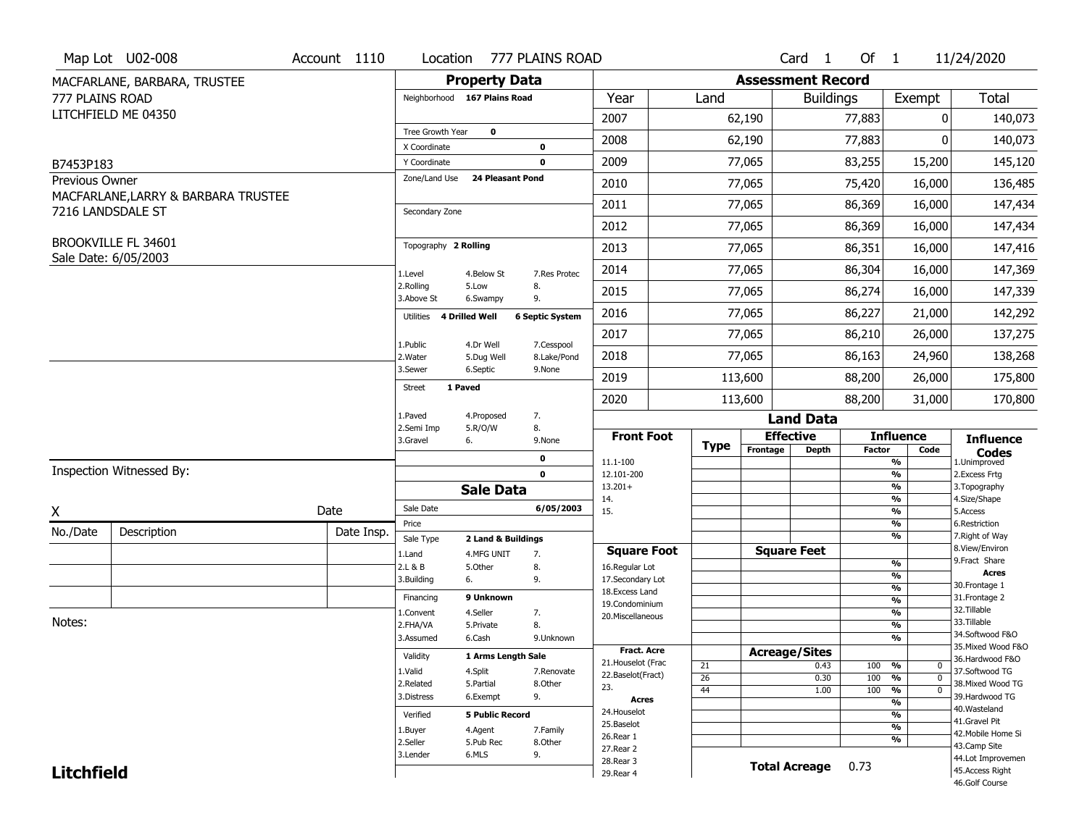|                             | Map Lot U02-008                     | Account 1110 |                              |                              | Location 777 PLAINS ROAD |                          |             |                          | Card <sub>1</sub>    | Of $1$        |                                | 11/24/2020                          |
|-----------------------------|-------------------------------------|--------------|------------------------------|------------------------------|--------------------------|--------------------------|-------------|--------------------------|----------------------|---------------|--------------------------------|-------------------------------------|
|                             | MACFARLANE, BARBARA, TRUSTEE        |              |                              | <b>Property Data</b>         |                          |                          |             | <b>Assessment Record</b> |                      |               |                                |                                     |
| 777 PLAINS ROAD             |                                     |              |                              | Neighborhood 167 Plains Road |                          | Year                     | Land        |                          | <b>Buildings</b>     |               | Exempt                         | Total                               |
|                             | LITCHFIELD ME 04350                 |              |                              |                              |                          | 2007                     |             | 62,190                   |                      | 77,883        | 0                              | 140,073                             |
|                             |                                     |              | Tree Growth Year             | $\mathbf 0$                  |                          | 2008                     |             | 62,190                   |                      | 77,883        | O                              | 140,073                             |
|                             |                                     |              | X Coordinate<br>Y Coordinate |                              | 0<br>0                   | 2009                     |             | 77,065                   |                      | 83,255        | 15,200                         | 145,120                             |
| B7453P183<br>Previous Owner |                                     |              | Zone/Land Use                | <b>24 Pleasant Pond</b>      |                          |                          |             |                          |                      |               |                                |                                     |
|                             | MACFARLANE, LARRY & BARBARA TRUSTEE |              |                              |                              |                          | 2010                     |             | 77,065                   |                      | 75,420        | 16,000                         | 136,485                             |
|                             | 7216 LANDSDALE ST                   |              | Secondary Zone               |                              |                          | 2011                     |             | 77,065                   |                      | 86,369        | 16,000                         | 147,434                             |
|                             |                                     |              |                              |                              |                          | 2012                     |             | 77,065                   |                      | 86,369        | 16,000                         | 147,434                             |
|                             | BROOKVILLE FL 34601                 |              | Topography 2 Rolling         |                              |                          | 2013                     |             | 77,065                   |                      | 86,351        | 16,000                         | 147,416                             |
|                             | Sale Date: 6/05/2003                |              | 1.Level                      | 4.Below St                   | 7.Res Protec             | 2014                     |             | 77,065                   |                      | 86,304        | 16,000                         | 147,369                             |
|                             |                                     |              | 2.Rolling<br>3.Above St      | 5.Low<br>6.Swampy            | 8.<br>9.                 | 2015                     |             | 77,065                   |                      | 86,274        | 16,000                         | 147,339                             |
|                             |                                     |              | Utilities                    | 4 Drilled Well               | <b>6 Septic System</b>   | 2016                     |             | 77,065                   |                      | 86,227        | 21,000                         | 142,292                             |
|                             |                                     |              | 1.Public                     | 4.Dr Well                    | 7.Cesspool               | 2017                     |             | 77,065                   |                      | 86,210        | 26,000                         | 137,275                             |
|                             |                                     |              | 2.Water                      | 5.Dug Well                   | 8.Lake/Pond              | 2018                     |             | 77,065                   |                      | 86,163        | 24,960                         | 138,268                             |
|                             |                                     |              | 3.Sewer                      | 6.Septic                     | 9.None                   | 2019                     |             | 113,600                  |                      | 88,200        | 26,000                         | 175,800                             |
|                             |                                     |              | 1 Paved<br><b>Street</b>     |                              |                          | 2020                     |             | 113,600                  |                      | 88,200        | 31,000                         | 170,800                             |
|                             |                                     |              | 1.Paved                      | 4.Proposed                   | 7.                       |                          |             |                          | <b>Land Data</b>     |               |                                |                                     |
|                             |                                     |              | 2.Semi Imp<br>3.Gravel       | 5.R/O/W<br>6.                | 8.<br>9.None             | <b>Front Foot</b>        |             |                          | <b>Effective</b>     |               | <b>Influence</b>               | <b>Influence</b>                    |
|                             |                                     |              |                              |                              | 0                        | 11.1-100                 | <b>Type</b> | Frontage                 | <b>Depth</b>         | <b>Factor</b> | Code<br>%                      | <b>Codes</b><br>1.Unimproved        |
|                             | Inspection Witnessed By:            |              |                              |                              | $\mathbf 0$              | 12.101-200               |             |                          |                      |               | %                              | 2.Excess Frtg                       |
|                             |                                     |              |                              | <b>Sale Data</b>             |                          | $13.201+$                |             |                          |                      |               | %<br>%                         | 3. Topography                       |
| Χ                           |                                     | Date         | Sale Date                    |                              | 6/05/2003                | 14.<br>15.               |             |                          |                      |               | %                              | 4.Size/Shape<br>5.Access            |
| No./Date                    | Description                         | Date Insp.   | Price                        |                              |                          |                          |             |                          |                      |               | %                              | 6.Restriction                       |
|                             |                                     |              | Sale Type                    | 2 Land & Buildings           |                          | <b>Square Foot</b>       |             |                          | <b>Square Feet</b>   |               | %                              | 7. Right of Way<br>8.View/Environ   |
|                             |                                     |              | 1.Land<br>2.L & B            | 4.MFG UNIT<br>5.Other        | 7.<br>8.                 | 16.Regular Lot           |             |                          |                      |               | %                              | 9.Fract Share                       |
|                             |                                     |              | 3.Building                   | 6.                           | 9.                       | 17.Secondary Lot         |             |                          |                      |               | %                              | <b>Acres</b>                        |
|                             |                                     |              | Financing                    | 9 Unknown                    |                          | 18. Excess Land          |             |                          |                      |               | $\frac{9}{6}$                  | 30.Frontage 1<br>31. Frontage 2     |
|                             |                                     |              | 1.Convent                    | 4.Seller                     | 7.                       | 19.Condominium           |             |                          |                      |               | $\frac{9}{6}$<br>$\frac{9}{6}$ | 32. Tillable                        |
| Notes:                      |                                     |              | 2.FHA/VA                     | 5.Private                    | 8.                       | 20.Miscellaneous         |             |                          |                      |               | $\frac{9}{6}$                  | 33.Tillable                         |
|                             |                                     |              | 3.Assumed                    | 6.Cash                       | 9.Unknown                |                          |             |                          |                      |               | %                              | 34.Softwood F&O                     |
|                             |                                     |              |                              |                              |                          | Fract. Acre              |             |                          | <b>Acreage/Sites</b> |               |                                | 35. Mixed Wood F&O                  |
|                             |                                     |              | Validity                     | 1 Arms Length Sale           |                          | 21. Houselot (Frac       | 21          |                          | 0.43                 | 100           | %<br>0                         | 36.Hardwood F&O                     |
|                             |                                     |              | 1.Valid                      | 4.Split                      | 7.Renovate               | 22.Baselot(Fract)        | 26          |                          | 0.30                 | 100           | %<br>$\mathbf 0$               | 37.Softwood TG                      |
|                             |                                     |              | 2.Related<br>3.Distress      | 5.Partial                    | 8.Other                  | 23.                      | 44          |                          | 1.00                 | 100           | $\frac{9}{6}$<br>$\mathbf 0$   | 38. Mixed Wood TG<br>39.Hardwood TG |
|                             |                                     |              |                              | 6.Exempt                     | 9.                       | <b>Acres</b>             |             |                          |                      |               | $\frac{9}{6}$                  | 40.Wasteland                        |
|                             |                                     |              | Verified                     | <b>5 Public Record</b>       |                          | 24. Houselot             |             |                          |                      |               | %                              | 41.Gravel Pit                       |
|                             |                                     |              | 1.Buyer                      | 4.Agent                      | 7.Family                 | 25.Baselot<br>26.Rear 1  |             |                          |                      |               | $\frac{9}{6}$                  | 42. Mobile Home Si                  |
|                             |                                     |              | 2.Seller                     | 5.Pub Rec                    | 8.Other                  |                          |             |                          |                      |               | %                              | 43.Camp Site                        |
|                             |                                     |              |                              |                              |                          |                          |             |                          |                      |               |                                |                                     |
|                             |                                     |              | 3.Lender                     | 6.MLS                        | 9.                       | 27.Rear 2                |             |                          |                      |               |                                | 44.Lot Improvemen                   |
| <b>Litchfield</b>           |                                     |              |                              |                              |                          | 28. Rear 3<br>29. Rear 4 |             |                          | <b>Total Acreage</b> | 0.73          |                                | 45.Access Right<br>46.Golf Course   |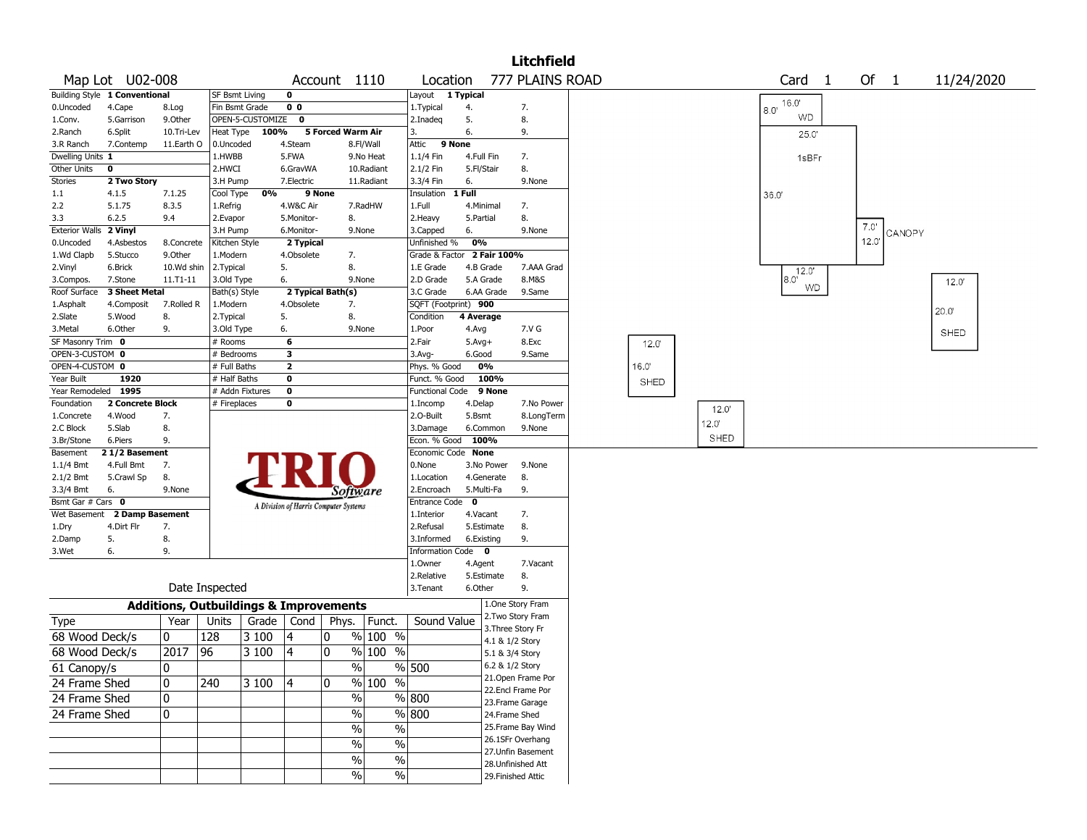|                       |                               |              |                                                   |                  |                                       |        |                             |                         |           |              | <b>Litchfield</b>                    |       |                |                        |      |        |            |
|-----------------------|-------------------------------|--------------|---------------------------------------------------|------------------|---------------------------------------|--------|-----------------------------|-------------------------|-----------|--------------|--------------------------------------|-------|----------------|------------------------|------|--------|------------|
|                       | Map Lot U02-008               |              |                                                   |                  |                                       |        | Account 1110                | Location                |           |              | 777 PLAINS ROAD                      |       |                | Card<br>$\overline{1}$ | Of 1 |        | 11/24/2020 |
|                       | Building Style 1 Conventional |              | SF Bsmt Living                                    |                  | 0                                     |        |                             | Layout                  | 1 Typical |              |                                      |       |                | 16.0                   |      |        |            |
| 0.Uncoded             | 4.Cape                        | 8.Log        | Fin Bsmt Grade                                    |                  | 0 <sub>0</sub>                        |        |                             | 1. Typical              | 4.        |              | 7.                                   |       |                | 8.0'                   |      |        |            |
| 1.Conv.               | 5.Garrison                    | 9.Other      |                                                   | OPEN-5-CUSTOMIZE | $\mathbf 0$                           |        |                             | 2.Inadeg                | 5.        |              | 8.                                   |       |                | WD                     |      |        |            |
| 2.Ranch               | 6.Split                       | 10.Tri-Lev   | Heat Type                                         | 100%             |                                       |        | 5 Forced Warm Air           | 3.                      | 6.        |              | 9.                                   |       |                | 25.0'                  |      |        |            |
| 3.R Ranch             | 7.Contemp                     | 11.Earth O   | 0.Uncoded                                         |                  | 4.Steam                               |        | 8.Fl/Wall                   | Attic                   | 9 None    |              |                                      |       |                |                        |      |        |            |
| Dwelling Units 1      |                               |              | 1.HWBB                                            |                  | 5.FWA                                 |        | 9.No Heat                   | 1.1/4 Fin               |           | 4.Full Fin   | 7.                                   |       |                | 1sBFr                  |      |        |            |
| Other Units           | $\mathbf 0$                   |              | 2.HWCI                                            |                  | 6.GravWA                              |        | 10.Radiant                  | 2.1/2 Fin               |           | 5.Fl/Stair   | 8.                                   |       |                |                        |      |        |            |
| Stories               | 2 Two Story                   |              | 3.H Pump                                          |                  | 7.Electric                            |        | 11.Radiant                  | 3.3/4 Fin               | 6.        |              | 9.None                               |       |                |                        |      |        |            |
| 1.1                   | 4.1.5                         | 7.1.25       | Cool Type                                         | 0%               |                                       | 9 None |                             | Insulation              | $1$ Full  |              |                                      |       |                | 36.0'                  |      |        |            |
| 2.2                   | 5.1.75                        | 8.3.5        | 1.Refrig                                          |                  | 4.W&C Air                             |        | 7.RadHW                     | 1.Full                  |           | 4.Minimal    | 7.                                   |       |                |                        |      |        |            |
| 3.3                   | 6.2.5                         | 9.4          | 2.Evapor                                          |                  | 5.Monitor-                            |        | 8.                          | 2. Heavy                |           | 5.Partial    | 8.                                   |       |                |                        | 7.0' |        |            |
| <b>Exterior Walls</b> | 2 Vinyl                       |              | 3.H Pump                                          |                  | 6.Monitor-                            |        | 9.None                      | 3.Capped                | 6.        |              | 9.None                               |       |                |                        |      | CANOPY |            |
| 0.Uncoded             | 4.Asbestos                    | 8.Concrete   | Kitchen Style                                     |                  | 2 Typical                             |        |                             | Unfinished %            | 0%        |              |                                      |       |                |                        | 12.0 |        |            |
| 1.Wd Clapb            | 5.Stucco                      | 9.0ther      | 1.Modern                                          |                  | 4.Obsolete                            |        | 7.                          | Grade & Factor          |           | 2 Fair 100%  |                                      |       |                |                        |      |        |            |
| 2.Vinyl               | 6.Brick                       | 10.Wd shin   | 2. Typical                                        |                  | 5.                                    |        | 8.                          | 1.E Grade               |           | 4.B Grade    | 7.AAA Grad                           |       |                | 12.0"                  |      |        |            |
| 3.Compos.             | 7.Stone                       | $11.71 - 11$ | 3.Old Type                                        |                  | 6.                                    |        | 9.None                      | 2.D Grade               |           | 5.A Grade    | 8.M&S                                |       |                | $8.0^{\circ}$<br>WD    |      |        | 12.0'      |
| Roof Surface          | 3 Sheet Metal                 |              | Bath(s) Style                                     |                  | 2 Typical Bath(s)                     |        |                             | 3.C Grade               |           | 6.AA Grade   | 9.Same                               |       |                |                        |      |        |            |
| 1.Asphalt             | 4.Composit                    | 7.Rolled R   | 1.Modern                                          |                  | 4.Obsolete                            |        | 7.                          | SQFT (Footprint) 900    |           |              |                                      |       |                |                        |      |        | 20.0       |
| 2.Slate               | 5.Wood                        | 8.           | 2. Typical                                        |                  | 5.                                    |        | 8.                          | Condition               |           | 4 Average    |                                      |       |                |                        |      |        |            |
| 3.Metal               | 6.Other                       | 9.           | 3.Old Type                                        |                  | 6.                                    |        | 9.None                      | 1.Poor                  | 4.Avg     |              | 7.V G                                |       |                |                        |      |        | SHED       |
| SF Masonry Trim       | 0                             |              | # Rooms                                           |                  | 6                                     |        |                             | 2.Fair                  |           | $5.Avg+$     | 8.Exc                                | 12.0' |                |                        |      |        |            |
| OPEN-3-CUSTOM 0       |                               |              | # Bedrooms                                        |                  | 3                                     |        |                             | 3.Avg-                  |           | 6.Good       | 9.Same                               |       |                |                        |      |        |            |
| OPEN-4-CUSTOM 0       |                               |              | # Full Baths                                      |                  | $\overline{2}$                        |        |                             | Phys. % Good            |           | 0%           |                                      | 16.0' |                |                        |      |        |            |
| Year Built            | 1920                          |              | # Half Baths                                      |                  | 0                                     |        |                             | Funct. % Good           |           | 100%         |                                      | SHED  |                |                        |      |        |            |
| Year Remodeled        | 1995                          |              | # Addn Fixtures                                   |                  | 0                                     |        |                             | <b>Functional Code</b>  |           | 9 None       |                                      |       |                |                        |      |        |            |
| Foundation            | 2 Concrete Block              |              | # Fireplaces                                      |                  | 0                                     |        |                             | 1.Incomp                |           | 4.Delap      | 7.No Power                           |       | 12.0'          |                        |      |        |            |
| 1.Concrete            | 4.Wood                        | 7.           |                                                   |                  |                                       |        |                             | 2.O-Built               |           | 5.Bsmt       | 8.LongTerm                           |       | $12.0^{\circ}$ |                        |      |        |            |
| 2.C Block             | 5.Slab                        | 8.           |                                                   |                  |                                       |        |                             | 3.Damage                |           | 6.Common     | 9.None                               |       |                |                        |      |        |            |
| 3.Br/Stone            | 6.Piers                       | 9.           |                                                   |                  |                                       |        |                             | Econ. % Good            |           | 100%         |                                      |       | SHED           |                        |      |        |            |
| Basement              | 21/2 Basement                 |              |                                                   |                  |                                       |        |                             | Economic Code None      |           |              |                                      |       |                |                        |      |        |            |
| 1.1/4 Bmt             | 4.Full Bmt                    | 7.           |                                                   |                  |                                       |        |                             | 0.None                  |           | 3.No Power   | 9.None                               |       |                |                        |      |        |            |
| 2.1/2 Bmt             | 5.Crawl Sp                    | 8.           |                                                   |                  |                                       |        |                             | 1.Location              |           | 4.Generate   | 8.                                   |       |                |                        |      |        |            |
| 3.3/4 Bmt             | 6.                            | 9.None       |                                                   |                  |                                       |        | Software                    | 2.Encroach              |           | 5.Multi-Fa   | 9.                                   |       |                |                        |      |        |            |
| Bsmt Gar # Cars 0     |                               |              |                                                   |                  | A Division of Harris Computer Systems |        |                             | <b>Entrance Code</b>    | 0         |              |                                      |       |                |                        |      |        |            |
| Wet Basement          | 2 Damp Basement               |              |                                                   |                  |                                       |        |                             | 1.Interior              |           | 4.Vacant     | 7.                                   |       |                |                        |      |        |            |
| 1.Dry                 | 4.Dirt Flr                    | 7.           |                                                   |                  |                                       |        |                             | 2.Refusal               |           | 5.Estimate   | 8.                                   |       |                |                        |      |        |            |
| 2.Damp                | 5.                            | 8.           |                                                   |                  |                                       |        |                             | 3.Informed              |           | 6.Existing   | 9.                                   |       |                |                        |      |        |            |
| 3.Wet                 | 6.                            | 9.           |                                                   |                  |                                       |        |                             | <b>Information Code</b> |           | $\mathbf{o}$ |                                      |       |                |                        |      |        |            |
|                       |                               |              |                                                   |                  |                                       |        |                             | 1.Owner                 |           | 4.Agent      | 7.Vacant                             |       |                |                        |      |        |            |
|                       |                               |              |                                                   |                  |                                       |        |                             | 2.Relative              |           | 5.Estimate   | 8.                                   |       |                |                        |      |        |            |
|                       |                               |              | Date Inspected                                    |                  |                                       |        |                             | 3.Tenant                |           | 6.Other      | 9.                                   |       |                |                        |      |        |            |
|                       |                               |              | <b>Additions, Outbuildings &amp; Improvements</b> |                  |                                       |        |                             |                         |           |              | 1.One Story Fram                     |       |                |                        |      |        |            |
| Type                  |                               | Year         | Units                                             | Grade            | Cond                                  | Phys.  | Funct.                      | Sound Value             |           |              | 2. Two Story Fram                    |       |                |                        |      |        |            |
| 68 Wood Deck/s        |                               | 0            | 128                                               | 3 100            | 4                                     | 10     | $\sqrt[6]{}$ 100 %          |                         |           |              | 3. Three Story Fr<br>4.1 & 1/2 Story |       |                |                        |      |        |            |
| 68 Wood Deck/s        |                               | 2017         | 96                                                | 3 100            | 4                                     | 10     | % 100<br>$\%$               |                         |           |              | 5.1 & 3/4 Story                      |       |                |                        |      |        |            |
|                       |                               | $\mathbf{0}$ |                                                   |                  |                                       |        | %                           | % 500                   |           |              | 6.2 & 1/2 Story                      |       |                |                        |      |        |            |
| 61 Canopy/s           |                               |              |                                                   |                  |                                       |        |                             |                         |           |              | 21. Open Frame Por                   |       |                |                        |      |        |            |
| 24 Frame Shed         |                               | 10           | 240                                               | 3100             | 4                                     | 10     | % 100 %                     |                         |           |              | 22.Encl Frame Por                    |       |                |                        |      |        |            |
| 24 Frame Shed         |                               | 10           |                                                   |                  |                                       |        | $\sqrt{6}$                  | % 800                   |           |              | 23. Frame Garage                     |       |                |                        |      |        |            |
| 24 Frame Shed         |                               | 10           |                                                   |                  |                                       |        | %                           | % 800                   |           |              | 24.Frame Shed                        |       |                |                        |      |        |            |
|                       |                               |              |                                                   |                  |                                       |        | $\frac{0}{6}$<br>$\%$       |                         |           |              | 25. Frame Bay Wind                   |       |                |                        |      |        |            |
|                       |                               |              |                                                   |                  |                                       |        |                             |                         |           |              | 26.1SFr Overhang                     |       |                |                        |      |        |            |
|                       |                               |              |                                                   |                  |                                       |        | $\frac{0}{6}$<br>$\%$       |                         |           |              | 27.Unfin Basement                    |       |                |                        |      |        |            |
|                       |                               |              |                                                   |                  |                                       |        | $\frac{1}{2}$<br>$\%$       |                         |           |              | 28. Unfinished Att                   |       |                |                        |      |        |            |
|                       |                               |              |                                                   |                  |                                       |        | $\sqrt{6}$<br>$\frac{0}{0}$ |                         |           |              | 29. Finished Attic                   |       |                |                        |      |        |            |
|                       |                               |              |                                                   |                  |                                       |        |                             |                         |           |              |                                      |       |                |                        |      |        |            |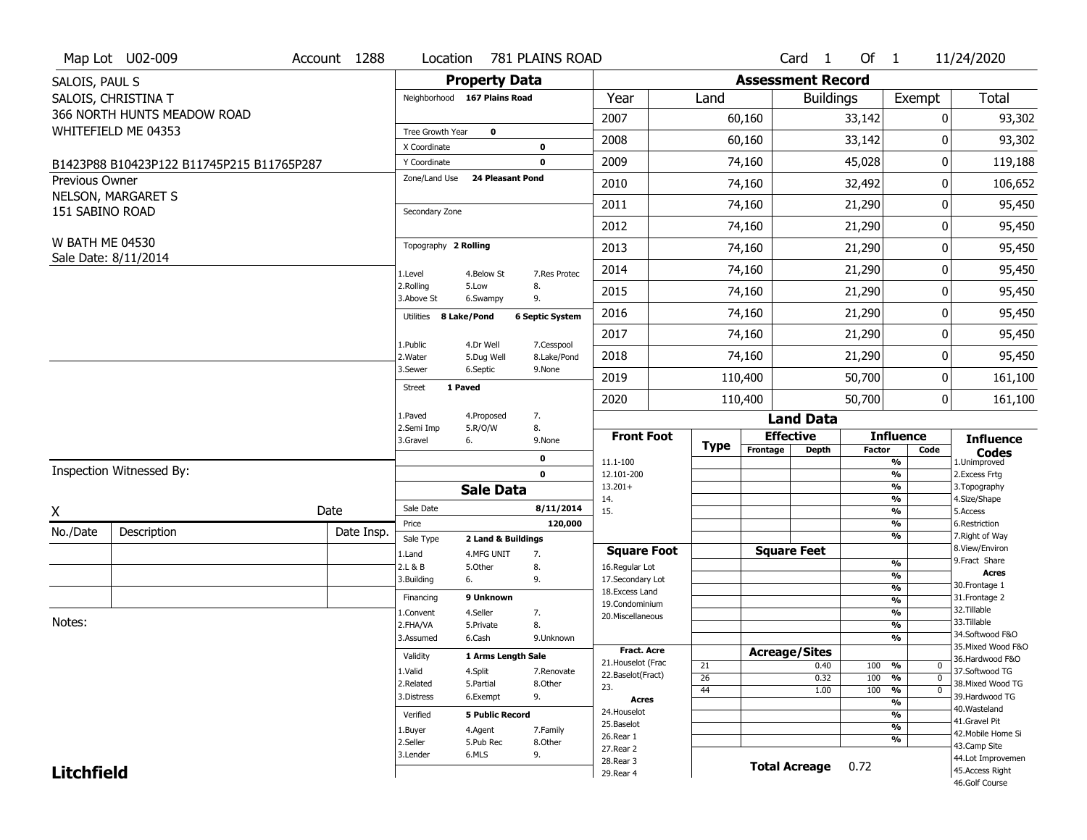|                        | Map Lot U02-009                           | Account 1288 | Location                     | 781 PLAINS ROAD               |                        |                                         |             |          | Card <sub>1</sub>        | Of $1$        |                                  | 11/24/2020                           |
|------------------------|-------------------------------------------|--------------|------------------------------|-------------------------------|------------------------|-----------------------------------------|-------------|----------|--------------------------|---------------|----------------------------------|--------------------------------------|
| SALOIS, PAUL S         |                                           |              |                              | <b>Property Data</b>          |                        |                                         |             |          | <b>Assessment Record</b> |               |                                  |                                      |
|                        | SALOIS, CHRISTINA T                       |              | Neighborhood 167 Plains Road |                               |                        | Year                                    | Land        |          | <b>Buildings</b>         |               | Exempt                           | Total                                |
|                        | 366 NORTH HUNTS MEADOW ROAD               |              |                              |                               |                        | 2007                                    |             | 60,160   |                          | 33,142        |                                  | 0<br>93,302                          |
|                        | WHITEFIELD ME 04353                       |              | Tree Growth Year             | $\mathbf 0$                   |                        | 2008                                    |             | 60,160   |                          | 33,142        |                                  | 93,302<br>0                          |
|                        |                                           |              | X Coordinate                 | 0                             |                        |                                         |             |          |                          |               |                                  |                                      |
|                        | B1423P88 B10423P122 B11745P215 B11765P287 |              | Y Coordinate                 | $\mathbf 0$                   |                        | 2009                                    |             | 74,160   |                          | 45,028        |                                  | 0<br>119,188                         |
| Previous Owner         |                                           |              | Zone/Land Use                | 24 Pleasant Pond              |                        | 2010                                    |             | 74,160   |                          | 32,492        |                                  | 106,652<br>0                         |
| 151 SABINO ROAD        | NELSON, MARGARET S                        |              | Secondary Zone               |                               |                        | 2011                                    |             | 74,160   |                          | 21,290        | 0                                | 95,450                               |
|                        |                                           |              |                              |                               |                        | 2012                                    |             | 74,160   |                          | 21,290        |                                  | 0<br>95,450                          |
| <b>W BATH ME 04530</b> | Sale Date: 8/11/2014                      |              | Topography 2 Rolling         |                               |                        | 2013                                    |             | 74,160   |                          | 21,290        |                                  | 0<br>95,450                          |
|                        |                                           |              | 1.Level                      | 4.Below St                    | 7.Res Protec           | 2014                                    |             | 74,160   |                          | 21,290        |                                  | 95,450<br>0                          |
|                        |                                           |              | 2.Rolling<br>3.Above St      | 5.Low<br>8.<br>9.<br>6.Swampy |                        | 2015                                    |             | 74,160   |                          | 21,290        |                                  | 0<br>95,450                          |
|                        |                                           |              | Utilities 8 Lake/Pond        |                               | <b>6 Septic System</b> | 2016                                    |             | 74,160   |                          | 21,290        |                                  | 0<br>95,450                          |
|                        |                                           |              | 1.Public                     | 4.Dr Well                     | 7.Cesspool             | 2017                                    |             | 74,160   |                          | 21,290        |                                  | 0<br>95,450                          |
|                        |                                           |              | 2.Water                      | 5.Dug Well                    | 8.Lake/Pond            | 2018                                    |             | 74,160   |                          | 21,290        |                                  | 0<br>95,450                          |
|                        |                                           |              | 3.Sewer                      | 6.Septic                      | 9.None                 | 2019                                    |             | 110,400  |                          | 50,700        |                                  | 0<br>161,100                         |
|                        |                                           |              | 1 Paved<br><b>Street</b>     |                               |                        | 2020                                    |             | 110,400  |                          | 50,700        |                                  | $\mathbf 0$<br>161,100               |
|                        |                                           |              | 1.Paved                      | 4.Proposed<br>7.              |                        |                                         |             |          | <b>Land Data</b>         |               |                                  |                                      |
|                        |                                           |              | 2.Semi Imp<br>3.Gravel<br>6. | 5.R/O/W<br>8.                 | 9.None                 | <b>Front Foot</b>                       |             |          | <b>Effective</b>         |               | <b>Influence</b>                 | <b>Influence</b>                     |
|                        |                                           |              |                              |                               |                        |                                         |             |          |                          |               |                                  |                                      |
|                        |                                           |              |                              | 0                             |                        |                                         | <b>Type</b> | Frontage | Depth                    | <b>Factor</b> | Code                             | <b>Codes</b>                         |
|                        | Inspection Witnessed By:                  |              |                              | 0                             |                        | 11.1-100<br>12.101-200                  |             |          |                          |               | $\frac{9}{6}$<br>$\frac{9}{6}$   | 1.Unimproved<br>2.Excess Frtg        |
|                        |                                           |              |                              | <b>Sale Data</b>              |                        | $13.201+$                               |             |          |                          |               | $\frac{9}{6}$                    | 3. Topography                        |
|                        |                                           |              | Sale Date                    |                               | 8/11/2014              | 14.<br>15.                              |             |          |                          |               | $\frac{9}{6}$<br>$\frac{9}{6}$   | 4.Size/Shape<br>5.Access             |
| X                      |                                           | Date         | Price                        |                               | 120,000                |                                         |             |          |                          |               | $\frac{9}{6}$                    | 6.Restriction                        |
| No./Date               | Description                               | Date Insp.   | Sale Type                    | 2 Land & Buildings            |                        |                                         |             |          |                          |               | $\frac{9}{6}$                    | 7. Right of Way                      |
|                        |                                           |              | 1.Land                       | 4.MFG UNIT<br>7.              |                        | <b>Square Foot</b>                      |             |          | <b>Square Feet</b>       |               |                                  | 8.View/Environ<br>9.Fract Share      |
|                        |                                           |              | 2.L & B                      | 5.Other<br>8.                 |                        | 16.Regular Lot                          |             |          |                          |               | %<br>%                           | <b>Acres</b>                         |
|                        |                                           |              | 6.<br>3.Building             | 9.                            |                        | 17.Secondary Lot<br>18. Excess Land     |             |          |                          |               | $\frac{9}{6}$                    | 30. Frontage 1                       |
|                        |                                           |              | Financing                    | 9 Unknown                     |                        | 19.Condominium                          |             |          |                          |               | $\frac{9}{6}$                    | 31. Frontage 2                       |
|                        |                                           |              | 1.Convent                    | 4.Seller<br>7.                |                        | 20.Miscellaneous                        |             |          |                          |               | %                                | 32. Tillable                         |
| Notes:                 |                                           |              | 2.FHA/VA                     | 8.<br>5.Private               |                        |                                         |             |          |                          |               | $\frac{9}{6}$                    | 33.Tillable<br>34.Softwood F&O       |
|                        |                                           |              | 3.Assumed                    | 6.Cash                        | 9.Unknown              |                                         |             |          |                          |               | %                                | 35. Mixed Wood F&O                   |
|                        |                                           |              | Validity                     | 1 Arms Length Sale            |                        | <b>Fract. Acre</b>                      |             |          | <b>Acreage/Sites</b>     |               |                                  | 36.Hardwood F&O                      |
|                        |                                           |              | 1.Valid                      | 4.Split                       | 7.Renovate             | 21. Houselot (Frac<br>22.Baselot(Fract) | 21          |          | 0.40                     | 100           | %<br>0                           | 37.Softwood TG                       |
|                        |                                           |              | 2.Related                    | 5.Partial                     | 8.Other                | 23.                                     | 26          |          | 0.32                     | 100           | %<br>$\mathbf{0}$<br>$\mathbf 0$ | 38. Mixed Wood TG                    |
|                        |                                           |              | 3.Distress                   | 9.<br>6.Exempt                |                        | <b>Acres</b>                            | 44          |          | 1.00                     | 100           | %<br>$\frac{9}{6}$               | 39.Hardwood TG                       |
|                        |                                           |              | Verified                     | <b>5 Public Record</b>        |                        | 24. Houselot                            |             |          |                          |               | $\frac{9}{6}$                    | 40.Wasteland                         |
|                        |                                           |              |                              |                               |                        | 25.Baselot                              |             |          |                          |               | $\frac{9}{6}$                    | 41.Gravel Pit                        |
|                        |                                           |              | 1.Buyer                      | 4.Agent                       | 7.Family               | 26.Rear 1                               |             |          |                          |               | %                                | 42. Mobile Home Si                   |
|                        |                                           |              | 2.Seller                     | 5.Pub Rec                     | 8.Other                | 27.Rear 2                               |             |          |                          |               |                                  | 43.Camp Site                         |
| <b>Litchfield</b>      |                                           |              | 3.Lender                     | 6.MLS<br>9.                   |                        | 28. Rear 3<br>29. Rear 4                |             |          | <b>Total Acreage</b>     | 0.72          |                                  | 44.Lot Improvemen<br>45.Access Right |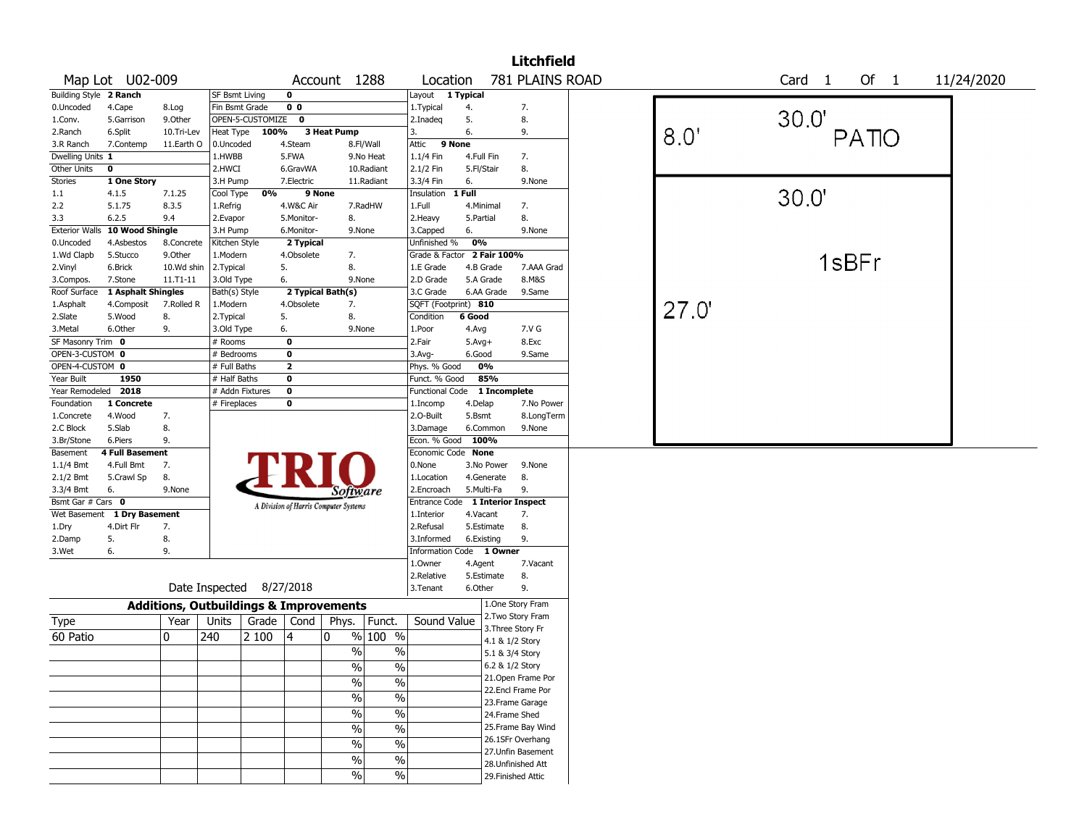|                        |                             |            |                       |                          |                |                                                   |                          |                                  |            |                 | <b>Litchfield</b>  |      |       |                   |        |            |
|------------------------|-----------------------------|------------|-----------------------|--------------------------|----------------|---------------------------------------------------|--------------------------|----------------------------------|------------|-----------------|--------------------|------|-------|-------------------|--------|------------|
|                        | Map Lot U02-009             |            |                       |                          |                | Account 1288                                      |                          | Location                         |            |                 | 781 PLAINS ROAD    |      |       | Card <sub>1</sub> | Of $1$ | 11/24/2020 |
| Building Style 2 Ranch |                             |            | <b>SF Bsmt Living</b> |                          | 0              |                                                   |                          | Layout 1 Typical                 |            |                 |                    |      |       |                   |        |            |
| 0.Uncoded              | 4.Cape                      | 8.Log      | Fin Bsmt Grade        |                          | 0 <sub>0</sub> |                                                   |                          | 1.Typical                        | 4.         |                 | 7.                 |      |       |                   |        |            |
| 1.Conv.                | 5.Garrison                  | 9.0ther    |                       | OPEN-5-CUSTOMIZE 0       |                |                                                   |                          | 2.Inadeg                         | 5.         |                 | 8.                 |      |       | 30.0'             |        |            |
| 2.Ranch                | 6.Split                     | 10.Tri-Lev | Heat Type             | 100%                     |                | 3 Heat Pump                                       |                          | 3.                               | 6.         |                 | 9.                 | 8.0' |       |                   | PATIO  |            |
| 3.R Ranch              | 7.Contemp                   | 11.Earth O | 0.Uncoded             |                          | 4.Steam        |                                                   | 8.Fl/Wall                | 9 None<br>Attic                  |            |                 |                    |      |       |                   |        |            |
| Dwelling Units 1       |                             |            | 1.HWBB                |                          | 5.FWA          |                                                   | 9.No Heat                | 1.1/4 Fin                        | 4.Full Fin |                 | 7.                 |      |       |                   |        |            |
| Other Units            | $\mathbf 0$                 |            | 2.HWCI                |                          | 6.GravWA       |                                                   | 10.Radiant               | 2.1/2 Fin                        | 5.Fl/Stair |                 | 8.                 |      |       |                   |        |            |
| Stories                | 1 One Story                 |            | 3.H Pump              |                          | 7.Electric     |                                                   | 11.Radiant               | 3.3/4 Fin                        | 6.         |                 | 9.None             |      |       |                   |        |            |
| 1.1                    | 4.1.5                       | 7.1.25     | Cool Type             | 0%                       |                | 9 None                                            |                          | Insulation                       | 1 Full     |                 |                    |      |       | 30.0'             |        |            |
| 2.2                    | 5.1.75                      | 8.3.5      | 1.Refrig              |                          | 4.W&C Air      |                                                   | 7.RadHW                  | 1.Full                           | 4.Minimal  |                 | 7.                 |      |       |                   |        |            |
| 3.3                    | 6.2.5                       | 9.4        | 2.Evapor              |                          | 5.Monitor-     | 8.                                                |                          | 2.Heavy                          | 5.Partial  |                 | 8.                 |      |       |                   |        |            |
| <b>Exterior Walls</b>  | 10 Wood Shingle             |            | 3.H Pump              |                          | 6.Monitor-     | 9.None                                            |                          | 3.Capped                         | 6.         |                 | 9.None             |      |       |                   |        |            |
| 0.Uncoded              | 4.Asbestos                  | 8.Concrete | Kitchen Style         |                          | 2 Typical      |                                                   |                          | Unfinished %                     | 0%         |                 |                    |      |       |                   |        |            |
| 1.Wd Clapb             | 5.Stucco                    | 9.Other    | 1.Modern              |                          | 4.Obsolete     | 7.                                                |                          | Grade & Factor 2 Fair 100%       |            |                 |                    |      |       |                   | 1sBFr  |            |
| 2.Vinyl                | 6.Brick                     | 10.Wd shin | 2.Typical             |                          | 5.             | 8.                                                |                          | 1.E Grade                        |            | 4.B Grade       | 7.AAA Grad         |      |       |                   |        |            |
| 3.Compos.              | 7.Stone                     | 11.T1-11   | 3.Old Type            |                          | 6.             | 9.None                                            |                          | 2.D Grade                        | 5.A Grade  |                 | 8.M&S              |      |       |                   |        |            |
| Roof Surface           | 1 Asphalt Shingles          |            | Bath(s) Style         |                          |                | 2 Typical Bath(s)                                 |                          | 3.C Grade                        |            | 6.AA Grade      | 9.Same             |      |       |                   |        |            |
| 1.Asphalt              | 4.Composit                  | 7.Rolled R | 1.Modern              |                          | 4.Obsolete     | 7.                                                |                          | SQFT (Footprint) 810             |            |                 |                    |      | 27.0' |                   |        |            |
| 2.Slate                | 5.Wood                      | 8.         | 2.Typical             |                          | 5.             | 8.                                                |                          | Condition                        | 6 Good     |                 |                    |      |       |                   |        |            |
| 3.Metal                | 6.Other                     | 9.         | 3.Old Type            |                          | 6.             | 9.None                                            |                          | 1.Poor                           | 4.Avg      |                 | 7.V G              |      |       |                   |        |            |
| SF Masonry Trim 0      |                             |            | # Rooms               |                          | $\mathbf 0$    |                                                   |                          | 2.Fair                           | $5.Avg+$   |                 | 8.Exc              |      |       |                   |        |            |
| OPEN-3-CUSTOM 0        |                             |            | # Bedrooms            |                          | 0              |                                                   |                          | 3.Avg-                           | 6.Good     |                 | 9.Same             |      |       |                   |        |            |
| OPEN-4-CUSTOM 0        |                             |            | # Full Baths          |                          | $\mathbf{2}$   |                                                   |                          | Phys. % Good                     |            | 0%              |                    |      |       |                   |        |            |
| Year Built             | 1950                        |            | # Half Baths          |                          | $\bf o$        |                                                   |                          | Funct. % Good                    |            | 85%             |                    |      |       |                   |        |            |
| Year Remodeled 2018    |                             |            |                       | # Addn Fixtures          | $\mathbf 0$    |                                                   |                          | <b>Functional Code</b>           |            | 1 Incomplete    |                    |      |       |                   |        |            |
| Foundation             | 1 Concrete                  |            | # Fireplaces          |                          | 0              |                                                   |                          | 1.Incomp                         | 4.Delap    |                 | 7.No Power         |      |       |                   |        |            |
| 1.Concrete             | 4.Wood                      | 7.         |                       |                          |                |                                                   |                          | 2.O-Built                        | 5.Bsmt     |                 | 8.LongTerm         |      |       |                   |        |            |
| 2.C Block              | 5.Slab                      | 8.         |                       |                          |                |                                                   |                          | 3.Damage                         |            | 6.Common        | 9.None             |      |       |                   |        |            |
| 3.Br/Stone             | 6.Piers                     | 9.         |                       |                          |                |                                                   |                          | Econ. % Good 100%                |            |                 |                    |      |       |                   |        |            |
| Basement               | <b>4 Full Basement</b>      |            |                       |                          |                |                                                   |                          | Economic Code None               |            |                 |                    |      |       |                   |        |            |
| 1.1/4 Bmt              | 4.Full Bmt                  | 7.         |                       |                          |                |                                                   |                          | 0.None                           |            | 3.No Power      | 9.None             |      |       |                   |        |            |
| 2.1/2 Bmt              | 5.Crawl Sp                  | 8.         |                       |                          |                |                                                   |                          | 1.Location                       |            | 4.Generate      | 8.                 |      |       |                   |        |            |
| 3.3/4 Bmt              | 6.                          | 9.None     |                       |                          |                | Software                                          |                          | 2.Encroach                       | 5.Multi-Fa |                 | 9.                 |      |       |                   |        |            |
| Bsmt Gar # Cars 0      |                             |            |                       |                          |                | A Division of Harris Computer Systems             |                          | Entrance Code 1 Interior Inspect |            |                 |                    |      |       |                   |        |            |
|                        | Wet Basement 1 Dry Basement |            |                       |                          |                |                                                   |                          | 1.Interior                       | 4.Vacant   |                 | 7.                 |      |       |                   |        |            |
| 1.Dry                  | 4.Dirt Flr                  | 7.         |                       |                          |                |                                                   |                          | 2.Refusal                        |            | 5.Estimate      | 8.                 |      |       |                   |        |            |
| 2.Damp                 | 5.                          | 8.         |                       |                          |                |                                                   |                          | 3.Informed                       | 6.Existing |                 | 9.                 |      |       |                   |        |            |
| 3.Wet                  | 6.                          | 9.         |                       |                          |                |                                                   |                          | Information Code 1 Owner         |            |                 |                    |      |       |                   |        |            |
|                        |                             |            |                       |                          |                |                                                   |                          | 1.Owner                          | 4.Agent    |                 | 7.Vacant           |      |       |                   |        |            |
|                        |                             |            |                       |                          |                |                                                   |                          | 2.Relative                       |            | 5.Estimate      | 8.                 |      |       |                   |        |            |
|                        |                             |            |                       | Date Inspected 8/27/2018 |                |                                                   |                          | 3.Tenant                         | 6.Other    |                 | 9.                 |      |       |                   |        |            |
|                        |                             |            |                       |                          |                | <b>Additions, Outbuildings &amp; Improvements</b> |                          |                                  |            |                 | 1.One Story Fram   |      |       |                   |        |            |
| Type                   |                             | Year       | Units                 | Grade   Cond             |                | Phys.   Funct.                                    |                          | Sound Value                      |            |                 | 2. Two Story Fram  |      |       |                   |        |            |
|                        |                             |            |                       |                          |                |                                                   |                          |                                  |            |                 | 3. Three Story Fr  |      |       |                   |        |            |
| 60 Patio               |                             | 0          | 240                   | 2 100                    | 14             | $\mathbf{0}$                                      | % 100 %                  |                                  |            | 4.1 & 1/2 Story |                    |      |       |                   |        |            |
|                        |                             |            |                       |                          |                | $\%$                                              | $\%$                     |                                  |            | 5.1 & 3/4 Story |                    |      |       |                   |        |            |
|                        |                             |            |                       |                          |                | $\%$                                              | $\%$                     |                                  |            | 6.2 & 1/2 Story |                    |      |       |                   |        |            |
|                        |                             |            |                       |                          |                | $\sqrt{2}$                                        | $\%$                     |                                  |            |                 | 21. Open Frame Por |      |       |                   |        |            |
|                        |                             |            |                       |                          |                |                                                   |                          |                                  |            |                 | 22.Encl Frame Por  |      |       |                   |        |            |
|                        |                             |            |                       |                          |                | $\sqrt{2}$                                        | $\frac{1}{2}$            |                                  |            |                 | 23. Frame Garage   |      |       |                   |        |            |
|                        |                             |            |                       |                          |                | %                                                 | $\overline{\frac{0}{6}}$ |                                  |            | 24.Frame Shed   |                    |      |       |                   |        |            |
|                        |                             |            |                       |                          |                | $\%$                                              | $\overline{\frac{0}{6}}$ |                                  |            |                 | 25. Frame Bay Wind |      |       |                   |        |            |
|                        |                             |            |                       |                          |                |                                                   |                          |                                  |            |                 | 26.1SFr Overhang   |      |       |                   |        |            |
|                        |                             |            |                       |                          |                | $\%$                                              | $\frac{1}{2}$            |                                  |            |                 | 27.Unfin Basement  |      |       |                   |        |            |
|                        |                             |            |                       |                          |                | $\%$                                              | $\frac{1}{2}$            |                                  |            |                 | 28. Unfinished Att |      |       |                   |        |            |
|                        |                             |            |                       |                          |                | %                                                 | $\%$                     |                                  |            |                 | 29. Finished Attic |      |       |                   |        |            |
|                        |                             |            |                       |                          |                |                                                   |                          |                                  |            |                 |                    |      |       |                   |        |            |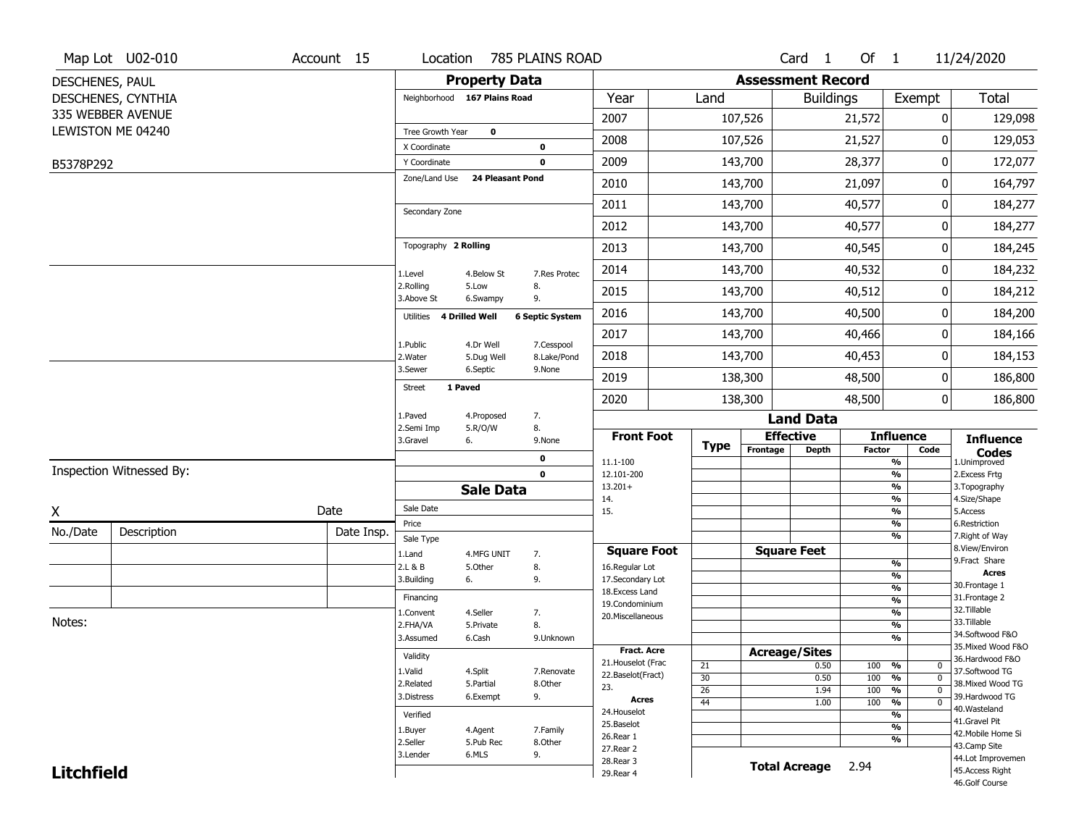|                   | Map Lot U02-010          | Account 15 | Location                     |                         | 785 PLAINS ROAD           |                                    |                 |                          | Card <sub>1</sub>    | Of $1$ |                                            | 11/24/2020                           |
|-------------------|--------------------------|------------|------------------------------|-------------------------|---------------------------|------------------------------------|-----------------|--------------------------|----------------------|--------|--------------------------------------------|--------------------------------------|
| DESCHENES, PAUL   |                          |            |                              | <b>Property Data</b>    |                           |                                    |                 | <b>Assessment Record</b> |                      |        |                                            |                                      |
|                   | DESCHENES, CYNTHIA       |            | Neighborhood 167 Plains Road |                         |                           | Year                               | Land            |                          | <b>Buildings</b>     |        | Exempt                                     | Total                                |
|                   | 335 WEBBER AVENUE        |            |                              |                         |                           | 2007                               |                 | 107,526                  |                      | 21,572 | 0                                          | 129,098                              |
|                   | LEWISTON ME 04240        |            | Tree Growth Year             | 0                       |                           | 2008                               |                 | 107,526                  |                      | 21,527 | 0                                          | 129,053                              |
| B5378P292         |                          |            | X Coordinate<br>Y Coordinate |                         | 0<br>$\mathbf 0$          | 2009                               |                 | 143,700                  |                      | 28,377 | 0                                          | 172,077                              |
|                   |                          |            | Zone/Land Use                | <b>24 Pleasant Pond</b> |                           | 2010                               |                 | 143,700                  |                      | 21,097 | 0                                          | 164,797                              |
|                   |                          |            |                              |                         |                           |                                    |                 |                          |                      |        |                                            |                                      |
|                   |                          |            | Secondary Zone               |                         |                           | 2011                               |                 | 143,700                  |                      | 40,577 | 0                                          | 184,277                              |
|                   |                          |            |                              |                         |                           | 2012                               |                 | 143,700                  |                      | 40,577 | 0                                          | 184,277                              |
|                   |                          |            | Topography 2 Rolling         |                         |                           | 2013                               |                 | 143,700                  |                      | 40,545 | 0                                          | 184,245                              |
|                   |                          |            | 1.Level                      | 4.Below St              | 7.Res Protec              | 2014                               |                 | 143,700                  |                      | 40,532 | 0                                          | 184,232                              |
|                   |                          |            | 2.Rolling<br>3.Above St      | 5.Low<br>6.Swampy       | 8.<br>9.                  | 2015                               |                 | 143,700                  |                      | 40,512 | 0                                          | 184,212                              |
|                   |                          |            | 4 Drilled Well<br>Utilities  |                         | <b>6 Septic System</b>    | 2016                               |                 | 143,700                  |                      | 40,500 | 0                                          | 184,200                              |
|                   |                          |            |                              |                         |                           | 2017                               |                 | 143,700                  |                      | 40,466 | 0                                          | 184,166                              |
|                   |                          |            | 1.Public<br>2. Water         | 4.Dr Well<br>5.Dug Well | 7.Cesspool<br>8.Lake/Pond | 2018                               |                 | 143,700                  |                      | 40,453 | 0                                          | 184,153                              |
|                   |                          |            | 3.Sewer                      | 6.Septic                | 9.None                    | 2019                               |                 | 138,300                  |                      | 48,500 | 0                                          | 186,800                              |
|                   |                          |            | 1 Paved<br><b>Street</b>     |                         |                           | 2020                               |                 | 138,300                  |                      | 48,500 | 0                                          | 186,800                              |
|                   |                          |            | 1.Paved                      | 4.Proposed              | 7.                        |                                    |                 |                          | <b>Land Data</b>     |        |                                            |                                      |
|                   |                          |            | 2.Semi Imp<br>3.Gravel<br>6. | 5.R/O/W                 | 8.<br>9.None              | <b>Front Foot</b>                  |                 | <b>Effective</b>         |                      |        | <b>Influence</b>                           | <b>Influence</b>                     |
|                   |                          |            |                              |                         | 0                         | 11.1-100                           | <b>Type</b>     | Frontage                 | Depth                | Factor | Code<br>$\overline{\frac{9}{6}}$           | <b>Codes</b><br>1.Unimproved         |
|                   | Inspection Witnessed By: |            |                              |                         | $\mathbf 0$               | 12.101-200                         |                 |                          |                      |        | $\overline{\frac{9}{6}}$                   | 2. Excess Frtg                       |
|                   |                          |            |                              | <b>Sale Data</b>        |                           | $13.201+$<br>14.                   |                 |                          |                      |        | $\overline{\frac{9}{6}}$<br>$\frac{9}{6}$  | 3. Topography<br>4.Size/Shape        |
| Χ                 |                          | Date       | Sale Date                    |                         |                           | 15.                                |                 |                          |                      |        | $\overline{\frac{9}{6}}$                   | 5.Access                             |
| No./Date          | Description              | Date Insp. | Price<br>Sale Type           |                         |                           |                                    |                 |                          |                      |        | %<br>%                                     | 6.Restriction<br>7. Right of Way     |
|                   |                          |            | 1.Land                       | 4.MFG UNIT              | 7.                        | <b>Square Foot</b>                 |                 | <b>Square Feet</b>       |                      |        |                                            | 8.View/Environ                       |
|                   |                          |            | 2.L & B                      | 5.0ther                 | 8.                        | 16.Regular Lot                     |                 |                          |                      |        | %<br>%                                     | 9.Fract Share<br><b>Acres</b>        |
|                   |                          |            | 3.Building<br>6.             |                         | 9.                        | 17.Secondary Lot<br>18.Excess Land |                 |                          |                      |        | %                                          | 30. Frontage 1                       |
|                   |                          |            | Financing                    |                         |                           | 19.Condominium                     |                 |                          |                      |        | %                                          | 31. Frontage 2                       |
| Notes:            |                          |            | 1.Convent                    | 4.Seller                | 7.                        | 20.Miscellaneous                   |                 |                          |                      |        | %                                          | 32.Tillable<br>33.Tillable           |
|                   |                          |            | 2.FHA/VA<br>3.Assumed        | 5.Private<br>6.Cash     | 8.<br>9.Unknown           |                                    |                 |                          |                      |        | %<br>%                                     | 34.Softwood F&O                      |
|                   |                          |            |                              |                         |                           | <b>Fract. Acre</b>                 |                 | <b>Acreage/Sites</b>     |                      |        |                                            | 35. Mixed Wood F&O                   |
|                   |                          |            | Validity                     |                         |                           | 21. Houselot (Frac                 | 21              |                          | 0.50                 | 100    | %<br>0                                     | 36.Hardwood F&O                      |
|                   |                          |            | 1.Valid                      | 4.Split                 | 7.Renovate                | 22.Baselot(Fract)                  | 30              |                          | 0.50                 | 100    | $\overline{\mathfrak{o}}$<br>%             | 37.Softwood TG                       |
|                   |                          |            | 2.Related<br>3.Distress      | 5.Partial<br>6.Exempt   | 8.Other<br>9.             | 23.                                | $\overline{26}$ |                          | 1.94                 | 100    | $\frac{9}{6}$<br>$\overline{0}$            | 38. Mixed Wood TG<br>39.Hardwood TG  |
|                   |                          |            |                              |                         |                           |                                    |                 |                          | 1.00                 | 100    |                                            |                                      |
|                   |                          |            |                              |                         |                           | Acres                              | $\overline{44}$ |                          |                      |        | $\overline{\mathfrak{o}}$<br>$\frac{9}{6}$ | 40. Wasteland                        |
|                   |                          |            | Verified                     |                         |                           | 24. Houselot                       |                 |                          |                      |        | %                                          | 41.Gravel Pit                        |
|                   |                          |            | 1.Buyer                      | 4.Agent                 | 7.Family                  | 25.Baselot<br>26.Rear 1            |                 |                          |                      |        | $\overline{\frac{9}{6}}$                   | 42. Mobile Home Si                   |
|                   |                          |            | 2.Seller                     | 5.Pub Rec               | 8.Other                   | 27.Rear 2                          |                 |                          |                      |        | %                                          | 43.Camp Site                         |
| <b>Litchfield</b> |                          |            | 3.Lender                     | 6.MLS                   | 9.                        | 28. Rear 3<br>29. Rear 4           |                 |                          | <b>Total Acreage</b> | 2.94   |                                            | 44.Lot Improvemen<br>45.Access Right |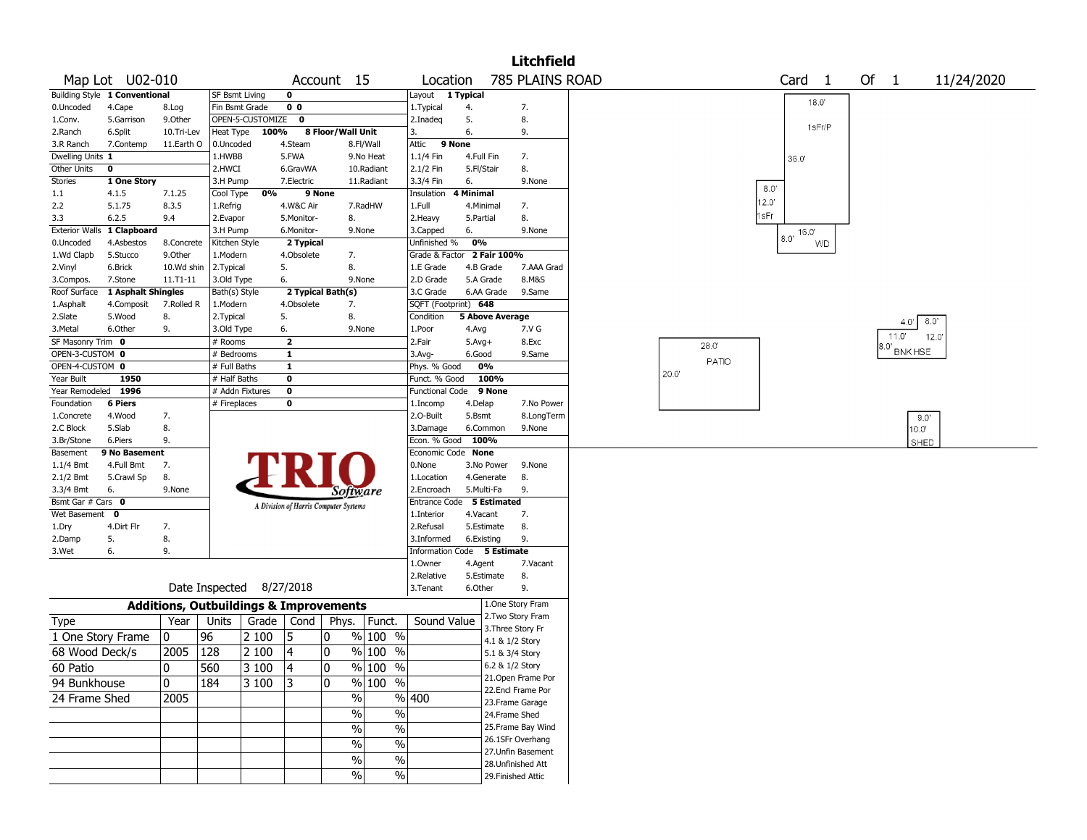|                   |                               |                                                   |                       |                          |                         |                                       |            |                             |                        |                    | <b>Litchfield</b>  |      |       |                   |       |                |            |
|-------------------|-------------------------------|---------------------------------------------------|-----------------------|--------------------------|-------------------------|---------------------------------------|------------|-----------------------------|------------------------|--------------------|--------------------|------|-------|-------------------|-------|----------------|------------|
|                   | Map Lot U02-010               |                                                   |                       |                          |                         | Account 15                            |            | Location                    |                        |                    | 785 PLAINS ROAD    |      |       | Card <sub>1</sub> | Of 1  |                | 11/24/2020 |
|                   | Building Style 1 Conventional |                                                   | <b>SF Bsmt Living</b> |                          | $\bf{0}$                |                                       |            | Layout 1 Typical            |                        |                    |                    |      |       |                   |       |                |            |
| 0.Uncoded         | 4.Cape                        | 8.Log                                             | Fin Bsmt Grade        |                          | 0 <sub>0</sub>          |                                       |            | 1.Typical                   | 4.                     |                    | 7.                 |      |       | 18.0'             |       |                |            |
| 1.Conv.           | 5.Garrison                    | 9.0ther                                           |                       | OPEN-5-CUSTOMIZE         | 0                       |                                       |            | 2.Inadeg                    | 5.                     |                    | 8.                 |      |       |                   |       |                |            |
| 2.Ranch           | 6.Split                       | 10.Tri-Lev                                        | Heat Type             | 100%                     |                         | 8 Floor/Wall Unit                     |            | 3.                          | 6.                     |                    | 9.                 |      |       | 1sFr/P            |       |                |            |
| 3.R Ranch         | 7.Contemp                     | 11.Earth O                                        | 0.Uncoded             |                          | 4.Steam                 |                                       | 8.Fl/Wall  | Attic                       | 9 None                 |                    |                    |      |       |                   |       |                |            |
| Dwelling Units 1  |                               |                                                   | 1.HWBB                |                          | 5.FWA                   |                                       | 9.No Heat  | 1.1/4 Fin                   | 4.Full Fin             |                    | 7.                 |      |       | 36.0'             |       |                |            |
| Other Units       | $\mathbf 0$                   |                                                   | 2.HWCI                |                          | 6.GravWA                |                                       | 10.Radiant | 2.1/2 Fin                   | 5.Fl/Stair             |                    | 8.                 |      |       |                   |       |                |            |
| <b>Stories</b>    | 1 One Story                   |                                                   | 3.H Pump              |                          | 7.Electric              |                                       | 11.Radiant | 3.3/4 Fin                   | 6.                     |                    | 9.None             |      |       |                   |       |                |            |
| 1.1               | 4.1.5                         | 7.1.25                                            | Cool Type             | 0%                       | 9 None                  |                                       |            | Insulation                  | 4 Minimal              |                    |                    |      |       | 8.0'              |       |                |            |
| 2.2               | 5.1.75                        | 8.3.5                                             | 1.Refrig              |                          | 4.W&C Air               |                                       | 7.RadHW    | 1.Full                      | 4.Minimal              |                    | 7.                 |      |       | 12.0'             |       |                |            |
| 3.3               | 6.2.5                         | 9.4                                               | 2.Evapor              |                          | 5.Monitor-              | 8.                                    |            | 2. Heavy                    | 5.Partial              |                    | 8.                 |      |       | 1sFr              |       |                |            |
|                   | Exterior Walls 1 Clapboard    |                                                   | 3.H Pump              |                          | 6.Monitor-              | 9.None                                |            | 3.Capped                    | 6.                     |                    | 9.None             |      |       | 16.0'             |       |                |            |
| 0.Uncoded         | 4.Asbestos                    | 8.Concrete                                        | Kitchen Style         |                          | 2 Typical               |                                       |            | Unfinished %                | 0%                     |                    |                    |      |       | 8.0'<br><b>WD</b> |       |                |            |
| 1.Wd Clapb        | 5.Stucco                      | 9.0ther                                           | 1.Modern              |                          | 4.Obsolete              | 7.                                    |            | Grade & Factor              |                        | 2 Fair 100%        |                    |      |       |                   |       |                |            |
| 2.Vinyl           | 6.Brick                       | 10.Wd shin                                        | 2. Typical            |                          | 5.                      | 8.                                    |            | 1.E Grade                   | 4.B Grade              |                    | 7.AAA Grad         |      |       |                   |       |                |            |
| 3.Compos.         | 7.Stone                       | 11.T1-11                                          | 3.Old Type            |                          | 6.                      | 9.None                                |            | 2.D Grade                   | 5.A Grade              |                    | 8.M&S              |      |       |                   |       |                |            |
| Roof Surface      | 1 Asphalt Shingles            |                                                   | Bath(s) Style         |                          |                         | 2 Typical Bath(s)                     |            | 3.C Grade                   | 6.AA Grade             |                    | 9.Same             |      |       |                   |       |                |            |
| 1.Asphalt         | 4.Composit                    | 7.Rolled R                                        | 1.Modern              |                          | 4.Obsolete              | 7.                                    |            | SQFT (Footprint) 648        |                        |                    |                    |      |       |                   |       |                |            |
| 2.Slate           | 5.Wood                        | 8.                                                | 2. Typical            |                          | 5.                      | 8.                                    |            | Condition                   | <b>5 Above Average</b> |                    |                    |      |       |                   |       | 8.0'           |            |
| 3.Metal           | 6.Other                       | 9.                                                | 3.Old Type            |                          | 6.                      |                                       | 9.None     | 1.Poor                      | 4.Avg                  |                    | 7.V G              |      |       |                   | 4.0"  |                |            |
| SF Masonry Trim 0 |                               |                                                   | # Rooms               |                          | $\overline{\mathbf{z}}$ |                                       |            | 2.Fair                      | $5.Avg+$               |                    | 8.Exc              |      | 28.0" |                   | 11.0' | 12.0           |            |
| OPEN-3-CUSTOM 0   |                               |                                                   | # Bedrooms            |                          | $\mathbf{1}$            |                                       |            | 3.Avg-                      | 6.Good                 |                    | 9.Same             |      |       |                   | 3.O'  | <b>BNK HSE</b> |            |
| OPEN-4-CUSTOM 0   |                               |                                                   | # Full Baths          |                          | $\mathbf{1}$            |                                       |            | Phys. % Good                | 0%                     |                    |                    |      | PATIO |                   |       |                |            |
| Year Built        | 1950                          |                                                   | $#$ Half Baths        |                          | $\mathbf 0$             |                                       |            | Funct. % Good               | 100%                   |                    |                    | 20.0 |       |                   |       |                |            |
| Year Remodeled    | 1996                          |                                                   | # Addn Fixtures       |                          | $\mathbf 0$             |                                       |            | <b>Functional Code</b>      | 9 None                 |                    |                    |      |       |                   |       |                |            |
| Foundation        | 6 Piers                       |                                                   | # Fireplaces          |                          | 0                       |                                       |            | 1.Incomp                    | 4.Delap                |                    | 7.No Power         |      |       |                   |       |                |            |
| 1.Concrete        | 4.Wood                        | 7.                                                |                       |                          |                         |                                       |            | 2.O-Built                   | 5.Bsmt                 |                    | 8.LongTerm         |      |       |                   |       | 9.0'           |            |
| 2.C Block         | 5.Slab                        | 8.                                                |                       |                          |                         |                                       |            | 3.Damage                    | 6.Common               |                    | 9.None             |      |       |                   |       | $10.0^{\circ}$ |            |
| 3.Br/Stone        | 6.Piers                       | 9.                                                |                       |                          |                         |                                       |            | Econ. % Good                | 100%                   |                    |                    |      |       |                   |       | SHED           |            |
| Basement          | 9 No Basement                 |                                                   |                       |                          |                         |                                       |            | Economic Code None          |                        |                    |                    |      |       |                   |       |                |            |
| 1.1/4 Bmt         | 4.Full Bmt                    | 7.                                                |                       |                          |                         |                                       |            | 0.None                      | 3.No Power             |                    | 9.None             |      |       |                   |       |                |            |
| 2.1/2 Bmt         | 5.Crawl Sp                    | 8.                                                |                       |                          |                         |                                       |            | 1.Location                  | 4.Generate             |                    | 8.                 |      |       |                   |       |                |            |
| 3.3/4 Bmt         | 6.                            | 9.None                                            |                       |                          |                         | Software                              |            | 2.Encroach                  | 5.Multi-Fa             |                    | 9.                 |      |       |                   |       |                |            |
| Bsmt Gar # Cars 0 |                               |                                                   |                       |                          |                         | A Division of Harris Computer Systems |            | Entrance Code 5 Estimated   |                        |                    |                    |      |       |                   |       |                |            |
| Wet Basement      | $\mathbf 0$                   |                                                   |                       |                          |                         |                                       |            | 1.Interior                  | 4.Vacant               |                    | 7.                 |      |       |                   |       |                |            |
| 1.Dry             | 4.Dirt Flr                    | 7.                                                |                       |                          |                         |                                       |            | 2.Refusal                   | 5.Estimate             |                    | 8.                 |      |       |                   |       |                |            |
| 2.Damp            | 5.                            | 8.                                                |                       |                          |                         |                                       |            | 3.Informed                  | 6.Existing             |                    | 9.                 |      |       |                   |       |                |            |
| 3.Wet             | 6.                            | 9.                                                |                       |                          |                         |                                       |            | Information Code 5 Estimate |                        |                    |                    |      |       |                   |       |                |            |
|                   |                               |                                                   |                       |                          |                         |                                       |            | 1.Owner                     | 4.Agent                |                    | 7.Vacant           |      |       |                   |       |                |            |
|                   |                               |                                                   |                       |                          |                         |                                       |            | 2.Relative                  | 5.Estimate             |                    | 8.                 |      |       |                   |       |                |            |
|                   |                               |                                                   |                       | Date Inspected 8/27/2018 |                         |                                       |            | 3.Tenant                    | 6.Other                |                    | 9.                 |      |       |                   |       |                |            |
|                   |                               | <b>Additions, Outbuildings &amp; Improvements</b> |                       |                          |                         |                                       |            |                             |                        | 1.One Story Fram   |                    |      |       |                   |       |                |            |
| Type              |                               | Year                                              | Units                 | Grade   Cond             |                         | Phys.                                 | Funct.     | Sound Value                 |                        | 2. Two Story Fram  |                    |      |       |                   |       |                |            |
| 1 One Story Frame |                               | 0                                                 | 96                    | 2 100                    | 5                       | 0                                     | % 100 %    |                             |                        | 3. Three Story Fr  |                    |      |       |                   |       |                |            |
|                   |                               |                                                   |                       |                          |                         |                                       |            |                             |                        | 4.1 & 1/2 Story    |                    |      |       |                   |       |                |            |
| 68 Wood Deck/s    |                               | 2005                                              | 128                   | 2 100                    | 4                       | 0                                     | % 100 %    |                             |                        | 5.1 & 3/4 Story    |                    |      |       |                   |       |                |            |
| 60 Patio          |                               | $\mathbf{0}$                                      | 560                   | $ 3100\rangle$           | 14                      | $\mathbf{0}$                          | % 100 %    |                             |                        | 6.2 & 1/2 Story    |                    |      |       |                   |       |                |            |
| 94 Bunkhouse      |                               | 0                                                 | 184                   | 3 100                    | 3                       | 0                                     | % 100 %    |                             |                        |                    | 21. Open Frame Por |      |       |                   |       |                |            |
|                   |                               |                                                   |                       |                          |                         | $\%$                                  |            | %  400                      |                        | 22.Encl Frame Por  |                    |      |       |                   |       |                |            |
| 24 Frame Shed     |                               | 2005                                              |                       |                          |                         |                                       |            |                             |                        | 23. Frame Garage   |                    |      |       |                   |       |                |            |
|                   |                               |                                                   |                       |                          |                         | $\sqrt{6}$                            | $\%$       |                             |                        | 24.Frame Shed      |                    |      |       |                   |       |                |            |
|                   |                               |                                                   |                       |                          |                         | %                                     | $\%$       |                             |                        |                    | 25. Frame Bay Wind |      |       |                   |       |                |            |
|                   |                               |                                                   |                       |                          |                         | $\sqrt{6}$                            | $\%$       |                             |                        | 26.1SFr Overhang   |                    |      |       |                   |       |                |            |
|                   |                               |                                                   |                       |                          |                         |                                       |            |                             |                        |                    | 27.Unfin Basement  |      |       |                   |       |                |            |
|                   |                               |                                                   |                       |                          |                         | %                                     | $\%$       |                             |                        | 28. Unfinished Att |                    |      |       |                   |       |                |            |
|                   |                               |                                                   |                       |                          |                         | $\%$                                  | $\%$       |                             |                        | 29. Finished Attic |                    |      |       |                   |       |                |            |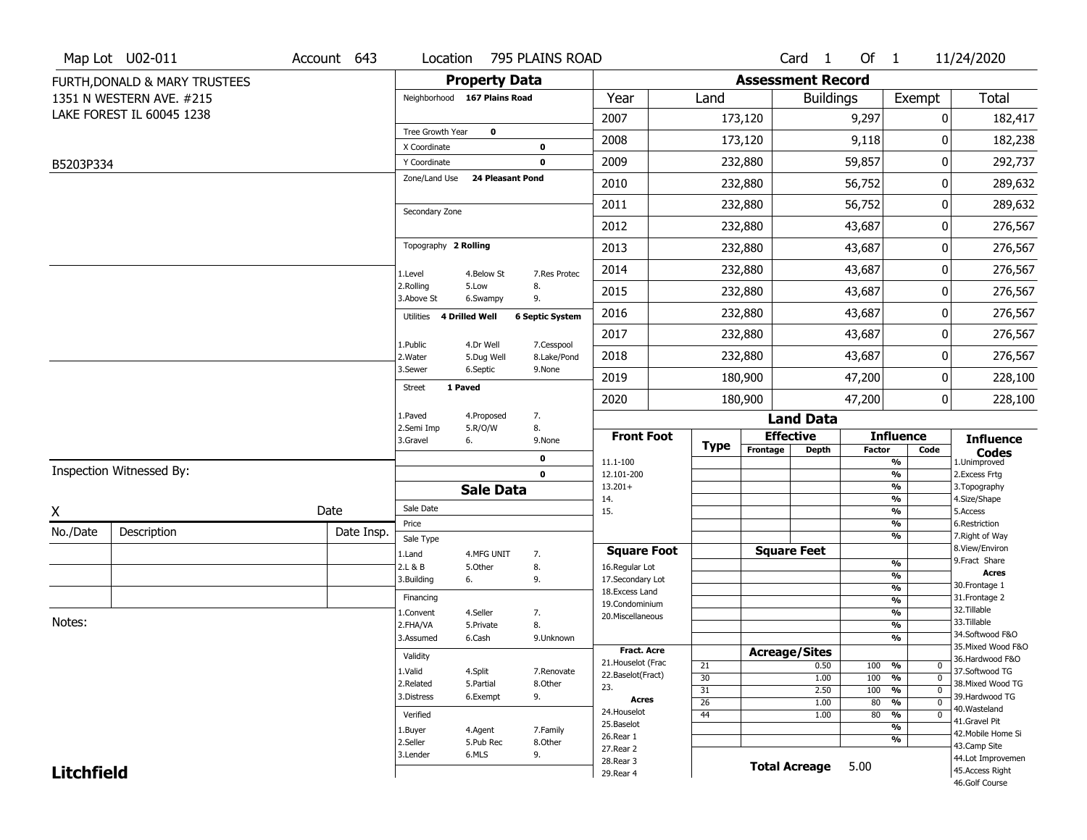|                   | Map Lot U02-011               | Account 643 | Location                     |                         | 795 PLAINS ROAD           |                                   |                       |                          | Card <sub>1</sub>    | Of $1$     |                                                        | 11/24/2020                            |
|-------------------|-------------------------------|-------------|------------------------------|-------------------------|---------------------------|-----------------------------------|-----------------------|--------------------------|----------------------|------------|--------------------------------------------------------|---------------------------------------|
|                   | FURTH, DONALD & MARY TRUSTEES |             |                              | <b>Property Data</b>    |                           |                                   |                       | <b>Assessment Record</b> |                      |            |                                                        |                                       |
|                   | 1351 N WESTERN AVE. #215      |             | Neighborhood 167 Plains Road |                         |                           | Year                              | Land                  |                          | <b>Buildings</b>     |            | Exempt                                                 | <b>Total</b>                          |
|                   | LAKE FOREST IL 60045 1238     |             |                              |                         |                           | 2007                              |                       | 173,120                  |                      | 9,297      | 0                                                      | 182,417                               |
|                   |                               |             | Tree Growth Year             | 0                       |                           | 2008                              |                       | 173,120                  |                      | 9,118      | 0                                                      | 182,238                               |
|                   |                               |             | X Coordinate<br>Y Coordinate |                         | 0<br>0                    | 2009                              |                       | 232,880                  |                      | 59,857     | 0                                                      | 292,737                               |
| B5203P334         |                               |             | Zone/Land Use                | <b>24 Pleasant Pond</b> |                           |                                   |                       |                          |                      |            |                                                        |                                       |
|                   |                               |             |                              |                         |                           | 2010                              |                       | 232,880                  |                      | 56,752     | 0                                                      | 289,632                               |
|                   |                               |             | Secondary Zone               |                         |                           | 2011                              |                       | 232,880                  |                      | 56,752     | 0                                                      | 289,632                               |
|                   |                               |             |                              |                         |                           | 2012                              |                       | 232,880                  |                      | 43,687     | 0                                                      | 276,567                               |
|                   |                               |             | Topography 2 Rolling         |                         |                           | 2013                              |                       | 232,880                  |                      | 43,687     | 0                                                      | 276,567                               |
|                   |                               |             | 1.Level                      | 4.Below St              | 7.Res Protec              | 2014                              |                       | 232,880                  |                      | 43,687     | 0                                                      | 276,567                               |
|                   |                               |             | 2.Rolling<br>3.Above St      | 5.Low<br>6.Swampy       | 8.<br>9.                  | 2015                              |                       | 232,880                  |                      | 43,687     | 0                                                      | 276,567                               |
|                   |                               |             | Utilities                    | 4 Drilled Well          | <b>6 Septic System</b>    | 2016                              |                       | 232,880                  |                      | 43,687     | 0                                                      | 276,567                               |
|                   |                               |             |                              |                         |                           | 2017                              |                       | 232,880                  |                      | 43,687     | 0                                                      | 276,567                               |
|                   |                               |             | 1.Public<br>2. Water         | 4.Dr Well<br>5.Dug Well | 7.Cesspool<br>8.Lake/Pond | 2018                              |                       | 232,880                  |                      | 43,687     | 0                                                      | 276,567                               |
|                   |                               |             | 3.Sewer                      | 6.Septic                | 9.None                    | 2019                              |                       | 180,900                  |                      | 47,200     | 0                                                      | 228,100                               |
|                   |                               |             | 1 Paved<br><b>Street</b>     |                         |                           | 2020                              |                       | 180,900                  |                      | 47,200     | 0                                                      | 228,100                               |
|                   |                               |             | 1.Paved                      | 4.Proposed              | 7.                        |                                   |                       |                          | <b>Land Data</b>     |            |                                                        |                                       |
|                   |                               |             | 2.Semi Imp<br>3.Gravel       | 5.R/O/W<br>6.           | 8.<br>9.None              | <b>Front Foot</b>                 |                       |                          | <b>Effective</b>     |            | <b>Influence</b>                                       | <b>Influence</b>                      |
|                   |                               |             |                              |                         | 0                         | 11.1-100                          | <b>Type</b>           | Frontage                 | <b>Depth</b>         | Factor     | Code<br>%                                              | <b>Codes</b><br>1.Unimproved          |
|                   | Inspection Witnessed By:      |             |                              |                         | $\mathbf 0$               | 12.101-200                        |                       |                          |                      |            | $\frac{9}{6}$                                          | 2.Excess Frtg                         |
|                   |                               |             |                              | <b>Sale Data</b>        |                           | $13.201+$<br>14.                  |                       |                          |                      |            | %<br>%                                                 | 3. Topography<br>4.Size/Shape         |
| X                 |                               | Date        | Sale Date                    |                         |                           | 15.                               |                       |                          |                      |            | %                                                      | 5.Access                              |
| No./Date          | Description                   | Date Insp.  | Price                        |                         |                           |                                   |                       |                          |                      |            | %<br>%                                                 | 6.Restriction<br>7. Right of Way      |
|                   |                               |             | Sale Type<br>1.Land          | 4.MFG UNIT              | 7.                        | <b>Square Foot</b>                |                       |                          | <b>Square Feet</b>   |            |                                                        | 8.View/Environ                        |
|                   |                               |             | 2.L & B                      | 5.Other                 | 8.                        | 16.Regular Lot                    |                       |                          |                      |            | $\frac{9}{6}$                                          | 9.Fract Share                         |
|                   |                               |             | 3.Building                   | 6.                      | 9.                        | 17.Secondary Lot                  |                       |                          |                      |            | %<br>$\frac{9}{6}$                                     | <b>Acres</b><br>30. Frontage 1        |
|                   |                               |             | Financing                    |                         |                           | 18. Excess Land<br>19.Condominium |                       |                          |                      |            | $\overline{\frac{9}{6}}$                               | 31. Frontage 2                        |
|                   |                               |             | 1.Convent                    | 4.Seller                | 7.                        | 20.Miscellaneous                  |                       |                          |                      |            | $\frac{9}{6}$                                          | 32. Tillable                          |
| Notes:            |                               |             | 2.FHA/VA                     | 5.Private               | 8.                        |                                   |                       |                          |                      |            | $\overline{\frac{9}{6}}$                               | 33.Tillable                           |
|                   |                               |             | 3.Assumed                    | 6.Cash                  | 9.Unknown                 |                                   |                       |                          |                      |            | %                                                      | 34.Softwood F&O<br>35. Mixed Wood F&O |
|                   |                               |             | Validity                     |                         |                           | Fract. Acre<br>21. Houselot (Frac |                       | <b>Acreage/Sites</b>     |                      |            |                                                        | 36.Hardwood F&O                       |
|                   |                               |             | 1.Valid                      | 4.Split                 | 7.Renovate                | 22.Baselot(Fract)                 | 21                    |                          | 0.50                 | 100        | %<br>0                                                 | 37.Softwood TG                        |
|                   |                               |             | 2.Related                    | 5.Partial               | 8.Other                   | 23.                               | 30<br>$\overline{31}$ |                          | 1.00<br>2.50         | 100<br>100 | $\overline{0}$<br>%<br>$\frac{9}{6}$<br>$\overline{0}$ | 38. Mixed Wood TG                     |
|                   |                               |             | 3.Distress                   | 6.Exempt                | 9.                        | <b>Acres</b>                      | $\overline{26}$       |                          | 1.00                 | 80         | $\frac{9}{6}$<br>$\overline{0}$                        | 39.Hardwood TG                        |
|                   |                               |             | Verified                     |                         |                           | 24. Houselot                      | $\overline{44}$       |                          | 1.00                 | 80         | $\frac{9}{6}$<br>$\mathbf 0$                           | 40. Wasteland                         |
|                   |                               |             | 1.Buyer                      | 4.Agent                 | 7.Family                  | 25.Baselot                        |                       |                          |                      |            | $\overline{\frac{9}{6}}$                               | 41.Gravel Pit<br>42. Mobile Home Si   |
|                   |                               |             | 2.Seller                     | 5.Pub Rec               | 8.Other                   | 26.Rear 1                         |                       |                          |                      |            | %                                                      | 43.Camp Site                          |
|                   |                               |             | 3.Lender                     | 6.MLS                   | 9.                        | 27.Rear 2<br>28. Rear 3           |                       |                          |                      |            |                                                        | 44.Lot Improvemen                     |
| <b>Litchfield</b> |                               |             |                              |                         |                           | 29. Rear 4                        |                       |                          | <b>Total Acreage</b> | 5.00       |                                                        | 45.Access Right                       |
|                   |                               |             |                              |                         |                           |                                   |                       |                          |                      |            |                                                        | 46.Golf Course                        |